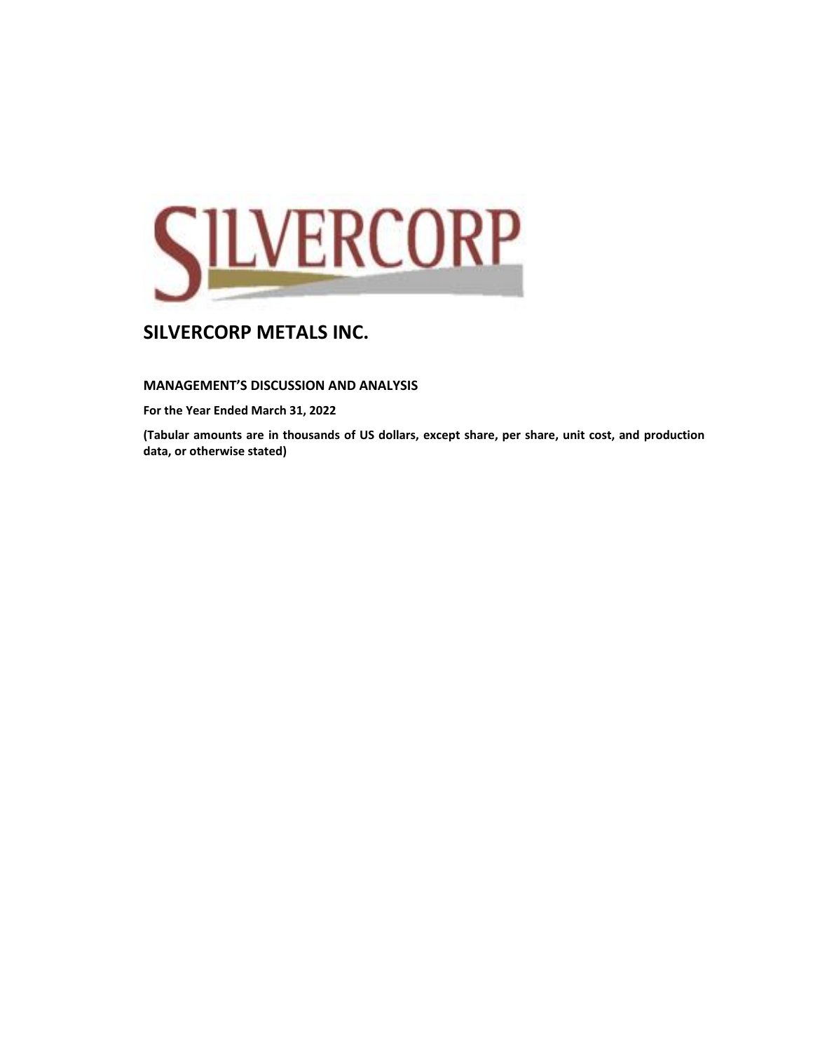

## **MANAGEMENT'S DISCUSSION AND ANALYSIS**

**For the Year Ended March 31, 2022**

**(Tabular amounts are in thousands of US dollars, except share, per share, unit cost, and production data, or otherwise stated)**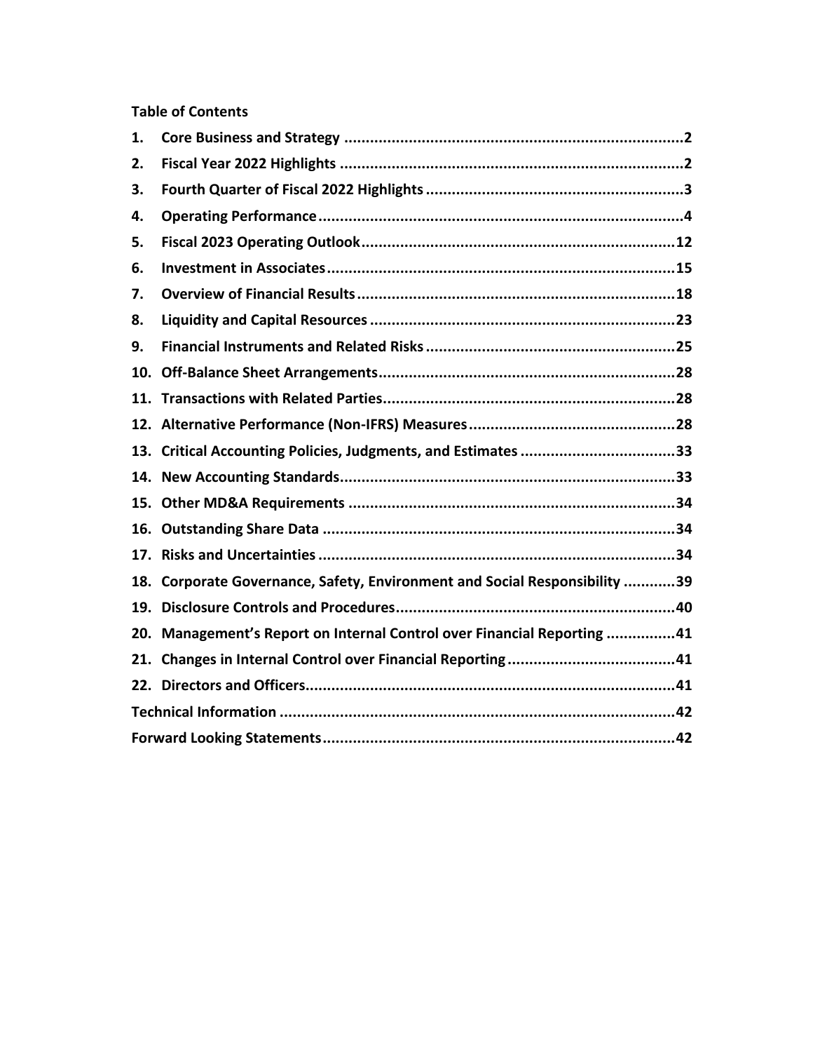## **Table of Contents**

| 1. |                                                                            |  |
|----|----------------------------------------------------------------------------|--|
| 2. |                                                                            |  |
| 3. |                                                                            |  |
| 4. |                                                                            |  |
| 5. |                                                                            |  |
| 6. |                                                                            |  |
| 7. |                                                                            |  |
| 8. |                                                                            |  |
| 9. |                                                                            |  |
|    |                                                                            |  |
|    |                                                                            |  |
|    |                                                                            |  |
|    | 13. Critical Accounting Policies, Judgments, and Estimates 33              |  |
|    |                                                                            |  |
|    |                                                                            |  |
|    |                                                                            |  |
|    |                                                                            |  |
|    | 18. Corporate Governance, Safety, Environment and Social Responsibility 39 |  |
|    |                                                                            |  |
|    | 20. Management's Report on Internal Control over Financial Reporting 41    |  |
|    |                                                                            |  |
|    |                                                                            |  |
|    |                                                                            |  |
|    |                                                                            |  |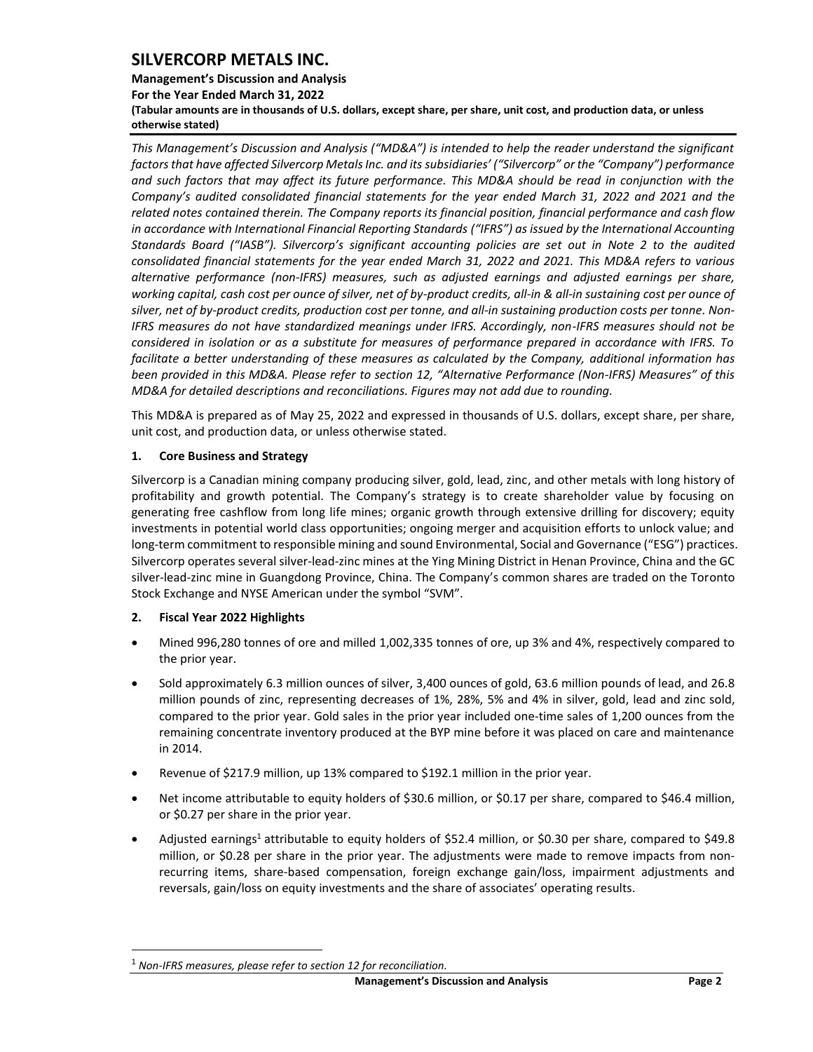## **Management's Discussion and Analysis For the Year Ended March 31, 2022 (Tabular amounts are in thousands of U.S. dollars, except share, per share, unit cost, and production data, or unless otherwise stated)**

*This Management's Discussion and Analysis ("MD&A") is intended to help the reader understand the significant factors that have affected Silvercorp Metals Inc. and its subsidiaries' ("Silvercorp" or the "Company") performance and such factors that may affect its future performance. This MD&A should be read in conjunction with the Company's audited consolidated financial statements for the year ended March 31, 2022 and 2021 and the related notes contained therein. The Company reports its financial position, financial performance and cash flow in accordance with International Financial Reporting Standards ("IFRS") as issued by the International Accounting Standards Board ("IASB"). Silvercorp's significant accounting policies are set out in Note 2 to the audited consolidated financial statements for the year ended March 31, 2022 and 2021. This MD&A refers to various alternative performance (non-IFRS) measures, such as adjusted earnings and adjusted earnings per share, working capital, cash cost per ounce of silver, net of by-product credits, all-in & all-in sustaining cost per ounce of silver, net of by-product credits, production cost per tonne, and all-in sustaining production costs per tonne. Non-IFRS measures do not have standardized meanings under IFRS. Accordingly, non-IFRS measures should not be considered in isolation or as a substitute for measures of performance prepared in accordance with IFRS. To facilitate a better understanding of these measures as calculated by the Company, additional information has been provided in this MD&A. Please refer to section 12, "Alternative Performance (Non-IFRS) Measures" of this MD&A for detailed descriptions and reconciliations. Figures may not add due to rounding.*

This MD&A is prepared as of May 25, 2022 and expressed in thousands of U.S. dollars, except share, per share, unit cost, and production data, or unless otherwise stated.

## <span id="page-2-0"></span>**1. Core Business and Strategy**

Silvercorp is a Canadian mining company producing silver, gold, lead, zinc, and other metals with long history of profitability and growth potential. The Company's strategy is to create shareholder value by focusing on generating free cashflow from long life mines; organic growth through extensive drilling for discovery; equity investments in potential world class opportunities; ongoing merger and acquisition efforts to unlock value; and long-term commitment to responsible mining and sound Environmental, Social and Governance ("ESG") practices. Silvercorp operates several silver-lead-zinc mines at the Ying Mining District in Henan Province, China and the GC silver-lead-zinc mine in Guangdong Province, China. The Company's common shares are traded on the Toronto Stock Exchange and NYSE American under the symbol "SVM".

## <span id="page-2-1"></span>**2. Fiscal Year 2022 Highlights**

- Mined 996,280 tonnes of ore and milled 1,002,335 tonnes of ore, up 3% and 4%, respectively compared to the prior year.
- Sold approximately 6.3 million ounces of silver, 3,400 ounces of gold, 63.6 million pounds of lead, and 26.8 million pounds of zinc, representing decreases of 1%, 28%, 5% and 4% in silver, gold, lead and zinc sold, compared to the prior year. Gold sales in the prior year included one-time sales of 1,200 ounces from the remaining concentrate inventory produced at the BYP mine before it was placed on care and maintenance in 2014.
- Revenue of \$217.9 million, up 13% compared to \$192.1 million in the prior year.
- Net income attributable to equity holders of \$30.6 million, or \$0.17 per share, compared to \$46.4 million, or \$0.27 per share in the prior year.
- Adjusted earnings<sup>1</sup> attributable to equity holders of \$52.4 million, or \$0.30 per share, compared to \$49.8 million, or \$0.28 per share in the prior year. The adjustments were made to remove impacts from nonrecurring items, share-based compensation, foreign exchange gain/loss, impairment adjustments and reversals, gain/loss on equity investments and the share of associates' operating results.

<sup>1</sup> *Non-IFRS measures, please refer to section 12 for reconciliation.*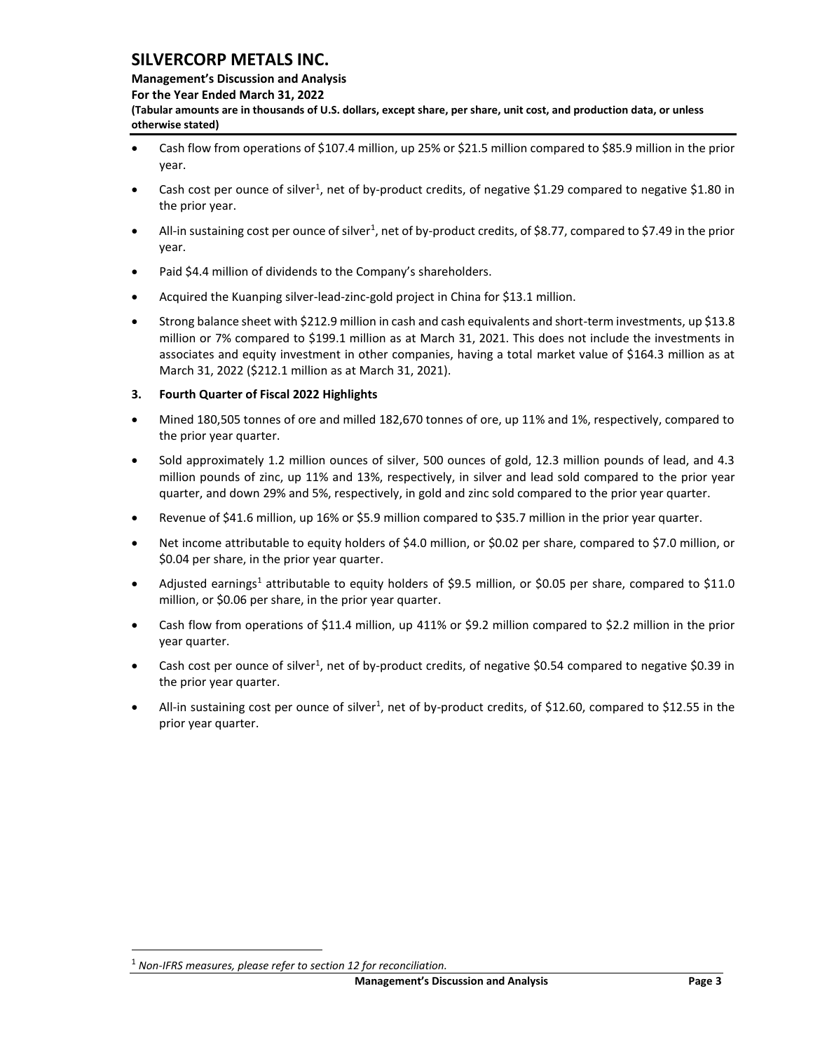### **Management's Discussion and Analysis**

**For the Year Ended March 31, 2022**

**(Tabular amounts are in thousands of U.S. dollars, except share, per share, unit cost, and production data, or unless otherwise stated)** 

- Cash flow from operations of \$107.4 million, up 25% or \$21.5 million compared to \$85.9 million in the prior year.
- Cash cost per ounce of silver<sup>1</sup>, net of by-product credits, of negative \$1.29 compared to negative \$1.80 in the prior year.
- All-in sustaining cost per ounce of silver<sup>1</sup>, net of by-product credits, of \$8.77, compared to \$7.49 in the prior year.
- Paid \$4.4 million of dividends to the Company's shareholders.
- Acquired the Kuanping silver-lead-zinc-gold project in China for \$13.1 million.
- Strong balance sheet with \$212.9 million in cash and cash equivalents and short-term investments, up \$13.8 million or 7% compared to \$199.1 million as at March 31, 2021. This does not include the investments in associates and equity investment in other companies, having a total market value of \$164.3 million as at March 31, 2022 (\$212.1 million as at March 31, 2021).

## <span id="page-3-0"></span>**3. Fourth Quarter of Fiscal 2022 Highlights**

- Mined 180,505 tonnes of ore and milled 182,670 tonnes of ore, up 11% and 1%, respectively, compared to the prior year quarter.
- Sold approximately 1.2 million ounces of silver, 500 ounces of gold, 12.3 million pounds of lead, and 4.3 million pounds of zinc, up 11% and 13%, respectively, in silver and lead sold compared to the prior year quarter, and down 29% and 5%, respectively, in gold and zinc sold compared to the prior year quarter.
- Revenue of \$41.6 million, up 16% or \$5.9 million compared to \$35.7 million in the prior year quarter.
- Net income attributable to equity holders of \$4.0 million, or \$0.02 per share, compared to \$7.0 million, or \$0.04 per share, in the prior year quarter.
- Adjusted earnings<sup>1</sup> attributable to equity holders of \$9.5 million, or \$0.05 per share, compared to \$11.0 million, or \$0.06 per share, in the prior year quarter.
- Cash flow from operations of \$11.4 million, up 411% or \$9.2 million compared to \$2.2 million in the prior year quarter.
- Cash cost per ounce of silver<sup>1</sup>, net of by-product credits, of negative \$0.54 compared to negative \$0.39 in the prior year quarter.
- All-in sustaining cost per ounce of silver<sup>1</sup>, net of by-product credits, of \$12.60, compared to \$12.55 in the prior year quarter.

<sup>1</sup> *Non-IFRS measures, please refer to section 12 for reconciliation.*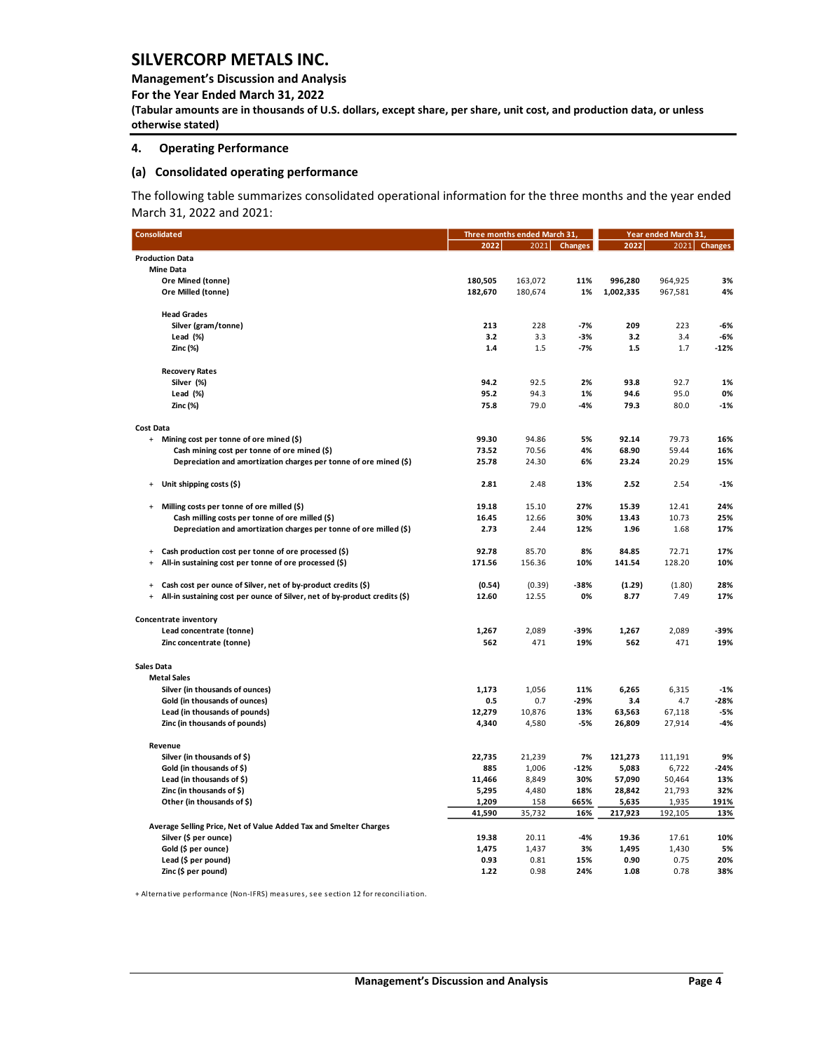**Management's Discussion and Analysis** 

**For the Year Ended March 31, 2022**

**(Tabular amounts are in thousands of U.S. dollars, except share, per share, unit cost, and production data, or unless otherwise stated)** 

#### <span id="page-4-0"></span>**4. Operating Performance**

### **(a) Consolidated operating performance**

The following table summarizes consolidated operational information for the three months and the year ended March 31, 2022 and 2021:

| <b>Consolidated</b>                                                                                                                                      |                 | Three months ended March 31, |                | Year ended March 31, |                |              |  |
|----------------------------------------------------------------------------------------------------------------------------------------------------------|-----------------|------------------------------|----------------|----------------------|----------------|--------------|--|
|                                                                                                                                                          | 2022            | 2021                         | <b>Changes</b> | 2022                 |                | 2021 Changes |  |
| <b>Production Data</b>                                                                                                                                   |                 |                              |                |                      |                |              |  |
| <b>Mine Data</b>                                                                                                                                         |                 |                              |                |                      |                |              |  |
| Ore Mined (tonne)                                                                                                                                        | 180,505         | 163,072                      | 11%            | 996,280              | 964,925        | 3%           |  |
| Ore Milled (tonne)                                                                                                                                       | 182,670         | 180,674                      | 1%             | 1,002,335            | 967,581        | 4%           |  |
|                                                                                                                                                          |                 |                              |                |                      |                |              |  |
| <b>Head Grades</b>                                                                                                                                       |                 |                              |                |                      |                |              |  |
| Silver (gram/tonne)                                                                                                                                      | 213             | 228                          | $-7%$          | 209                  | 223            | -6%          |  |
| Lead (%)                                                                                                                                                 | 3.2             | 3.3                          | $-3%$          | 3.2                  | 3.4            | -6%          |  |
| Zinc (%)                                                                                                                                                 | 1.4             | 1.5                          | $-7%$          | 1.5                  | 1.7            | -12%         |  |
|                                                                                                                                                          |                 |                              |                |                      |                |              |  |
| <b>Recovery Rates</b>                                                                                                                                    |                 |                              |                |                      |                |              |  |
| Silver (%)                                                                                                                                               | 94.2            | 92.5                         | 2%             | 93.8                 | 92.7           | 1%           |  |
| Lead (%)                                                                                                                                                 | 95.2            | 94.3                         | 1%             | 94.6                 | 95.0           | 0%           |  |
| Zinc (%)                                                                                                                                                 | 75.8            | 79.0                         | $-4%$          | 79.3                 | 80.0           | $-1%$        |  |
|                                                                                                                                                          |                 |                              |                |                      |                |              |  |
| <b>Cost Data</b>                                                                                                                                         |                 |                              |                |                      |                |              |  |
| + Mining cost per tonne of ore mined (\$)                                                                                                                | 99.30           | 94.86                        | 5%             | 92.14                | 79.73          | 16%          |  |
| Cash mining cost per tonne of ore mined (\$)                                                                                                             | 73.52           | 70.56                        | 4%             | 68.90                | 59.44          | 16%          |  |
| Depreciation and amortization charges per tonne of ore mined (\$)                                                                                        | 25.78           | 24.30                        | 6%             | 23.24                | 20.29          | 15%          |  |
|                                                                                                                                                          |                 |                              |                |                      |                |              |  |
| Unit shipping costs (\$)<br>$\ddot{}$                                                                                                                    | 2.81            | 2.48                         | 13%            | 2.52                 | 2.54           | -1%          |  |
|                                                                                                                                                          |                 |                              |                |                      |                |              |  |
| Milling costs per tonne of ore milled (\$)<br>$\begin{array}{c} + \end{array}$                                                                           | 19.18           | 15.10                        | 27%            | 15.39                | 12.41          | 24%          |  |
| Cash milling costs per tonne of ore milled (\$)                                                                                                          | 16.45           | 12.66                        | 30%            | 13.43                | 10.73          | 25%          |  |
| Depreciation and amortization charges per tonne of ore milled (\$)                                                                                       | 2.73            | 2.44                         | 12%            | 1.96                 | 1.68           | 17%          |  |
|                                                                                                                                                          |                 |                              |                |                      |                |              |  |
| Cash production cost per tonne of ore processed (\$)<br>$\ddot{}$                                                                                        | 92.78           | 85.70                        | 8%             | 84.85                | 72.71          | 17%          |  |
| All-in sustaining cost per tonne of ore processed (\$)<br>$\ddot{}$                                                                                      | 171.56          | 156.36                       | 10%            | 141.54               | 128.20         | 10%          |  |
| $\ddot{}$                                                                                                                                                |                 |                              | $-38%$         |                      |                | 28%          |  |
| Cash cost per ounce of Silver, net of by-product credits (\$)<br>All-in sustaining cost per ounce of Silver, net of by-product credits (\$)<br>$\ddot{}$ | (0.54)<br>12.60 | (0.39)<br>12.55              | 0%             | (1.29)<br>8.77       | (1.80)<br>7.49 | 17%          |  |
|                                                                                                                                                          |                 |                              |                |                      |                |              |  |
| Concentrate inventory                                                                                                                                    |                 |                              |                |                      |                |              |  |
| Lead concentrate (tonne)                                                                                                                                 | 1,267           | 2,089                        | -39%           | 1,267                | 2,089          | -39%         |  |
| Zinc concentrate (tonne)                                                                                                                                 | 562             | 471                          | 19%            | 562                  | 471            | 19%          |  |
|                                                                                                                                                          |                 |                              |                |                      |                |              |  |
| <b>Sales Data</b>                                                                                                                                        |                 |                              |                |                      |                |              |  |
| <b>Metal Sales</b>                                                                                                                                       |                 |                              |                |                      |                |              |  |
| Silver (in thousands of ounces)                                                                                                                          | 1,173           | 1,056                        | 11%            | 6,265                | 6,315          | $-1%$        |  |
| Gold (in thousands of ounces)                                                                                                                            | 0.5             | 0.7                          | $-29%$         | 3.4                  | 4.7            | $-28%$       |  |
| Lead (in thousands of pounds)                                                                                                                            | 12,279          | 10,876                       | 13%            | 63,563               | 67,118         | -5%          |  |
| Zinc (in thousands of pounds)                                                                                                                            | 4,340           | 4,580                        | $-5%$          | 26,809               | 27,914         | -4%          |  |
|                                                                                                                                                          |                 |                              |                |                      |                |              |  |
| Revenue                                                                                                                                                  |                 |                              |                |                      |                |              |  |
| Silver (in thousands of \$)                                                                                                                              | 22,735          | 21,239                       | 7%             | 121,273              | 111,191        | 9%           |  |
| Gold (in thousands of \$)                                                                                                                                | 885             | 1,006                        | $-12%$         | 5,083                | 6,722          | $-24%$       |  |
| Lead (in thousands of \$)                                                                                                                                | 11,466          | 8,849                        | 30%            | 57,090               | 50,464         | 13%          |  |
| Zinc (in thousands of \$)                                                                                                                                | 5,295           | 4,480                        | 18%            | 28,842               | 21,793         | 32%          |  |
| Other (in thousands of \$)                                                                                                                               | 1,209           | 158                          | 665%           | 5,635                | 1,935          | 191%         |  |
|                                                                                                                                                          | 41,590          | 35,732                       | 16%            | 217,923              | 192,105        | 13%          |  |
| Average Selling Price, Net of Value Added Tax and Smelter Charges                                                                                        |                 |                              |                |                      |                |              |  |
| Silver (\$ per ounce)                                                                                                                                    | 19.38           | 20.11                        | -4%            | 19.36                | 17.61          | 10%          |  |
| Gold (\$ per ounce)                                                                                                                                      | 1,475           | 1,437                        | 3%             | 1,495                | 1,430          | 5%           |  |
| Lead (\$ per pound)                                                                                                                                      | 0.93            | 0.81                         | 15%            | 0.90                 | 0.75           | 20%          |  |
| Zinc (\$ per pound)                                                                                                                                      | 1.22            | 0.98                         | 24%            | 1.08                 | 0.78           | 38%          |  |
|                                                                                                                                                          |                 |                              |                |                      |                |              |  |

+ Alternative performance (Non-IFRS) measures, see section 12 for reconciliation.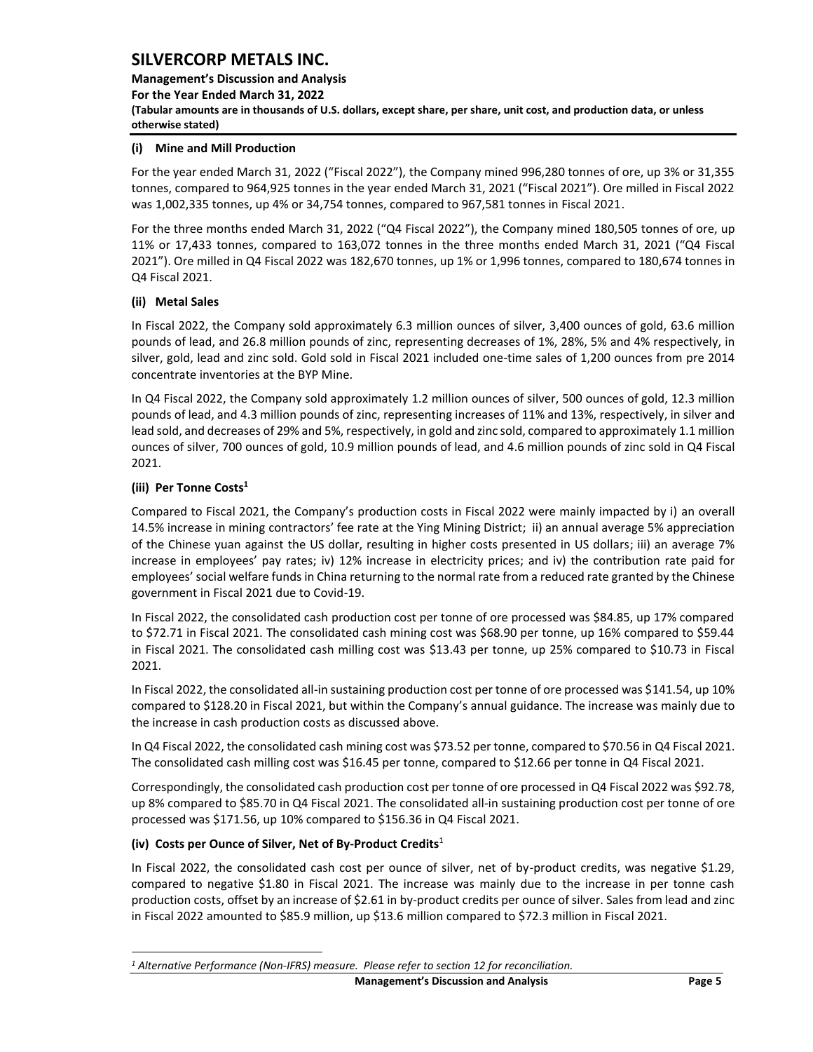**Management's Discussion and Analysis For the Year Ended March 31, 2022 (Tabular amounts are in thousands of U.S. dollars, except share, per share, unit cost, and production data, or unless otherwise stated)** 

### **(i) Mine and Mill Production**

For the year ended March 31, 2022 ("Fiscal 2022"), the Company mined 996,280 tonnes of ore, up 3% or 31,355 tonnes, compared to 964,925 tonnes in the year ended March 31, 2021 ("Fiscal 2021"). Ore milled in Fiscal 2022 was 1,002,335 tonnes, up 4% or 34,754 tonnes, compared to 967,581 tonnes in Fiscal 2021.

For the three months ended March 31, 2022 ("Q4 Fiscal 2022"), the Company mined 180,505 tonnes of ore, up 11% or 17,433 tonnes, compared to 163,072 tonnes in the three months ended March 31, 2021 ("Q4 Fiscal 2021"). Ore milled in Q4 Fiscal 2022 was 182,670 tonnes, up 1% or 1,996 tonnes, compared to 180,674 tonnes in Q4 Fiscal 2021.

## **(ii) Metal Sales**

In Fiscal 2022, the Company sold approximately 6.3 million ounces of silver, 3,400 ounces of gold, 63.6 million pounds of lead, and 26.8 million pounds of zinc, representing decreases of 1%, 28%, 5% and 4% respectively, in silver, gold, lead and zinc sold. Gold sold in Fiscal 2021 included one-time sales of 1,200 ounces from pre 2014 concentrate inventories at the BYP Mine.

In Q4 Fiscal 2022, the Company sold approximately 1.2 million ounces of silver, 500 ounces of gold, 12.3 million pounds of lead, and 4.3 million pounds of zinc, representing increases of 11% and 13%, respectively, in silver and lead sold, and decreases of 29% and 5%, respectively, in gold and zinc sold, compared to approximately 1.1 million ounces of silver, 700 ounces of gold, 10.9 million pounds of lead, and 4.6 million pounds of zinc sold in Q4 Fiscal 2021.

## **(iii) Per Tonne Costs<sup>1</sup>**

Compared to Fiscal 2021, the Company's production costs in Fiscal 2022 were mainly impacted by i) an overall 14.5% increase in mining contractors' fee rate at the Ying Mining District; ii) an annual average 5% appreciation of the Chinese yuan against the US dollar, resulting in higher costs presented in US dollars; iii) an average 7% increase in employees' pay rates; iv) 12% increase in electricity prices; and iv) the contribution rate paid for employees' social welfare funds in China returning to the normal rate from a reduced rate granted by the Chinese government in Fiscal 2021 due to Covid-19.

In Fiscal 2022, the consolidated cash production cost per tonne of ore processed was \$84.85, up 17% compared to \$72.71 in Fiscal 2021. The consolidated cash mining cost was \$68.90 per tonne, up 16% compared to \$59.44 in Fiscal 2021. The consolidated cash milling cost was \$13.43 per tonne, up 25% compared to \$10.73 in Fiscal 2021.

In Fiscal 2022, the consolidated all-in sustaining production cost per tonne of ore processed was \$141.54, up 10% compared to \$128.20 in Fiscal 2021, but within the Company's annual guidance. The increase was mainly due to the increase in cash production costs as discussed above.

In Q4 Fiscal 2022, the consolidated cash mining cost was \$73.52 per tonne, compared to \$70.56 in Q4 Fiscal 2021. The consolidated cash milling cost was \$16.45 per tonne, compared to \$12.66 per tonne in Q4 Fiscal 2021.

Correspondingly, the consolidated cash production cost per tonne of ore processed in Q4 Fiscal 2022 was \$92.78, up 8% compared to \$85.70 in Q4 Fiscal 2021. The consolidated all-in sustaining production cost per tonne of ore processed was \$171.56, up 10% compared to \$156.36 in Q4 Fiscal 2021.

## **(iv) Costs per Ounce of Silver, Net of By-Product Credits**<sup>1</sup>

In Fiscal 2022, the consolidated cash cost per ounce of silver, net of by-product credits, was negative \$1.29, compared to negative \$1.80 in Fiscal 2021. The increase was mainly due to the increase in per tonne cash production costs, offset by an increase of \$2.61 in by-product credits per ounce of silver. Sales from lead and zinc in Fiscal 2022 amounted to \$85.9 million, up \$13.6 million compared to \$72.3 million in Fiscal 2021.

*<sup>1</sup> Alternative Performance (Non-IFRS) measure. Please refer to section 12 for reconciliation.*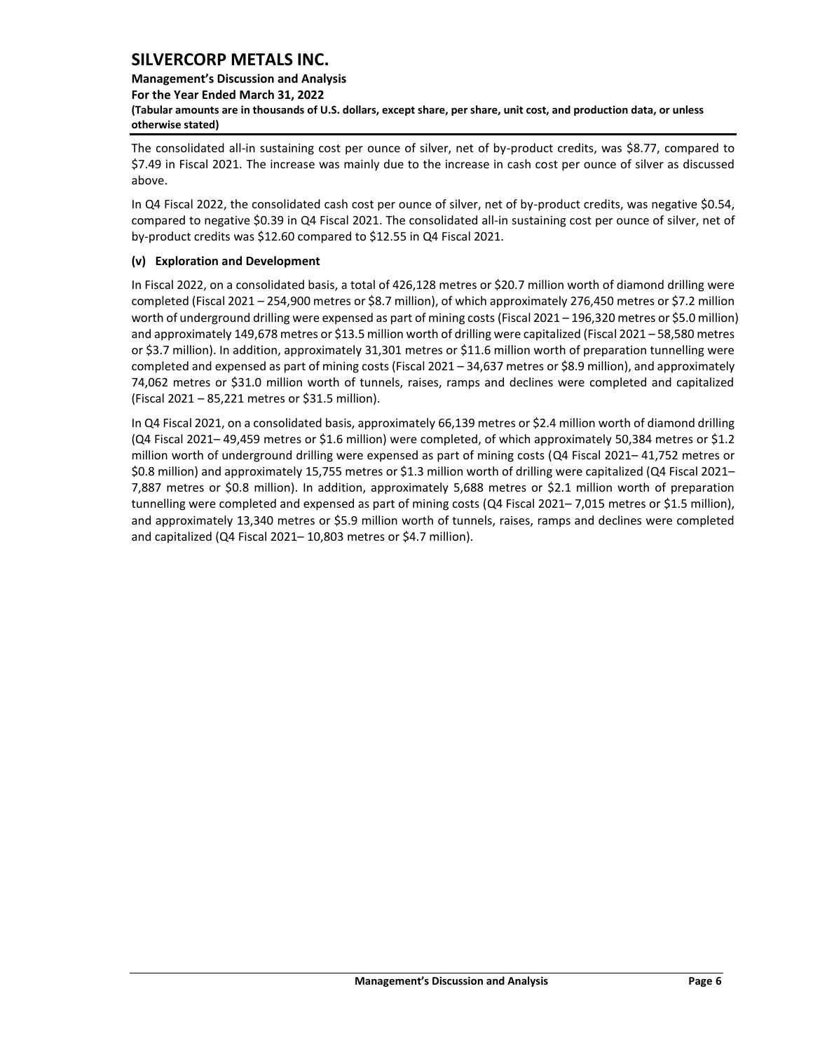## **Management's Discussion and Analysis**

**For the Year Ended March 31, 2022**

**(Tabular amounts are in thousands of U.S. dollars, except share, per share, unit cost, and production data, or unless otherwise stated)** 

The consolidated all-in sustaining cost per ounce of silver, net of by-product credits, was \$8.77, compared to \$7.49 in Fiscal 2021. The increase was mainly due to the increase in cash cost per ounce of silver as discussed above.

In Q4 Fiscal 2022, the consolidated cash cost per ounce of silver, net of by-product credits, was negative \$0.54, compared to negative \$0.39 in Q4 Fiscal 2021. The consolidated all-in sustaining cost per ounce of silver, net of by-product credits was \$12.60 compared to \$12.55 in Q4 Fiscal 2021.

## **(v) Exploration and Development**

In Fiscal 2022, on a consolidated basis, a total of 426,128 metres or \$20.7 million worth of diamond drilling were completed (Fiscal 2021 – 254,900 metres or \$8.7 million), of which approximately 276,450 metres or \$7.2 million worth of underground drilling were expensed as part of mining costs (Fiscal 2021 – 196,320 metres or \$5.0 million) and approximately 149,678 metres or \$13.5 million worth of drilling were capitalized (Fiscal 2021 – 58,580 metres or \$3.7 million). In addition, approximately 31,301 metres or \$11.6 million worth of preparation tunnelling were completed and expensed as part of mining costs (Fiscal 2021 – 34,637 metres or \$8.9 million), and approximately 74,062 metres or \$31.0 million worth of tunnels, raises, ramps and declines were completed and capitalized (Fiscal 2021 – 85,221 metres or \$31.5 million).

In Q4 Fiscal 2021, on a consolidated basis, approximately 66,139 metres or \$2.4 million worth of diamond drilling (Q4 Fiscal 2021– 49,459 metres or \$1.6 million) were completed, of which approximately 50,384 metres or \$1.2 million worth of underground drilling were expensed as part of mining costs (Q4 Fiscal 2021– 41,752 metres or \$0.8 million) and approximately 15,755 metres or \$1.3 million worth of drilling were capitalized (Q4 Fiscal 2021– 7,887 metres or \$0.8 million). In addition, approximately 5,688 metres or \$2.1 million worth of preparation tunnelling were completed and expensed as part of mining costs (Q4 Fiscal 2021– 7,015 metres or \$1.5 million), and approximately 13,340 metres or \$5.9 million worth of tunnels, raises, ramps and declines were completed and capitalized (Q4 Fiscal 2021– 10,803 metres or \$4.7 million).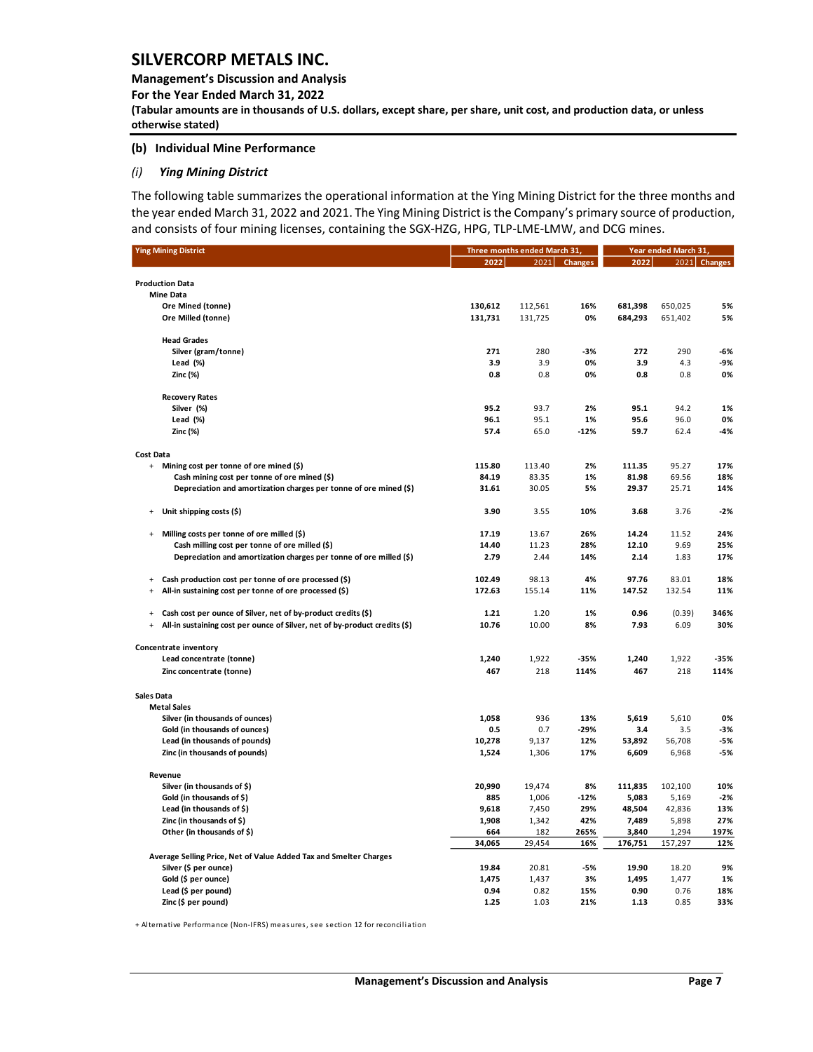**Management's Discussion and Analysis** 

**For the Year Ended March 31, 2022**

**(Tabular amounts are in thousands of U.S. dollars, except share, per share, unit cost, and production data, or unless otherwise stated)** 

### **(b) Individual Mine Performance**

#### *(i) Ying Mining District*

The following table summarizes the operational information at the Ying Mining District for the three months and the year ended March 31, 2022 and 2021. The Ying Mining District is the Company's primary source of production, and consists of four mining licenses, containing the SGX-HZG, HPG, TLP-LME-LMW, and DCG mines.

| 2021<br>2022<br>2021<br><b>Changes</b><br>2022<br><b>Changes</b><br><b>Production Data</b><br><b>Mine Data</b><br>Ore Mined (tonne)<br>130,612<br>112,561<br>16%<br>681,398<br>650,025<br>5%<br>Ore Milled (tonne)<br>131,731<br>131,725<br>0%<br>684,293<br>651,402<br>5%<br><b>Head Grades</b><br>Silver (gram/tonne)<br>271<br>280<br>$-3%$<br>272<br>290<br>$-6%$<br>0%<br>Lead (%)<br>3.9<br>3.9<br>3.9<br>4.3<br>-9%<br>Zinc (%)<br>0.8<br>0.8<br>0%<br>0.8<br>0.8<br>0%<br><b>Recovery Rates</b><br>95.2<br>95.1<br>94.2<br>Silver (%)<br>93.7<br>2%<br>1%<br>96.0<br>Lead (%)<br>96.1<br>95.1<br>1%<br>95.6<br>0%<br>Zinc (%)<br>57.4<br>65.0<br>$-12%$<br>59.7<br>62.4<br>$-4%$<br><b>Cost Data</b><br>115.80<br>2%<br>111.35<br>95.27<br>+ Mining cost per tonne of ore mined (\$)<br>113.40<br>17%<br>Cash mining cost per tonne of ore mined (\$)<br>84.19<br>83.35<br>81.98<br>69.56<br>1%<br>18%<br>Depreciation and amortization charges per tonne of ore mined (\$)<br>31.61<br>30.05<br>5%<br>29.37<br>25.71<br>14%<br>Unit shipping costs (\$)<br>3.90<br>3.55<br>10%<br>3.68<br>3.76<br>$-2%$<br>$\ddot{}$<br>26%<br>14.24<br>11.52<br>Milling costs per tonne of ore milled (\$)<br>17.19<br>13.67<br>24%<br>$\ddot{}$<br>Cash milling cost per tonne of ore milled (\$)<br>14.40<br>9.69<br>11.23<br>28%<br>12.10<br>25%<br>Depreciation and amortization charges per tonne of ore milled (\$)<br>2.79<br>2.44<br>14%<br>2.14<br>1.83<br>17%<br>Cash production cost per tonne of ore processed (\$)<br>102.49<br>98.13<br>4%<br>97.76<br>83.01<br>18%<br>$\ddot{}$<br>All-in sustaining cost per tonne of ore processed (\$)<br>172.63<br>147.52<br>$\ddot{}$<br>155.14<br>11%<br>132.54<br>11%<br>Cash cost per ounce of Silver, net of by-product credits (\$)<br>1.20<br>1%<br>0.96<br>346%<br>1.21<br>(0.39)<br>$\ddot{}$<br>All-in sustaining cost per ounce of Silver, net of by-product credits (\$)<br>10.00<br>8%<br>6.09<br>30%<br>10.76<br>7.93<br>$\begin{array}{c} + \end{array}$<br>Concentrate inventory<br>Lead concentrate (tonne)<br>1,240<br>1,922<br>$-35%$<br>1,240<br>1,922<br>$-35%$<br>Zinc concentrate (tonne)<br>467<br>218<br>114%<br>218<br>114%<br>467<br><b>Sales Data</b><br><b>Metal Sales</b><br>Silver (in thousands of ounces)<br>1,058<br>936<br>13%<br>5,619<br>5,610<br>0%<br>3.5<br>Gold (in thousands of ounces)<br>0.5<br>0.7<br>$-29%$<br>3.4<br>-3%<br>Lead (in thousands of pounds)<br>10,278<br>53,892<br>56,708<br>9,137<br>12%<br>-5%<br>Zinc (in thousands of pounds)<br>1,306<br>17%<br>6,609<br>6,968<br>1,524<br>$-5%$<br>Revenue<br>20,990<br>Silver (in thousands of \$)<br>19,474<br>8%<br>111,835<br>102,100<br>10%<br>Gold (in thousands of \$)<br>1,006<br>5,083<br>885<br>$-12%$<br>5,169<br>$-2%$<br>Lead (in thousands of \$)<br>9,618<br>48,504<br>7,450<br>29%<br>42,836<br>13%<br>Zinc (in thousands of $$$ )<br>1,908<br>1,342<br>42%<br>7,489<br>5,898<br>27%<br>Other (in thousands of \$)<br>265%<br>197%<br>664<br>182<br>3,840<br>1,294<br>34,065<br>29,454<br>16%<br>176,751<br>157,297<br>12%<br>Average Selling Price, Net of Value Added Tax and Smelter Charges<br>Silver (\$ per ounce)<br>19.84<br>20.81<br>$-5%$<br>19.90<br>18.20<br>9%<br>1,475<br>Gold (\$ per ounce)<br>1,437<br>3%<br>1,495<br>1,477<br>1%<br>0.94<br>Lead (\$ per pound)<br>0.82<br>15%<br>0.90<br>0.76<br>18% | <b>Ying Mining District</b> | Three months ended March 31, | Year ended March 31, |  |  |  |
|-----------------------------------------------------------------------------------------------------------------------------------------------------------------------------------------------------------------------------------------------------------------------------------------------------------------------------------------------------------------------------------------------------------------------------------------------------------------------------------------------------------------------------------------------------------------------------------------------------------------------------------------------------------------------------------------------------------------------------------------------------------------------------------------------------------------------------------------------------------------------------------------------------------------------------------------------------------------------------------------------------------------------------------------------------------------------------------------------------------------------------------------------------------------------------------------------------------------------------------------------------------------------------------------------------------------------------------------------------------------------------------------------------------------------------------------------------------------------------------------------------------------------------------------------------------------------------------------------------------------------------------------------------------------------------------------------------------------------------------------------------------------------------------------------------------------------------------------------------------------------------------------------------------------------------------------------------------------------------------------------------------------------------------------------------------------------------------------------------------------------------------------------------------------------------------------------------------------------------------------------------------------------------------------------------------------------------------------------------------------------------------------------------------------------------------------------------------------------------------------------------------------------------------------------------------------------------------------------------------------------------------------------------------------------------------------------------------------------------------------------------------------------------------------------------------------------------------------------------------------------------------------------------------------------------------------------------------------------------------------------------------------------------------------------------------------------------------------------------------------------------------------------------------------------------------------------------------------------------------------------------------------------------------------------------------------------------------------------------------------------------------------|-----------------------------|------------------------------|----------------------|--|--|--|
|                                                                                                                                                                                                                                                                                                                                                                                                                                                                                                                                                                                                                                                                                                                                                                                                                                                                                                                                                                                                                                                                                                                                                                                                                                                                                                                                                                                                                                                                                                                                                                                                                                                                                                                                                                                                                                                                                                                                                                                                                                                                                                                                                                                                                                                                                                                                                                                                                                                                                                                                                                                                                                                                                                                                                                                                                                                                                                                                                                                                                                                                                                                                                                                                                                                                                                                                                                                         |                             |                              |                      |  |  |  |
|                                                                                                                                                                                                                                                                                                                                                                                                                                                                                                                                                                                                                                                                                                                                                                                                                                                                                                                                                                                                                                                                                                                                                                                                                                                                                                                                                                                                                                                                                                                                                                                                                                                                                                                                                                                                                                                                                                                                                                                                                                                                                                                                                                                                                                                                                                                                                                                                                                                                                                                                                                                                                                                                                                                                                                                                                                                                                                                                                                                                                                                                                                                                                                                                                                                                                                                                                                                         |                             |                              |                      |  |  |  |
|                                                                                                                                                                                                                                                                                                                                                                                                                                                                                                                                                                                                                                                                                                                                                                                                                                                                                                                                                                                                                                                                                                                                                                                                                                                                                                                                                                                                                                                                                                                                                                                                                                                                                                                                                                                                                                                                                                                                                                                                                                                                                                                                                                                                                                                                                                                                                                                                                                                                                                                                                                                                                                                                                                                                                                                                                                                                                                                                                                                                                                                                                                                                                                                                                                                                                                                                                                                         |                             |                              |                      |  |  |  |
|                                                                                                                                                                                                                                                                                                                                                                                                                                                                                                                                                                                                                                                                                                                                                                                                                                                                                                                                                                                                                                                                                                                                                                                                                                                                                                                                                                                                                                                                                                                                                                                                                                                                                                                                                                                                                                                                                                                                                                                                                                                                                                                                                                                                                                                                                                                                                                                                                                                                                                                                                                                                                                                                                                                                                                                                                                                                                                                                                                                                                                                                                                                                                                                                                                                                                                                                                                                         |                             |                              |                      |  |  |  |
|                                                                                                                                                                                                                                                                                                                                                                                                                                                                                                                                                                                                                                                                                                                                                                                                                                                                                                                                                                                                                                                                                                                                                                                                                                                                                                                                                                                                                                                                                                                                                                                                                                                                                                                                                                                                                                                                                                                                                                                                                                                                                                                                                                                                                                                                                                                                                                                                                                                                                                                                                                                                                                                                                                                                                                                                                                                                                                                                                                                                                                                                                                                                                                                                                                                                                                                                                                                         |                             |                              |                      |  |  |  |
|                                                                                                                                                                                                                                                                                                                                                                                                                                                                                                                                                                                                                                                                                                                                                                                                                                                                                                                                                                                                                                                                                                                                                                                                                                                                                                                                                                                                                                                                                                                                                                                                                                                                                                                                                                                                                                                                                                                                                                                                                                                                                                                                                                                                                                                                                                                                                                                                                                                                                                                                                                                                                                                                                                                                                                                                                                                                                                                                                                                                                                                                                                                                                                                                                                                                                                                                                                                         |                             |                              |                      |  |  |  |
|                                                                                                                                                                                                                                                                                                                                                                                                                                                                                                                                                                                                                                                                                                                                                                                                                                                                                                                                                                                                                                                                                                                                                                                                                                                                                                                                                                                                                                                                                                                                                                                                                                                                                                                                                                                                                                                                                                                                                                                                                                                                                                                                                                                                                                                                                                                                                                                                                                                                                                                                                                                                                                                                                                                                                                                                                                                                                                                                                                                                                                                                                                                                                                                                                                                                                                                                                                                         |                             |                              |                      |  |  |  |
|                                                                                                                                                                                                                                                                                                                                                                                                                                                                                                                                                                                                                                                                                                                                                                                                                                                                                                                                                                                                                                                                                                                                                                                                                                                                                                                                                                                                                                                                                                                                                                                                                                                                                                                                                                                                                                                                                                                                                                                                                                                                                                                                                                                                                                                                                                                                                                                                                                                                                                                                                                                                                                                                                                                                                                                                                                                                                                                                                                                                                                                                                                                                                                                                                                                                                                                                                                                         |                             |                              |                      |  |  |  |
|                                                                                                                                                                                                                                                                                                                                                                                                                                                                                                                                                                                                                                                                                                                                                                                                                                                                                                                                                                                                                                                                                                                                                                                                                                                                                                                                                                                                                                                                                                                                                                                                                                                                                                                                                                                                                                                                                                                                                                                                                                                                                                                                                                                                                                                                                                                                                                                                                                                                                                                                                                                                                                                                                                                                                                                                                                                                                                                                                                                                                                                                                                                                                                                                                                                                                                                                                                                         |                             |                              |                      |  |  |  |
|                                                                                                                                                                                                                                                                                                                                                                                                                                                                                                                                                                                                                                                                                                                                                                                                                                                                                                                                                                                                                                                                                                                                                                                                                                                                                                                                                                                                                                                                                                                                                                                                                                                                                                                                                                                                                                                                                                                                                                                                                                                                                                                                                                                                                                                                                                                                                                                                                                                                                                                                                                                                                                                                                                                                                                                                                                                                                                                                                                                                                                                                                                                                                                                                                                                                                                                                                                                         |                             |                              |                      |  |  |  |
|                                                                                                                                                                                                                                                                                                                                                                                                                                                                                                                                                                                                                                                                                                                                                                                                                                                                                                                                                                                                                                                                                                                                                                                                                                                                                                                                                                                                                                                                                                                                                                                                                                                                                                                                                                                                                                                                                                                                                                                                                                                                                                                                                                                                                                                                                                                                                                                                                                                                                                                                                                                                                                                                                                                                                                                                                                                                                                                                                                                                                                                                                                                                                                                                                                                                                                                                                                                         |                             |                              |                      |  |  |  |
|                                                                                                                                                                                                                                                                                                                                                                                                                                                                                                                                                                                                                                                                                                                                                                                                                                                                                                                                                                                                                                                                                                                                                                                                                                                                                                                                                                                                                                                                                                                                                                                                                                                                                                                                                                                                                                                                                                                                                                                                                                                                                                                                                                                                                                                                                                                                                                                                                                                                                                                                                                                                                                                                                                                                                                                                                                                                                                                                                                                                                                                                                                                                                                                                                                                                                                                                                                                         |                             |                              |                      |  |  |  |
|                                                                                                                                                                                                                                                                                                                                                                                                                                                                                                                                                                                                                                                                                                                                                                                                                                                                                                                                                                                                                                                                                                                                                                                                                                                                                                                                                                                                                                                                                                                                                                                                                                                                                                                                                                                                                                                                                                                                                                                                                                                                                                                                                                                                                                                                                                                                                                                                                                                                                                                                                                                                                                                                                                                                                                                                                                                                                                                                                                                                                                                                                                                                                                                                                                                                                                                                                                                         |                             |                              |                      |  |  |  |
|                                                                                                                                                                                                                                                                                                                                                                                                                                                                                                                                                                                                                                                                                                                                                                                                                                                                                                                                                                                                                                                                                                                                                                                                                                                                                                                                                                                                                                                                                                                                                                                                                                                                                                                                                                                                                                                                                                                                                                                                                                                                                                                                                                                                                                                                                                                                                                                                                                                                                                                                                                                                                                                                                                                                                                                                                                                                                                                                                                                                                                                                                                                                                                                                                                                                                                                                                                                         |                             |                              |                      |  |  |  |
|                                                                                                                                                                                                                                                                                                                                                                                                                                                                                                                                                                                                                                                                                                                                                                                                                                                                                                                                                                                                                                                                                                                                                                                                                                                                                                                                                                                                                                                                                                                                                                                                                                                                                                                                                                                                                                                                                                                                                                                                                                                                                                                                                                                                                                                                                                                                                                                                                                                                                                                                                                                                                                                                                                                                                                                                                                                                                                                                                                                                                                                                                                                                                                                                                                                                                                                                                                                         |                             |                              |                      |  |  |  |
|                                                                                                                                                                                                                                                                                                                                                                                                                                                                                                                                                                                                                                                                                                                                                                                                                                                                                                                                                                                                                                                                                                                                                                                                                                                                                                                                                                                                                                                                                                                                                                                                                                                                                                                                                                                                                                                                                                                                                                                                                                                                                                                                                                                                                                                                                                                                                                                                                                                                                                                                                                                                                                                                                                                                                                                                                                                                                                                                                                                                                                                                                                                                                                                                                                                                                                                                                                                         |                             |                              |                      |  |  |  |
|                                                                                                                                                                                                                                                                                                                                                                                                                                                                                                                                                                                                                                                                                                                                                                                                                                                                                                                                                                                                                                                                                                                                                                                                                                                                                                                                                                                                                                                                                                                                                                                                                                                                                                                                                                                                                                                                                                                                                                                                                                                                                                                                                                                                                                                                                                                                                                                                                                                                                                                                                                                                                                                                                                                                                                                                                                                                                                                                                                                                                                                                                                                                                                                                                                                                                                                                                                                         |                             |                              |                      |  |  |  |
|                                                                                                                                                                                                                                                                                                                                                                                                                                                                                                                                                                                                                                                                                                                                                                                                                                                                                                                                                                                                                                                                                                                                                                                                                                                                                                                                                                                                                                                                                                                                                                                                                                                                                                                                                                                                                                                                                                                                                                                                                                                                                                                                                                                                                                                                                                                                                                                                                                                                                                                                                                                                                                                                                                                                                                                                                                                                                                                                                                                                                                                                                                                                                                                                                                                                                                                                                                                         |                             |                              |                      |  |  |  |
|                                                                                                                                                                                                                                                                                                                                                                                                                                                                                                                                                                                                                                                                                                                                                                                                                                                                                                                                                                                                                                                                                                                                                                                                                                                                                                                                                                                                                                                                                                                                                                                                                                                                                                                                                                                                                                                                                                                                                                                                                                                                                                                                                                                                                                                                                                                                                                                                                                                                                                                                                                                                                                                                                                                                                                                                                                                                                                                                                                                                                                                                                                                                                                                                                                                                                                                                                                                         |                             |                              |                      |  |  |  |
|                                                                                                                                                                                                                                                                                                                                                                                                                                                                                                                                                                                                                                                                                                                                                                                                                                                                                                                                                                                                                                                                                                                                                                                                                                                                                                                                                                                                                                                                                                                                                                                                                                                                                                                                                                                                                                                                                                                                                                                                                                                                                                                                                                                                                                                                                                                                                                                                                                                                                                                                                                                                                                                                                                                                                                                                                                                                                                                                                                                                                                                                                                                                                                                                                                                                                                                                                                                         |                             |                              |                      |  |  |  |
|                                                                                                                                                                                                                                                                                                                                                                                                                                                                                                                                                                                                                                                                                                                                                                                                                                                                                                                                                                                                                                                                                                                                                                                                                                                                                                                                                                                                                                                                                                                                                                                                                                                                                                                                                                                                                                                                                                                                                                                                                                                                                                                                                                                                                                                                                                                                                                                                                                                                                                                                                                                                                                                                                                                                                                                                                                                                                                                                                                                                                                                                                                                                                                                                                                                                                                                                                                                         |                             |                              |                      |  |  |  |
|                                                                                                                                                                                                                                                                                                                                                                                                                                                                                                                                                                                                                                                                                                                                                                                                                                                                                                                                                                                                                                                                                                                                                                                                                                                                                                                                                                                                                                                                                                                                                                                                                                                                                                                                                                                                                                                                                                                                                                                                                                                                                                                                                                                                                                                                                                                                                                                                                                                                                                                                                                                                                                                                                                                                                                                                                                                                                                                                                                                                                                                                                                                                                                                                                                                                                                                                                                                         |                             |                              |                      |  |  |  |
|                                                                                                                                                                                                                                                                                                                                                                                                                                                                                                                                                                                                                                                                                                                                                                                                                                                                                                                                                                                                                                                                                                                                                                                                                                                                                                                                                                                                                                                                                                                                                                                                                                                                                                                                                                                                                                                                                                                                                                                                                                                                                                                                                                                                                                                                                                                                                                                                                                                                                                                                                                                                                                                                                                                                                                                                                                                                                                                                                                                                                                                                                                                                                                                                                                                                                                                                                                                         |                             |                              |                      |  |  |  |
|                                                                                                                                                                                                                                                                                                                                                                                                                                                                                                                                                                                                                                                                                                                                                                                                                                                                                                                                                                                                                                                                                                                                                                                                                                                                                                                                                                                                                                                                                                                                                                                                                                                                                                                                                                                                                                                                                                                                                                                                                                                                                                                                                                                                                                                                                                                                                                                                                                                                                                                                                                                                                                                                                                                                                                                                                                                                                                                                                                                                                                                                                                                                                                                                                                                                                                                                                                                         |                             |                              |                      |  |  |  |
|                                                                                                                                                                                                                                                                                                                                                                                                                                                                                                                                                                                                                                                                                                                                                                                                                                                                                                                                                                                                                                                                                                                                                                                                                                                                                                                                                                                                                                                                                                                                                                                                                                                                                                                                                                                                                                                                                                                                                                                                                                                                                                                                                                                                                                                                                                                                                                                                                                                                                                                                                                                                                                                                                                                                                                                                                                                                                                                                                                                                                                                                                                                                                                                                                                                                                                                                                                                         |                             |                              |                      |  |  |  |
|                                                                                                                                                                                                                                                                                                                                                                                                                                                                                                                                                                                                                                                                                                                                                                                                                                                                                                                                                                                                                                                                                                                                                                                                                                                                                                                                                                                                                                                                                                                                                                                                                                                                                                                                                                                                                                                                                                                                                                                                                                                                                                                                                                                                                                                                                                                                                                                                                                                                                                                                                                                                                                                                                                                                                                                                                                                                                                                                                                                                                                                                                                                                                                                                                                                                                                                                                                                         |                             |                              |                      |  |  |  |
|                                                                                                                                                                                                                                                                                                                                                                                                                                                                                                                                                                                                                                                                                                                                                                                                                                                                                                                                                                                                                                                                                                                                                                                                                                                                                                                                                                                                                                                                                                                                                                                                                                                                                                                                                                                                                                                                                                                                                                                                                                                                                                                                                                                                                                                                                                                                                                                                                                                                                                                                                                                                                                                                                                                                                                                                                                                                                                                                                                                                                                                                                                                                                                                                                                                                                                                                                                                         |                             |                              |                      |  |  |  |
|                                                                                                                                                                                                                                                                                                                                                                                                                                                                                                                                                                                                                                                                                                                                                                                                                                                                                                                                                                                                                                                                                                                                                                                                                                                                                                                                                                                                                                                                                                                                                                                                                                                                                                                                                                                                                                                                                                                                                                                                                                                                                                                                                                                                                                                                                                                                                                                                                                                                                                                                                                                                                                                                                                                                                                                                                                                                                                                                                                                                                                                                                                                                                                                                                                                                                                                                                                                         |                             |                              |                      |  |  |  |
|                                                                                                                                                                                                                                                                                                                                                                                                                                                                                                                                                                                                                                                                                                                                                                                                                                                                                                                                                                                                                                                                                                                                                                                                                                                                                                                                                                                                                                                                                                                                                                                                                                                                                                                                                                                                                                                                                                                                                                                                                                                                                                                                                                                                                                                                                                                                                                                                                                                                                                                                                                                                                                                                                                                                                                                                                                                                                                                                                                                                                                                                                                                                                                                                                                                                                                                                                                                         |                             |                              |                      |  |  |  |
|                                                                                                                                                                                                                                                                                                                                                                                                                                                                                                                                                                                                                                                                                                                                                                                                                                                                                                                                                                                                                                                                                                                                                                                                                                                                                                                                                                                                                                                                                                                                                                                                                                                                                                                                                                                                                                                                                                                                                                                                                                                                                                                                                                                                                                                                                                                                                                                                                                                                                                                                                                                                                                                                                                                                                                                                                                                                                                                                                                                                                                                                                                                                                                                                                                                                                                                                                                                         |                             |                              |                      |  |  |  |
|                                                                                                                                                                                                                                                                                                                                                                                                                                                                                                                                                                                                                                                                                                                                                                                                                                                                                                                                                                                                                                                                                                                                                                                                                                                                                                                                                                                                                                                                                                                                                                                                                                                                                                                                                                                                                                                                                                                                                                                                                                                                                                                                                                                                                                                                                                                                                                                                                                                                                                                                                                                                                                                                                                                                                                                                                                                                                                                                                                                                                                                                                                                                                                                                                                                                                                                                                                                         |                             |                              |                      |  |  |  |
|                                                                                                                                                                                                                                                                                                                                                                                                                                                                                                                                                                                                                                                                                                                                                                                                                                                                                                                                                                                                                                                                                                                                                                                                                                                                                                                                                                                                                                                                                                                                                                                                                                                                                                                                                                                                                                                                                                                                                                                                                                                                                                                                                                                                                                                                                                                                                                                                                                                                                                                                                                                                                                                                                                                                                                                                                                                                                                                                                                                                                                                                                                                                                                                                                                                                                                                                                                                         |                             |                              |                      |  |  |  |
|                                                                                                                                                                                                                                                                                                                                                                                                                                                                                                                                                                                                                                                                                                                                                                                                                                                                                                                                                                                                                                                                                                                                                                                                                                                                                                                                                                                                                                                                                                                                                                                                                                                                                                                                                                                                                                                                                                                                                                                                                                                                                                                                                                                                                                                                                                                                                                                                                                                                                                                                                                                                                                                                                                                                                                                                                                                                                                                                                                                                                                                                                                                                                                                                                                                                                                                                                                                         |                             |                              |                      |  |  |  |
|                                                                                                                                                                                                                                                                                                                                                                                                                                                                                                                                                                                                                                                                                                                                                                                                                                                                                                                                                                                                                                                                                                                                                                                                                                                                                                                                                                                                                                                                                                                                                                                                                                                                                                                                                                                                                                                                                                                                                                                                                                                                                                                                                                                                                                                                                                                                                                                                                                                                                                                                                                                                                                                                                                                                                                                                                                                                                                                                                                                                                                                                                                                                                                                                                                                                                                                                                                                         |                             |                              |                      |  |  |  |
|                                                                                                                                                                                                                                                                                                                                                                                                                                                                                                                                                                                                                                                                                                                                                                                                                                                                                                                                                                                                                                                                                                                                                                                                                                                                                                                                                                                                                                                                                                                                                                                                                                                                                                                                                                                                                                                                                                                                                                                                                                                                                                                                                                                                                                                                                                                                                                                                                                                                                                                                                                                                                                                                                                                                                                                                                                                                                                                                                                                                                                                                                                                                                                                                                                                                                                                                                                                         |                             |                              |                      |  |  |  |
|                                                                                                                                                                                                                                                                                                                                                                                                                                                                                                                                                                                                                                                                                                                                                                                                                                                                                                                                                                                                                                                                                                                                                                                                                                                                                                                                                                                                                                                                                                                                                                                                                                                                                                                                                                                                                                                                                                                                                                                                                                                                                                                                                                                                                                                                                                                                                                                                                                                                                                                                                                                                                                                                                                                                                                                                                                                                                                                                                                                                                                                                                                                                                                                                                                                                                                                                                                                         |                             |                              |                      |  |  |  |
|                                                                                                                                                                                                                                                                                                                                                                                                                                                                                                                                                                                                                                                                                                                                                                                                                                                                                                                                                                                                                                                                                                                                                                                                                                                                                                                                                                                                                                                                                                                                                                                                                                                                                                                                                                                                                                                                                                                                                                                                                                                                                                                                                                                                                                                                                                                                                                                                                                                                                                                                                                                                                                                                                                                                                                                                                                                                                                                                                                                                                                                                                                                                                                                                                                                                                                                                                                                         |                             |                              |                      |  |  |  |
|                                                                                                                                                                                                                                                                                                                                                                                                                                                                                                                                                                                                                                                                                                                                                                                                                                                                                                                                                                                                                                                                                                                                                                                                                                                                                                                                                                                                                                                                                                                                                                                                                                                                                                                                                                                                                                                                                                                                                                                                                                                                                                                                                                                                                                                                                                                                                                                                                                                                                                                                                                                                                                                                                                                                                                                                                                                                                                                                                                                                                                                                                                                                                                                                                                                                                                                                                                                         |                             |                              |                      |  |  |  |
|                                                                                                                                                                                                                                                                                                                                                                                                                                                                                                                                                                                                                                                                                                                                                                                                                                                                                                                                                                                                                                                                                                                                                                                                                                                                                                                                                                                                                                                                                                                                                                                                                                                                                                                                                                                                                                                                                                                                                                                                                                                                                                                                                                                                                                                                                                                                                                                                                                                                                                                                                                                                                                                                                                                                                                                                                                                                                                                                                                                                                                                                                                                                                                                                                                                                                                                                                                                         |                             |                              |                      |  |  |  |
|                                                                                                                                                                                                                                                                                                                                                                                                                                                                                                                                                                                                                                                                                                                                                                                                                                                                                                                                                                                                                                                                                                                                                                                                                                                                                                                                                                                                                                                                                                                                                                                                                                                                                                                                                                                                                                                                                                                                                                                                                                                                                                                                                                                                                                                                                                                                                                                                                                                                                                                                                                                                                                                                                                                                                                                                                                                                                                                                                                                                                                                                                                                                                                                                                                                                                                                                                                                         |                             |                              |                      |  |  |  |
|                                                                                                                                                                                                                                                                                                                                                                                                                                                                                                                                                                                                                                                                                                                                                                                                                                                                                                                                                                                                                                                                                                                                                                                                                                                                                                                                                                                                                                                                                                                                                                                                                                                                                                                                                                                                                                                                                                                                                                                                                                                                                                                                                                                                                                                                                                                                                                                                                                                                                                                                                                                                                                                                                                                                                                                                                                                                                                                                                                                                                                                                                                                                                                                                                                                                                                                                                                                         |                             |                              |                      |  |  |  |
|                                                                                                                                                                                                                                                                                                                                                                                                                                                                                                                                                                                                                                                                                                                                                                                                                                                                                                                                                                                                                                                                                                                                                                                                                                                                                                                                                                                                                                                                                                                                                                                                                                                                                                                                                                                                                                                                                                                                                                                                                                                                                                                                                                                                                                                                                                                                                                                                                                                                                                                                                                                                                                                                                                                                                                                                                                                                                                                                                                                                                                                                                                                                                                                                                                                                                                                                                                                         |                             |                              |                      |  |  |  |
|                                                                                                                                                                                                                                                                                                                                                                                                                                                                                                                                                                                                                                                                                                                                                                                                                                                                                                                                                                                                                                                                                                                                                                                                                                                                                                                                                                                                                                                                                                                                                                                                                                                                                                                                                                                                                                                                                                                                                                                                                                                                                                                                                                                                                                                                                                                                                                                                                                                                                                                                                                                                                                                                                                                                                                                                                                                                                                                                                                                                                                                                                                                                                                                                                                                                                                                                                                                         |                             |                              |                      |  |  |  |
| 21%<br>0.85<br>1.25<br>1.03<br>1.13<br>33%                                                                                                                                                                                                                                                                                                                                                                                                                                                                                                                                                                                                                                                                                                                                                                                                                                                                                                                                                                                                                                                                                                                                                                                                                                                                                                                                                                                                                                                                                                                                                                                                                                                                                                                                                                                                                                                                                                                                                                                                                                                                                                                                                                                                                                                                                                                                                                                                                                                                                                                                                                                                                                                                                                                                                                                                                                                                                                                                                                                                                                                                                                                                                                                                                                                                                                                                              | Zinc (\$ per pound)         |                              |                      |  |  |  |

+ Alternative Performance (Non-IFRS) measures, see section 12 for reconciliation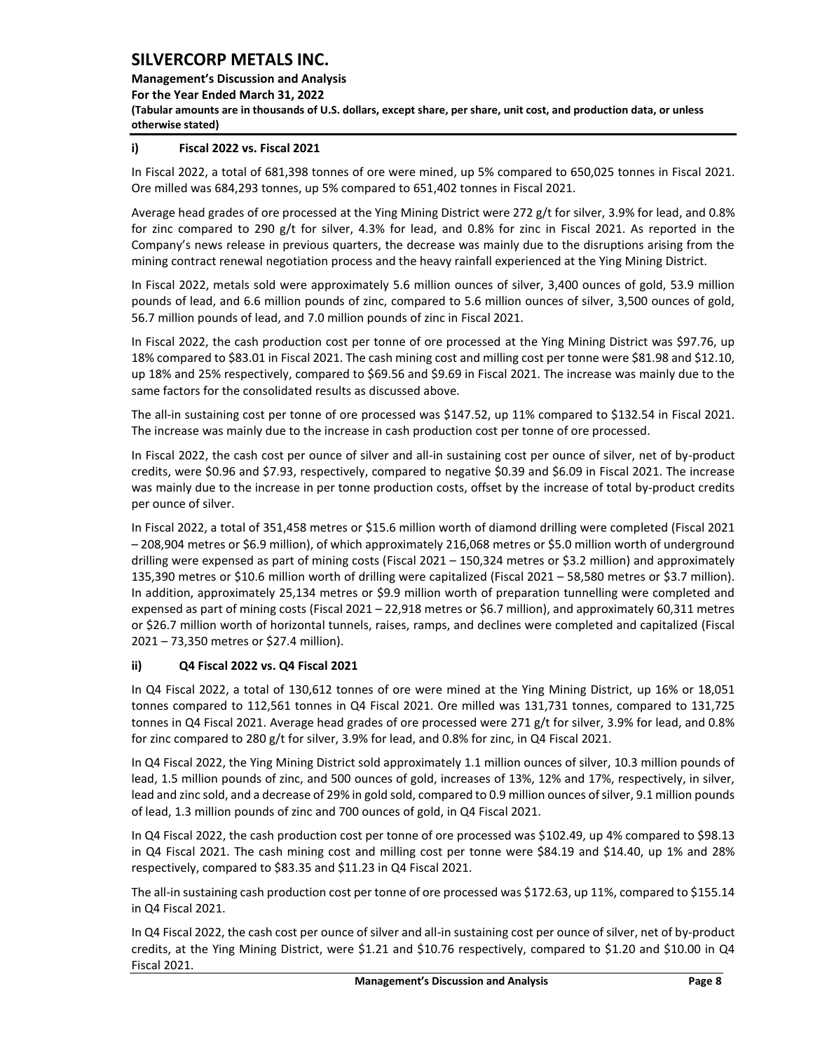**Management's Discussion and Analysis** 

**For the Year Ended March 31, 2022**

**(Tabular amounts are in thousands of U.S. dollars, except share, per share, unit cost, and production data, or unless otherwise stated)** 

## **i) Fiscal 2022 vs. Fiscal 2021**

In Fiscal 2022, a total of 681,398 tonnes of ore were mined, up 5% compared to 650,025 tonnes in Fiscal 2021. Ore milled was 684,293 tonnes, up 5% compared to 651,402 tonnes in Fiscal 2021.

Average head grades of ore processed at the Ying Mining District were 272 g/t for silver, 3.9% for lead, and 0.8% for zinc compared to 290 g/t for silver, 4.3% for lead, and 0.8% for zinc in Fiscal 2021. As reported in the Company's news release in previous quarters, the decrease was mainly due to the disruptions arising from the mining contract renewal negotiation process and the heavy rainfall experienced at the Ying Mining District.

In Fiscal 2022, metals sold were approximately 5.6 million ounces of silver, 3,400 ounces of gold, 53.9 million pounds of lead, and 6.6 million pounds of zinc, compared to 5.6 million ounces of silver, 3,500 ounces of gold, 56.7 million pounds of lead, and 7.0 million pounds of zinc in Fiscal 2021.

In Fiscal 2022, the cash production cost per tonne of ore processed at the Ying Mining District was \$97.76, up 18% compared to \$83.01 in Fiscal 2021. The cash mining cost and milling cost per tonne were \$81.98 and \$12.10, up 18% and 25% respectively, compared to \$69.56 and \$9.69 in Fiscal 2021. The increase was mainly due to the same factors for the consolidated results as discussed above.

The all-in sustaining cost per tonne of ore processed was \$147.52, up 11% compared to \$132.54 in Fiscal 2021. The increase was mainly due to the increase in cash production cost per tonne of ore processed.

In Fiscal 2022, the cash cost per ounce of silver and all-in sustaining cost per ounce of silver, net of by-product credits, were \$0.96 and \$7.93, respectively, compared to negative \$0.39 and \$6.09 in Fiscal 2021. The increase was mainly due to the increase in per tonne production costs, offset by the increase of total by-product credits per ounce of silver.

In Fiscal 2022, a total of 351,458 metres or \$15.6 million worth of diamond drilling were completed (Fiscal 2021 – 208,904 metres or \$6.9 million), of which approximately 216,068 metres or \$5.0 million worth of underground drilling were expensed as part of mining costs (Fiscal 2021 – 150,324 metres or \$3.2 million) and approximately 135,390 metres or \$10.6 million worth of drilling were capitalized (Fiscal 2021 – 58,580 metres or \$3.7 million). In addition, approximately 25,134 metres or \$9.9 million worth of preparation tunnelling were completed and expensed as part of mining costs (Fiscal 2021 – 22,918 metres or \$6.7 million), and approximately 60,311 metres or \$26.7 million worth of horizontal tunnels, raises, ramps, and declines were completed and capitalized (Fiscal 2021 – 73,350 metres or \$27.4 million).

## **ii) Q4 Fiscal 2022 vs. Q4 Fiscal 2021**

In Q4 Fiscal 2022, a total of 130,612 tonnes of ore were mined at the Ying Mining District, up 16% or 18,051 tonnes compared to 112,561 tonnes in Q4 Fiscal 2021. Ore milled was 131,731 tonnes, compared to 131,725 tonnes in Q4 Fiscal 2021. Average head grades of ore processed were 271 g/t for silver, 3.9% for lead, and 0.8% for zinc compared to 280 g/t for silver, 3.9% for lead, and 0.8% for zinc, in Q4 Fiscal 2021.

In Q4 Fiscal 2022, the Ying Mining District sold approximately 1.1 million ounces of silver, 10.3 million pounds of lead, 1.5 million pounds of zinc, and 500 ounces of gold, increases of 13%, 12% and 17%, respectively, in silver, lead and zinc sold, and a decrease of 29% in gold sold, compared to 0.9 million ounces of silver, 9.1 million pounds of lead, 1.3 million pounds of zinc and 700 ounces of gold, in Q4 Fiscal 2021.

In Q4 Fiscal 2022, the cash production cost per tonne of ore processed was \$102.49, up 4% compared to \$98.13 in Q4 Fiscal 2021. The cash mining cost and milling cost per tonne were \$84.19 and \$14.40, up 1% and 28% respectively, compared to \$83.35 and \$11.23 in Q4 Fiscal 2021.

The all-in sustaining cash production cost per tonne of ore processed was \$172.63, up 11%, compared to \$155.14 in Q4 Fiscal 2021.

In Q4 Fiscal 2022, the cash cost per ounce of silver and all-in sustaining cost per ounce of silver, net of by-product credits, at the Ying Mining District, were \$1.21 and \$10.76 respectively, compared to \$1.20 and \$10.00 in Q4 Fiscal 2021.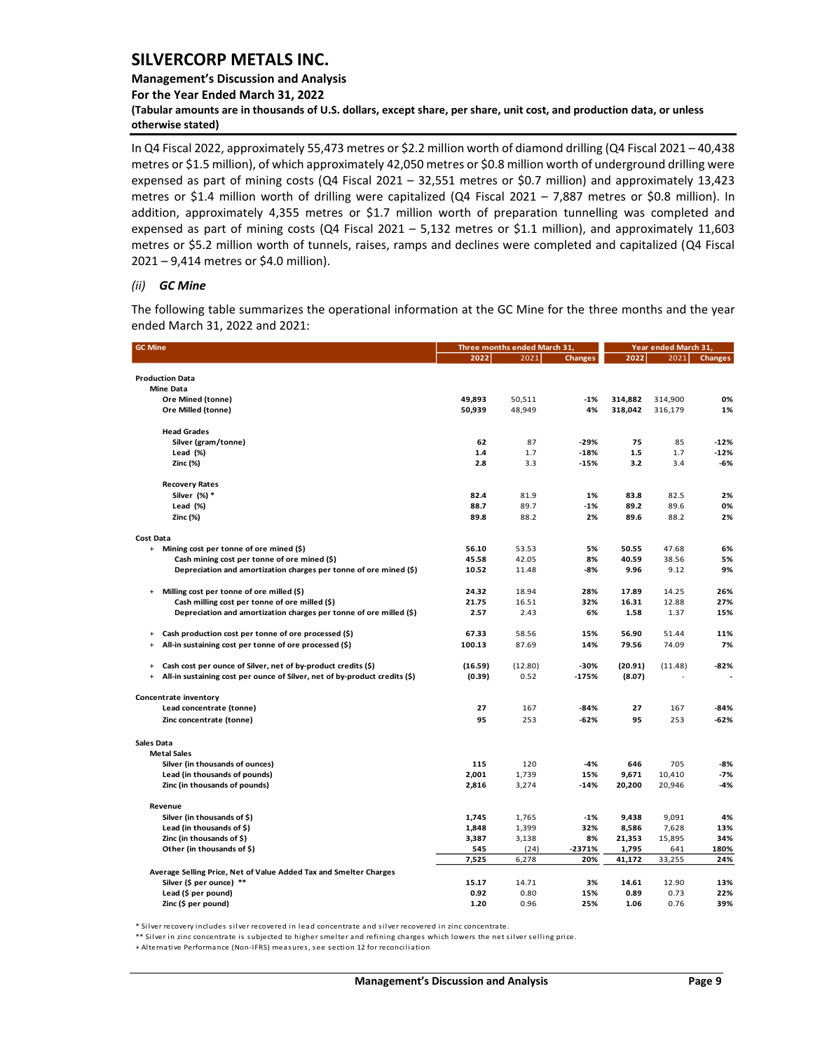## **Management's Discussion and Analysis**

**For the Year Ended March 31, 2022**

**(Tabular amounts are in thousands of U.S. dollars, except share, per share, unit cost, and production data, or unless otherwise stated)** 

In Q4 Fiscal 2022, approximately 55,473 metres or \$2.2 million worth of diamond drilling (Q4 Fiscal 2021 – 40,438 metres or \$1.5 million), of which approximately 42,050 metres or \$0.8 million worth of underground drilling were expensed as part of mining costs (Q4 Fiscal 2021 – 32,551 metres or \$0.7 million) and approximately 13,423 metres or \$1.4 million worth of drilling were capitalized (Q4 Fiscal 2021 – 7,887 metres or \$0.8 million). In addition, approximately 4,355 metres or \$1.7 million worth of preparation tunnelling was completed and expensed as part of mining costs (Q4 Fiscal 2021 – 5,132 metres or \$1.1 million), and approximately 11,603 metres or \$5.2 million worth of tunnels, raises, ramps and declines were completed and capitalized (Q4 Fiscal 2021 – 9,414 metres or \$4.0 million).

#### *(ii) GC Mine*

The following table summarizes the operational information at the GC Mine for the three months and the year ended March 31, 2022 and 2021:

| <b>GC Mine</b>                                                                          |         | Three months ended March 31 | Year ended March 31, |         |         |                |
|-----------------------------------------------------------------------------------------|---------|-----------------------------|----------------------|---------|---------|----------------|
|                                                                                         | 2022    | 2021                        | <b>Changes</b>       | 2022    | 2021    | <b>Changes</b> |
| Production Data                                                                         |         |                             |                      |         |         |                |
| <b>Mine Data</b>                                                                        |         |                             |                      |         |         |                |
| Ore Mined (tonne)                                                                       | 49,893  | 50,511                      | $-1%$                | 314,882 | 314,900 | 0%             |
| Ore Milled (tonne)                                                                      | 50,939  | 48,949                      | 4%                   | 318,042 | 316,179 | 1%             |
| <b>Head Grades</b>                                                                      |         |                             |                      |         |         |                |
| Silver (gram/tonne)                                                                     | 62      | 87                          | $-29%$               | 75      | 85      | $-12%$         |
| Lead (%)                                                                                | 1.4     | 1.7                         | $-18%$               | 1.5     | 1.7     | $-12%$         |
| Zinc (%)                                                                                | 2.8     | 3.3                         | $-15%$               | 3.2     | 3.4     | $-6%$          |
| <b>Recovery Rates</b>                                                                   |         |                             |                      |         |         |                |
| Silver (%) *                                                                            | 82.4    | 81.9                        | 1%                   | 83.8    | 82.5    | 2%             |
| Lead (%)                                                                                | 88.7    | 89.7                        | $-1%$                | 89.2    | 89.6    | 0%             |
| Zinc (%)                                                                                | 89.8    | 88.2                        | 2%                   | 89.6    | 88.2    | 2%             |
| Cost Data                                                                               |         |                             |                      |         |         |                |
| Mining cost per tonne of ore mined (\$)<br>$+$                                          | 56.10   | 53.53                       | 5%                   | 50.55   | 47.68   | 6%             |
| Cash mining cost per tonne of ore mined (\$)                                            | 45.58   | 42.05                       | 8%                   | 40.59   | 38.56   | 5%             |
| Depreciation and amortization charges per tonne of ore mined (\$)                       | 10.52   | 11.48                       | -8%                  | 9.96    | 9.12    | 9%             |
| Milling cost per tonne of ore milled (\$)<br>$\ddot{}$                                  | 24.32   | 18.94                       | 28%                  | 17.89   | 14.25   | 26%            |
| Cash milling cost per tonne of ore milled (\$)                                          | 21.75   | 16.51                       | 32%                  | 16.31   | 12.88   | 27%            |
| Depreciation and amortization charges per tonne of ore milled (\$)                      | 2.57    | 2.43                        | 6%                   | 1.58    | 1.37    | 15%            |
| Cash production cost per tonne of ore processed (\$)<br>$\ddot{}$                       | 67.33   | 58.56                       | 15%                  | 56.90   | 51.44   | 11%            |
| All-in sustaining cost per tonne of ore processed (\$)<br>$\ddot{}$                     | 100.13  | 87.69                       | 14%                  | 79.56   | 74.09   | 7%             |
| Cash cost per ounce of Silver, net of by-product credits (\$)<br>$\ddot{}$              | (16.59) | (12.80)                     | -30%                 | (20.91) | (11.48) | $-82%$         |
| All-in sustaining cost per ounce of Silver, net of by-product credits (\$)<br>$\ddot{}$ | (0.39)  | 0.52                        | $-175%$              | (8.07)  |         |                |
| Concentrate inventory                                                                   |         |                             |                      |         |         |                |
| Lead concentrate (tonne)                                                                | 27      | 167                         | $-84%$               | 27      | 167     | $-84%$         |
| Zinc concentrate (tonne)                                                                | 95      | 253                         | $-62%$               | 95      | 253     | $-62%$         |
| Sales Data                                                                              |         |                             |                      |         |         |                |
| <b>Metal Sales</b>                                                                      |         |                             |                      |         |         |                |
| Silver (in thousands of ounces)                                                         | 115     | 120                         | -4%                  | 646     | 705     | $-8%$          |
| Lead (in thousands of pounds)                                                           | 2,001   | 1,739                       | 15%                  | 9,671   | 10,410  | $-7%$          |
| Zinc (in thousands of pounds)                                                           | 2,816   | 3,274                       | $-14%$               | 20,200  | 20,946  | $-4%$          |
| Revenue                                                                                 |         |                             |                      |         |         |                |
| Silver (in thousands of \$)                                                             | 1,745   | 1,765                       | $-1%$                | 9,438   | 9,091   | 4%             |
| Lead (in thousands of \$)                                                               | 1,848   | 1,399                       | 32%                  | 8,586   | 7,628   | 13%            |
| Zinc (in thousands of \$)                                                               | 3,387   | 3,138                       | 8%                   | 21,353  | 15,895  | 34%            |
| Other (in thousands of \$)                                                              | 545     | (24)                        | $-2371%$             | 1,795   | 641     | 180%           |
|                                                                                         | 7,525   | 6,278                       | 20%                  | 41,172  | 33,255  | 24%            |
| Average Selling Price, Net of Value Added Tax and Smelter Charges                       |         |                             |                      |         |         |                |
| Silver (\$ per ounce) **                                                                | 15.17   | 14.71                       | 3%                   | 14.61   | 12.90   | 13%            |
| Lead (\$ per pound)                                                                     | 0.92    | 0.80                        | 15%                  | 0.89    | 0.73    | 22%            |
| Zinc (\$ per pound)                                                                     | 1.20    | 0.96                        | 25%                  | 1.06    | 0.76    | 39%            |

\* Silver recovery includes silver recovered in lead concentrate and silver recovered in zinc concentrate.

\*\* Silver in zinc concentrate is subjected to higher smelter and refining charges which lowers the net silver selling price.

+ Alternative Performance (Non-IFRS) measures, see section 12 for reconciliation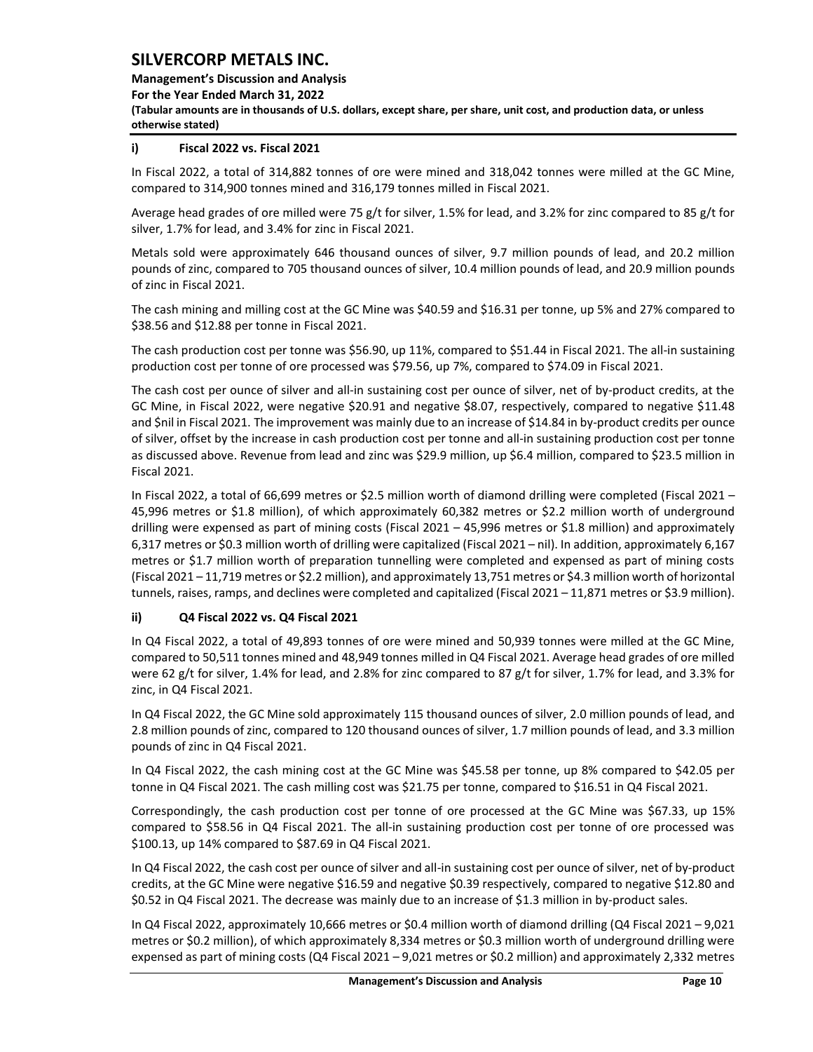**Management's Discussion and Analysis** 

**For the Year Ended March 31, 2022**

**(Tabular amounts are in thousands of U.S. dollars, except share, per share, unit cost, and production data, or unless otherwise stated)** 

## **i) Fiscal 2022 vs. Fiscal 2021**

In Fiscal 2022, a total of 314,882 tonnes of ore were mined and 318,042 tonnes were milled at the GC Mine, compared to 314,900 tonnes mined and 316,179 tonnes milled in Fiscal 2021.

Average head grades of ore milled were 75 g/t for silver, 1.5% for lead, and 3.2% for zinc compared to 85 g/t for silver, 1.7% for lead, and 3.4% for zinc in Fiscal 2021.

Metals sold were approximately 646 thousand ounces of silver, 9.7 million pounds of lead, and 20.2 million pounds of zinc, compared to 705 thousand ounces of silver, 10.4 million pounds of lead, and 20.9 million pounds of zinc in Fiscal 2021.

The cash mining and milling cost at the GC Mine was \$40.59 and \$16.31 per tonne, up 5% and 27% compared to \$38.56 and \$12.88 per tonne in Fiscal 2021.

The cash production cost per tonne was \$56.90, up 11%, compared to \$51.44 in Fiscal 2021. The all-in sustaining production cost per tonne of ore processed was \$79.56, up 7%, compared to \$74.09 in Fiscal 2021.

The cash cost per ounce of silver and all-in sustaining cost per ounce of silver, net of by-product credits, at the GC Mine, in Fiscal 2022, were negative \$20.91 and negative \$8.07, respectively, compared to negative \$11.48 and \$nil in Fiscal 2021. The improvement was mainly due to an increase of \$14.84 in by-product credits per ounce of silver, offset by the increase in cash production cost per tonne and all-in sustaining production cost per tonne as discussed above. Revenue from lead and zinc was \$29.9 million, up \$6.4 million, compared to \$23.5 million in Fiscal 2021.

In Fiscal 2022, a total of 66,699 metres or \$2.5 million worth of diamond drilling were completed (Fiscal 2021 – 45,996 metres or \$1.8 million), of which approximately 60,382 metres or \$2.2 million worth of underground drilling were expensed as part of mining costs (Fiscal 2021 – 45,996 metres or \$1.8 million) and approximately 6,317 metres or \$0.3 million worth of drilling were capitalized (Fiscal 2021 – nil). In addition, approximately 6,167 metres or \$1.7 million worth of preparation tunnelling were completed and expensed as part of mining costs (Fiscal 2021 – 11,719 metres or \$2.2 million), and approximately 13,751 metres or \$4.3 million worth of horizontal tunnels, raises, ramps, and declines were completed and capitalized (Fiscal 2021 – 11,871 metres or \$3.9 million).

## **ii) Q4 Fiscal 2022 vs. Q4 Fiscal 2021**

In Q4 Fiscal 2022, a total of 49,893 tonnes of ore were mined and 50,939 tonnes were milled at the GC Mine, compared to 50,511 tonnes mined and 48,949 tonnes milled in Q4 Fiscal 2021. Average head grades of ore milled were 62 g/t for silver, 1.4% for lead, and 2.8% for zinc compared to 87 g/t for silver, 1.7% for lead, and 3.3% for zinc, in Q4 Fiscal 2021.

In Q4 Fiscal 2022, the GC Mine sold approximately 115 thousand ounces of silver, 2.0 million pounds of lead, and 2.8 million pounds of zinc, compared to 120 thousand ounces of silver, 1.7 million pounds of lead, and 3.3 million pounds of zinc in Q4 Fiscal 2021.

In Q4 Fiscal 2022, the cash mining cost at the GC Mine was \$45.58 per tonne, up 8% compared to \$42.05 per tonne in Q4 Fiscal 2021. The cash milling cost was \$21.75 per tonne, compared to \$16.51 in Q4 Fiscal 2021.

Correspondingly, the cash production cost per tonne of ore processed at the GC Mine was \$67.33, up 15% compared to \$58.56 in Q4 Fiscal 2021. The all-in sustaining production cost per tonne of ore processed was \$100.13, up 14% compared to \$87.69 in Q4 Fiscal 2021.

In Q4 Fiscal 2022, the cash cost per ounce of silver and all-in sustaining cost per ounce of silver, net of by-product credits, at the GC Mine were negative \$16.59 and negative \$0.39 respectively, compared to negative \$12.80 and \$0.52 in Q4 Fiscal 2021. The decrease was mainly due to an increase of \$1.3 million in by-product sales.

In Q4 Fiscal 2022, approximately 10,666 metres or \$0.4 million worth of diamond drilling (Q4 Fiscal 2021 – 9,021 metres or \$0.2 million), of which approximately 8,334 metres or \$0.3 million worth of underground drilling were expensed as part of mining costs (Q4 Fiscal 2021 – 9,021 metres or \$0.2 million) and approximately 2,332 metres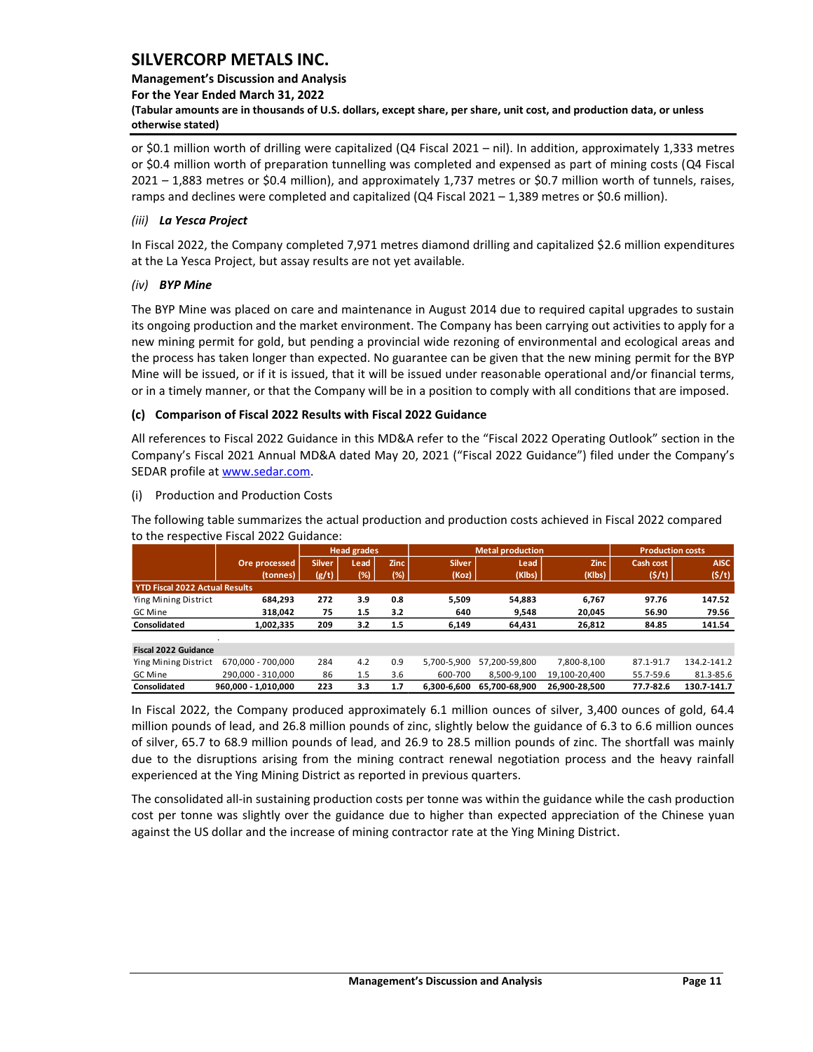## **Management's Discussion and Analysis**

**For the Year Ended March 31, 2022**

**(Tabular amounts are in thousands of U.S. dollars, except share, per share, unit cost, and production data, or unless otherwise stated)** 

or \$0.1 million worth of drilling were capitalized (Q4 Fiscal 2021 – nil). In addition, approximately 1,333 metres or \$0.4 million worth of preparation tunnelling was completed and expensed as part of mining costs (Q4 Fiscal 2021 – 1,883 metres or \$0.4 million), and approximately 1,737 metres or \$0.7 million worth of tunnels, raises, ramps and declines were completed and capitalized (Q4 Fiscal 2021 – 1,389 metres or \$0.6 million).

## *(iii) La Yesca Project*

In Fiscal 2022, the Company completed 7,971 metres diamond drilling and capitalized \$2.6 million expenditures at the La Yesca Project, but assay results are not yet available.

## *(iv) BYP Mine*

The BYP Mine was placed on care and maintenance in August 2014 due to required capital upgrades to sustain its ongoing production and the market environment. The Company has been carrying out activities to apply for a new mining permit for gold, but pending a provincial wide rezoning of environmental and ecological areas and the process has taken longer than expected. No guarantee can be given that the new mining permit for the BYP Mine will be issued, or if it is issued, that it will be issued under reasonable operational and/or financial terms, or in a timely manner, or that the Company will be in a position to comply with all conditions that are imposed.

## **(c) Comparison of Fiscal 2022 Results with Fiscal 2022 Guidance**

All references to Fiscal 2022 Guidance in this MD&A refer to the "Fiscal 2022 Operating Outlook" section in the Company's Fiscal 2021 Annual MD&A dated May 20, 2021 ("Fiscal 2022 Guidance") filed under the Company's SEDAR profile a[t www.sedar.com.](http://www.sedar.com/)

## (i) Production and Production Costs

The following table summarizes the actual production and production costs achieved in Fiscal 2022 compared to the respective Fiscal 2022 Guidance:

|                                       |                     |               | <b>Head grades</b> |             |               | <b>Metal production</b> | <b>Production costs</b> |              |             |  |
|---------------------------------------|---------------------|---------------|--------------------|-------------|---------------|-------------------------|-------------------------|--------------|-------------|--|
|                                       | Ore processed       | <b>Silver</b> | Lead               | <b>Zinc</b> | <b>Silver</b> | Lead                    | <b>Zinc</b>             | Cash cost    | <b>AISC</b> |  |
|                                       | (tonnes)            | (g/t)         | (%)                | (%)         | (Koz)         | (Klbs)                  | (Klbs)                  | $($ \$/t $)$ | (5/t)       |  |
| <b>YTD Fiscal 2022 Actual Results</b> |                     |               |                    |             |               |                         |                         |              |             |  |
| Ying Mining District                  | 684.293             | 272           | 3.9                | 0.8         | 5.509         | 54.883                  | 6.767                   | 97.76        | 147.52      |  |
| GC Mine                               | 318.042             | 75            | 1.5                | 3.2         | 640           | 9,548                   | 20,045                  | 56.90        | 79.56       |  |
| Consolidated                          | 1,002,335           | 209           | 3.2                | 1.5         | 6,149         | 64,431                  | 26,812                  | 84.85        | 141.54      |  |
|                                       |                     |               |                    |             |               |                         |                         |              |             |  |
| <b>Fiscal 2022 Guidance</b>           |                     |               |                    |             |               |                         |                         |              |             |  |
| Ying Mining District                  | 670.000 - 700.000   | 284           | 4.2                | 0.9         | 5.700-5.900   | 57,200-59,800           | 7.800-8.100             | 87.1-91.7    | 134.2-141.2 |  |
| GC Mine                               | 290.000 - 310.000   | 86            | 1.5                | 3.6         | 600-700       | 8,500-9,100             | 19.100-20.400           | 55.7-59.6    | 81.3-85.6   |  |
| Consolidated                          | 960.000 - 1.010.000 | 223           | 3.3                | 1.7         | 6.300-6.600   | 65.700-68.900           | 26.900-28.500           | 77.7-82.6    | 130.7-141.7 |  |

In Fiscal 2022, the Company produced approximately 6.1 million ounces of silver, 3,400 ounces of gold, 64.4 million pounds of lead, and 26.8 million pounds of zinc, slightly below the guidance of 6.3 to 6.6 million ounces of silver, 65.7 to 68.9 million pounds of lead, and 26.9 to 28.5 million pounds of zinc. The shortfall was mainly due to the disruptions arising from the mining contract renewal negotiation process and the heavy rainfall experienced at the Ying Mining District as reported in previous quarters.

The consolidated all-in sustaining production costs per tonne was within the guidance while the cash production cost per tonne was slightly over the guidance due to higher than expected appreciation of the Chinese yuan against the US dollar and the increase of mining contractor rate at the Ying Mining District.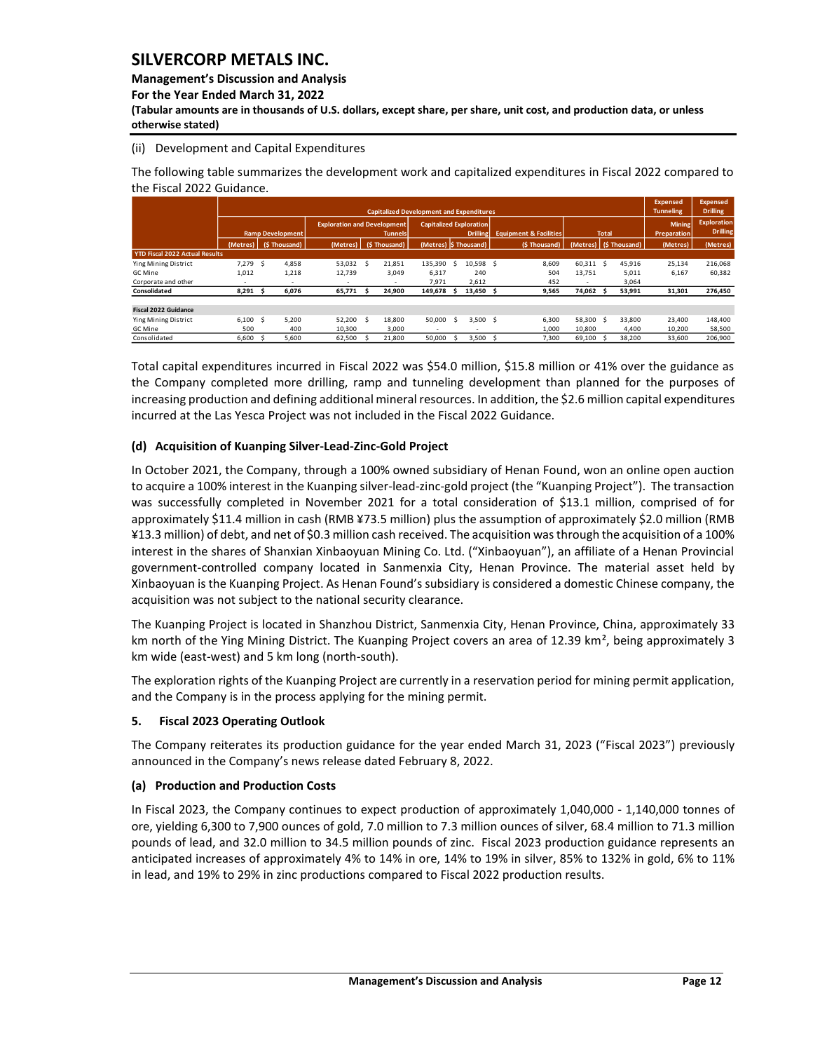**Management's Discussion and Analysis** 

**For the Year Ended March 31, 2022**

**(Tabular amounts are in thousands of U.S. dollars, except share, per share, unit cost, and production data, or unless otherwise stated)** 

## (ii) Development and Capital Expenditures

The following table summarizes the development work and capitalized expenditures in Fiscal 2022 compared to the Fiscal 2022 Guidance.

|                                       |                         |     |                          |                                    |    |                                                 |                                |    |                 |                                   |        |              |                        | <b>Expensed</b>    | <b>Expensed</b>    |
|---------------------------------------|-------------------------|-----|--------------------------|------------------------------------|----|-------------------------------------------------|--------------------------------|----|-----------------|-----------------------------------|--------|--------------|------------------------|--------------------|--------------------|
|                                       |                         |     |                          |                                    |    | <b>Capitalized Development and Expenditures</b> |                                |    |                 |                                   |        |              |                        | <b>Tunneling</b>   | <b>Drilling</b>    |
|                                       |                         |     |                          | <b>Exploration and Development</b> |    |                                                 | <b>Capitalized Exploration</b> |    |                 |                                   |        |              |                        | <b>Mining</b>      | <b>Exploration</b> |
|                                       | <b>Ramp Development</b> |     |                          |                                    |    | <b>Tunnels</b>                                  |                                |    | <b>Drilling</b> | <b>Equipment &amp; Facilities</b> |        | <b>Total</b> |                        | <b>Preparation</b> | <b>Drilling</b>    |
|                                       | (Metres)                |     | (\$Thousand)             | (Metres)                           |    | (\$Thousand)                                    | (Metres) S Thousand)           |    |                 | (\$Thousand)                      |        |              | (Metres) (\$ Thousand) | (Metres)           | (Metres)           |
| <b>YTD Fiscal 2022 Actual Results</b> |                         |     |                          |                                    |    |                                                 |                                |    |                 |                                   |        |              |                        |                    |                    |
| Ying Mining District                  | 7.279                   | - S | 4,858                    | 53.032                             | Ŝ. | 21,851                                          | 135.390                        | S  | 10.598 \$       | 8,609                             | 60.311 | - S          | 45,916                 | 25,134             | 216,068            |
| GC Mine                               | 1,012                   |     | 1,218                    | 12,739                             |    | 3,049                                           | 6.317                          |    | 240             | 504                               | 13.751 |              | 5,011                  | 6,167              | 60,382             |
| Corporate and other                   |                         |     | $\overline{\phantom{a}}$ | ٠                                  |    |                                                 | 7,971                          |    | 2,612           | 452                               | ٠      |              | 3,064                  |                    |                    |
| Consolidated                          | 8,291                   |     | 6,076                    | 65,771                             | -5 | 24,900                                          | 149,678                        |    | 13,450 \$       | 9,565                             | 74,062 |              | 53,991                 | 31,301             | 276,450            |
| <b>Fiscal 2022 Guidance</b>           |                         |     |                          |                                    |    |                                                 |                                |    |                 |                                   |        |              |                        |                    |                    |
| Ying Mining District                  | 6,100                   | - S | 5,200                    | 52,200                             | S. | 18,800                                          | 50.000                         | S. | 3.500S          | 6,300                             | 58.300 | - S          | 33,800                 | 23,400             | 148,400            |
| GC Mine                               | 500                     |     | 400                      | 10,300                             |    | 3,000                                           | $\overline{\phantom{a}}$       |    | ۰               | 1,000                             | 10,800 |              | 4,400                  | 10,200             | 58,500             |
| Consolidated                          | 6,600                   |     | 5.600                    | 62,500                             |    | 21,800                                          | 50,000                         |    | 3,500           | 7,300                             | 69,100 |              | 38,200                 | 33,600             | 206,900            |

Total capital expenditures incurred in Fiscal 2022 was \$54.0 million, \$15.8 million or 41% over the guidance as the Company completed more drilling, ramp and tunneling development than planned for the purposes of increasing production and defining additional mineral resources. In addition, the \$2.6 million capital expenditures incurred at the Las Yesca Project was not included in the Fiscal 2022 Guidance.

## **(d) Acquisition of Kuanping Silver-Lead-Zinc-Gold Project**

In October 2021, the Company, through a 100% owned subsidiary of Henan Found, won an online open auction to acquire a 100% interest in the Kuanping silver-lead-zinc-gold project (the "Kuanping Project"). The transaction was successfully completed in November 2021 for a total consideration of \$13.1 million, comprised of for approximately \$11.4 million in cash (RMB ¥73.5 million) plus the assumption of approximately \$2.0 million (RMB ¥13.3 million) of debt, and net of \$0.3 million cash received. The acquisition was through the acquisition of a 100% interest in the shares of Shanxian Xinbaoyuan Mining Co. Ltd. ("Xinbaoyuan"), an affiliate of a Henan Provincial government-controlled company located in Sanmenxia City, Henan Province. The material asset held by Xinbaoyuan is the Kuanping Project. As Henan Found's subsidiary is considered a domestic Chinese company, the acquisition was not subject to the national security clearance.

The Kuanping Project is located in Shanzhou District, Sanmenxia City, Henan Province, China, approximately 33 km north of the Ying Mining District. The Kuanping Project covers an area of 12.39 km<sup>2</sup>, being approximately 3 km wide (east-west) and 5 km long (north-south).

The exploration rights of the Kuanping Project are currently in a reservation period for mining permit application, and the Company is in the process applying for the mining permit.

## <span id="page-12-0"></span>**5. Fiscal 2023 Operating Outlook**

The Company reiterates its production guidance for the year ended March 31, 2023 ("Fiscal 2023") previously announced in the Company's news release dated February 8, 2022.

## **(a) Production and Production Costs**

In Fiscal 2023, the Company continues to expect production of approximately 1,040,000 - 1,140,000 tonnes of ore, yielding 6,300 to 7,900 ounces of gold, 7.0 million to 7.3 million ounces of silver, 68.4 million to 71.3 million pounds of lead, and 32.0 million to 34.5 million pounds of zinc. Fiscal 2023 production guidance represents an anticipated increases of approximately 4% to 14% in ore, 14% to 19% in silver, 85% to 132% in gold, 6% to 11% in lead, and 19% to 29% in zinc productions compared to Fiscal 2022 production results.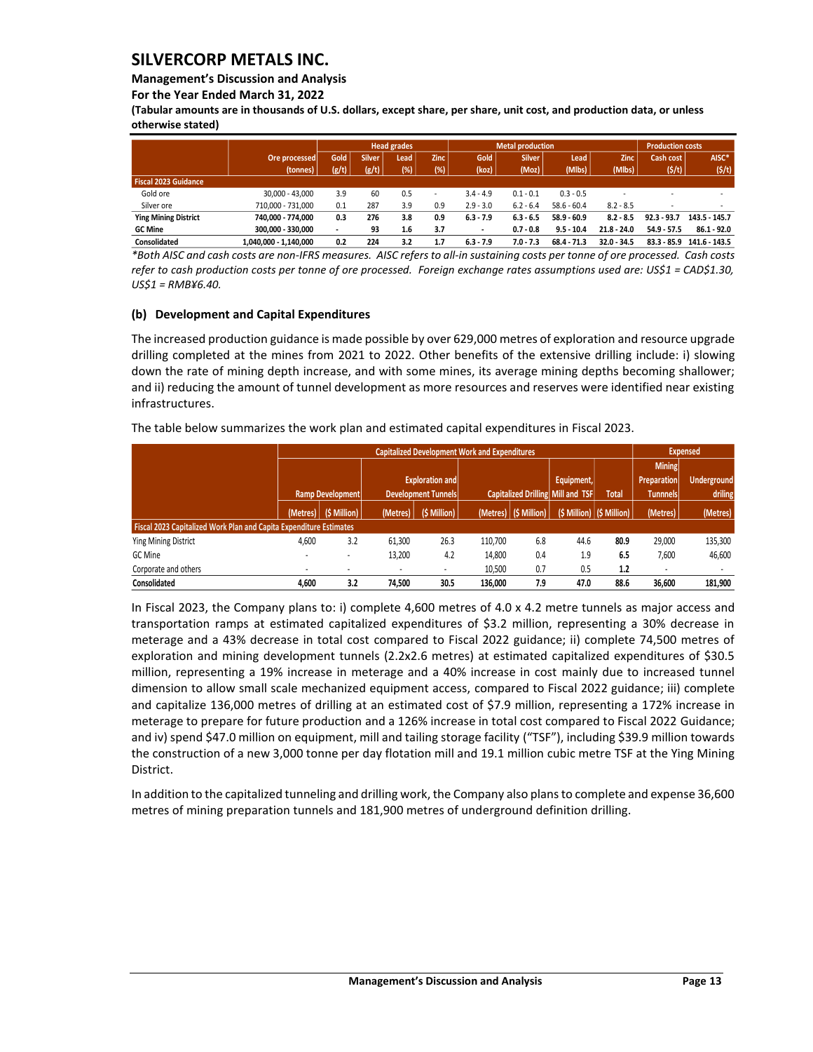### **Management's Discussion and Analysis**

**For the Year Ended March 31, 2022**

**(Tabular amounts are in thousands of U.S. dollars, except share, per share, unit cost, and production data, or unless otherwise stated)** 

|                             |                       |             |               | <b>Head grades</b> |                          |                          | <b>Metal production</b> |               |               | <b>Production costs</b> |               |
|-----------------------------|-----------------------|-------------|---------------|--------------------|--------------------------|--------------------------|-------------------------|---------------|---------------|-------------------------|---------------|
|                             | Ore processed         | <b>Gold</b> | <b>Silver</b> | Lead               | <b>Zinc</b>              | Gold                     | <b>Silver</b>           | Lead          | <b>Zinc</b>   | Cash cost               | AISC*         |
|                             | (tonnes)              | (g/t)       | (g/t)         | (%)                | (%)                      | (koz)                    | (Moz)                   | (Mlbs)        | (Mlbs)        | $($ \$/t $)$            | (5/t)         |
| Fiscal 2023 Guidance        |                       |             |               |                    |                          |                          |                         |               |               |                         |               |
| Gold ore                    | 30.000 - 43.000       | 3.9         | 60            | 0.5                | $\overline{\phantom{a}}$ | $3.4 - 4.9$              | $0.1 - 0.1$             | $0.3 - 0.5$   |               |                         |               |
| Silver ore                  | 710.000 - 731.000     | 0.1         | 287           | 3.9                | 0.9                      | $2.9 - 3.0$              | $6.2 - 6.4$             | $58.6 - 60.4$ | $8.2 - 8.5$   |                         |               |
| <b>Ying Mining District</b> | 740.000 - 774.000     | 0.3         | 276           | 3.8                | 0.9                      | $6.3 - 7.9$              | $6.3 - 6.5$             | $58.9 - 60.9$ | $8.2 - 8.5$   | $92.3 - 93.7$           | 143.5 - 145.7 |
| <b>GC Mine</b>              | 300.000 - 330.000     |             | 93            | 1.6                | 3.7                      | $\overline{\phantom{a}}$ | $0.7 - 0.8$             | $9.5 - 10.4$  | $21.8 - 24.0$ | $54.9 - 57.5$           | $86.1 - 92.0$ |
| <b>Consolidated</b>         | 1.040.000 - 1.140.000 | 0.2         | 224           | 3.2                | 1.7                      | $6.3 - 7.9$              | 7.0 - 7.3               | $68.4 - 71.3$ | $32.0 - 34.5$ | $83.3 - 85.9$           | 141.6 - 143.5 |

*\*Both AISC and cash costs are non-IFRS measures. AISC refers to all-in sustaining costs per tonne of ore processed. Cash costs refer to cash production costs per tonne of ore processed. Foreign exchange rates assumptions used are: US\$1 = CAD\$1.30, US\$1 = RMB¥6.40.*

## **(b) Development and Capital Expenditures**

The increased production guidance is made possible by over 629,000 metres of exploration and resource upgrade drilling completed at the mines from 2021 to 2022. Other benefits of the extensive drilling include: i) slowing down the rate of mining depth increase, and with some mines, its average mining depths becoming shallower; and ii) reducing the amount of tunnel development as more resources and reserves were identified near existing infrastructures.

The table below summarizes the work plan and estimated capital expenditures in Fiscal 2023.

|                                                                           |       |                         |          |                            | <b>Capitalized Development Work and Expenditures</b> |                         |                                   |                             |                 | <b>Expensed</b>    |
|---------------------------------------------------------------------------|-------|-------------------------|----------|----------------------------|------------------------------------------------------|-------------------------|-----------------------------------|-----------------------------|-----------------|--------------------|
|                                                                           |       |                         |          |                            |                                                      |                         |                                   |                             | <b>Mining</b>   |                    |
|                                                                           |       |                         |          | <b>Exploration and</b>     |                                                      |                         | Equipment,                        |                             | Preparation     | <b>Underground</b> |
|                                                                           |       | Ramp Development        |          | <b>Development Tunnels</b> |                                                      |                         | Capitalized Drilling Mill and TSF | <b>Total</b>                | <b>Tunnnels</b> | driling            |
|                                                                           |       | (Metres)   (\$ Million) | (Metres) | (\$ Million)               |                                                      | (Metres)   (\$ Million) |                                   | $(S$ Million) $(S$ Million) | (Metres)        | (Metres)           |
| <b>Fiscal 2023 Capitalized Work Plan and Capita Expenditure Estimates</b> |       |                         |          |                            |                                                      |                         |                                   |                             |                 |                    |
| <b>Ying Mining District</b>                                               | 4,600 | 3.2                     | 61,300   | 26.3                       | 110.700                                              | 6.8                     | 44.6                              | 80.9                        | 29.000          | 135,300            |
| GC Mine                                                                   |       |                         | 13,200   | 4.2                        | 14,800                                               | 0.4                     | 1.9                               | 6.5                         | 7,600           | 46,600             |
| Corporate and others                                                      |       |                         |          |                            | 10,500                                               | 0.7                     | 0.5                               | 1.2                         |                 |                    |
| Consolidated                                                              | 4.600 | 3.2                     | 74.500   | 30.5                       | 136.000                                              | 7.9                     | 47.0                              | 88.6                        | 36.600          | 181,900            |

In Fiscal 2023, the Company plans to: i) complete 4,600 metres of 4.0 x 4.2 metre tunnels as major access and transportation ramps at estimated capitalized expenditures of \$3.2 million, representing a 30% decrease in meterage and a 43% decrease in total cost compared to Fiscal 2022 guidance; ii) complete 74,500 metres of exploration and mining development tunnels (2.2x2.6 metres) at estimated capitalized expenditures of \$30.5 million, representing a 19% increase in meterage and a 40% increase in cost mainly due to increased tunnel dimension to allow small scale mechanized equipment access, compared to Fiscal 2022 guidance; iii) complete and capitalize 136,000 metres of drilling at an estimated cost of \$7.9 million, representing a 172% increase in meterage to prepare for future production and a 126% increase in total cost compared to Fiscal 2022 Guidance; and iv) spend \$47.0 million on equipment, mill and tailing storage facility ("TSF"), including \$39.9 million towards the construction of a new 3,000 tonne per day flotation mill and 19.1 million cubic metre TSF at the Ying Mining District.

In addition to the capitalized tunneling and drilling work, the Company also plans to complete and expense 36,600 metres of mining preparation tunnels and 181,900 metres of underground definition drilling.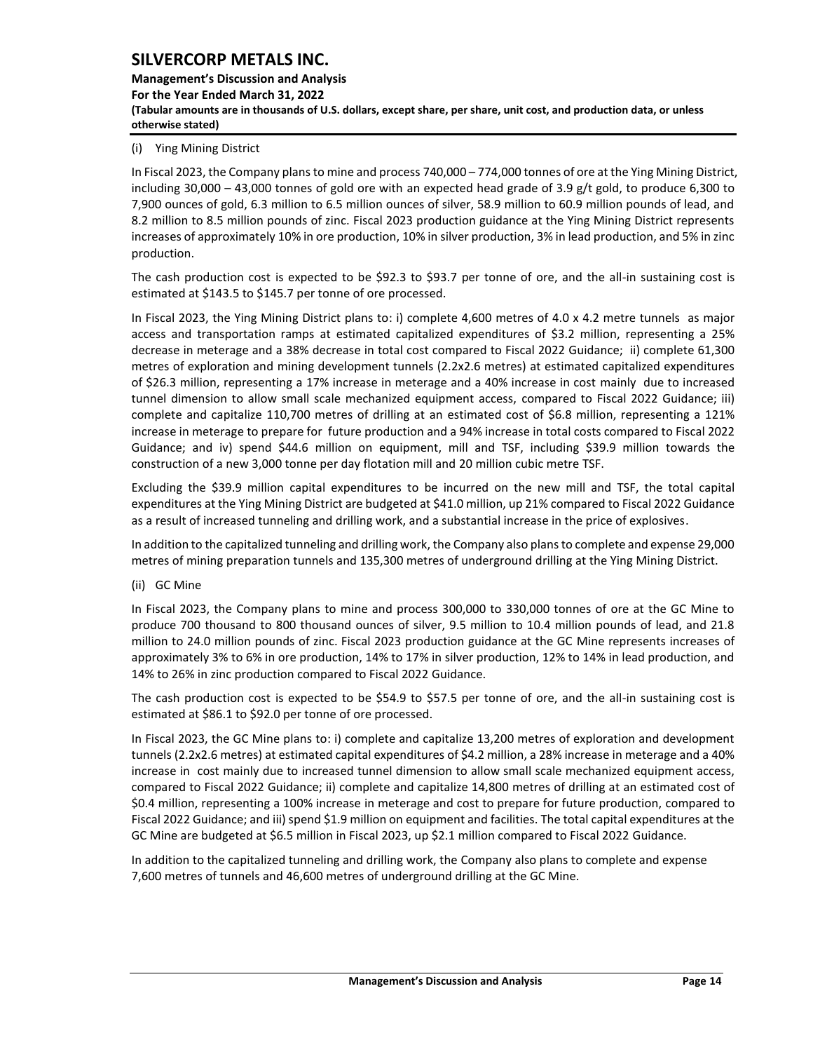**Management's Discussion and Analysis For the Year Ended March 31, 2022 (Tabular amounts are in thousands of U.S. dollars, except share, per share, unit cost, and production data, or unless otherwise stated)** 

## (i) Ying Mining District

In Fiscal 2023, the Company plans to mine and process 740,000 – 774,000 tonnes of ore at the Ying Mining District, including 30,000 – 43,000 tonnes of gold ore with an expected head grade of 3.9 g/t gold, to produce 6,300 to 7,900 ounces of gold, 6.3 million to 6.5 million ounces of silver, 58.9 million to 60.9 million pounds of lead, and 8.2 million to 8.5 million pounds of zinc. Fiscal 2023 production guidance at the Ying Mining District represents increases of approximately 10% in ore production, 10% in silver production, 3% in lead production, and 5% in zinc production.

The cash production cost is expected to be \$92.3 to \$93.7 per tonne of ore, and the all-in sustaining cost is estimated at \$143.5 to \$145.7 per tonne of ore processed.

In Fiscal 2023, the Ying Mining District plans to: i) complete 4,600 metres of 4.0 x 4.2 metre tunnels as major access and transportation ramps at estimated capitalized expenditures of \$3.2 million, representing a 25% decrease in meterage and a 38% decrease in total cost compared to Fiscal 2022 Guidance; ii) complete 61,300 metres of exploration and mining development tunnels (2.2x2.6 metres) at estimated capitalized expenditures of \$26.3 million, representing a 17% increase in meterage and a 40% increase in cost mainly due to increased tunnel dimension to allow small scale mechanized equipment access, compared to Fiscal 2022 Guidance; iii) complete and capitalize 110,700 metres of drilling at an estimated cost of \$6.8 million, representing a 121% increase in meterage to prepare for future production and a 94% increase in total costs compared to Fiscal 2022 Guidance; and iv) spend \$44.6 million on equipment, mill and TSF, including \$39.9 million towards the construction of a new 3,000 tonne per day flotation mill and 20 million cubic metre TSF.

Excluding the \$39.9 million capital expenditures to be incurred on the new mill and TSF, the total capital expenditures at the Ying Mining District are budgeted at \$41.0 million, up 21% compared to Fiscal 2022 Guidance as a result of increased tunneling and drilling work, and a substantial increase in the price of explosives.

In addition to the capitalized tunneling and drilling work, the Company also plans to complete and expense 29,000 metres of mining preparation tunnels and 135,300 metres of underground drilling at the Ying Mining District.

(ii) GC Mine

In Fiscal 2023, the Company plans to mine and process 300,000 to 330,000 tonnes of ore at the GC Mine to produce 700 thousand to 800 thousand ounces of silver, 9.5 million to 10.4 million pounds of lead, and 21.8 million to 24.0 million pounds of zinc. Fiscal 2023 production guidance at the GC Mine represents increases of approximately 3% to 6% in ore production, 14% to 17% in silver production, 12% to 14% in lead production, and 14% to 26% in zinc production compared to Fiscal 2022 Guidance.

The cash production cost is expected to be \$54.9 to \$57.5 per tonne of ore, and the all-in sustaining cost is estimated at \$86.1 to \$92.0 per tonne of ore processed.

In Fiscal 2023, the GC Mine plans to: i) complete and capitalize 13,200 metres of exploration and development tunnels (2.2x2.6 metres) at estimated capital expenditures of \$4.2 million, a 28% increase in meterage and a 40% increase in cost mainly due to increased tunnel dimension to allow small scale mechanized equipment access, compared to Fiscal 2022 Guidance; ii) complete and capitalize 14,800 metres of drilling at an estimated cost of \$0.4 million, representing a 100% increase in meterage and cost to prepare for future production, compared to Fiscal 2022 Guidance; and iii) spend \$1.9 million on equipment and facilities. The total capital expenditures at the GC Mine are budgeted at \$6.5 million in Fiscal 2023, up \$2.1 million compared to Fiscal 2022 Guidance.

In addition to the capitalized tunneling and drilling work, the Company also plans to complete and expense 7,600 metres of tunnels and 46,600 metres of underground drilling at the GC Mine.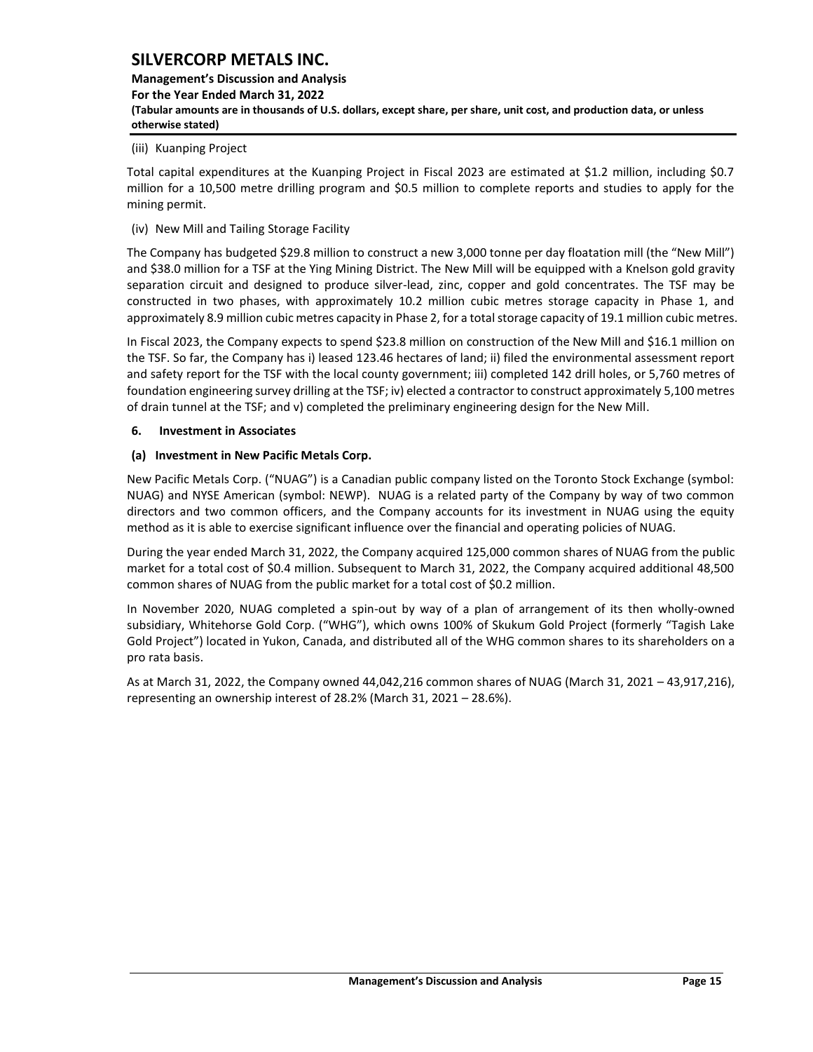## **Management's Discussion and Analysis For the Year Ended March 31, 2022 (Tabular amounts are in thousands of U.S. dollars, except share, per share, unit cost, and production data, or unless otherwise stated)**

#### (iii) Kuanping Project

Total capital expenditures at the Kuanping Project in Fiscal 2023 are estimated at \$1.2 million, including \$0.7 million for a 10,500 metre drilling program and \$0.5 million to complete reports and studies to apply for the mining permit.

(iv) New Mill and Tailing Storage Facility

The Company has budgeted \$29.8 million to construct a new 3,000 tonne per day floatation mill (the "New Mill") and \$38.0 million for a TSF at the Ying Mining District. The New Mill will be equipped with a Knelson gold gravity separation circuit and designed to produce silver-lead, zinc, copper and gold concentrates. The TSF may be constructed in two phases, with approximately 10.2 million cubic metres storage capacity in Phase 1, and approximately 8.9 million cubic metres capacity in Phase 2, for a total storage capacity of 19.1 million cubic metres.

In Fiscal 2023, the Company expects to spend \$23.8 million on construction of the New Mill and \$16.1 million on the TSF. So far, the Company has i) leased 123.46 hectares of land; ii) filed the environmental assessment report and safety report for the TSF with the local county government; iii) completed 142 drill holes, or 5,760 metres of foundation engineering survey drilling at the TSF; iv) elected a contractor to construct approximately 5,100 metres of drain tunnel at the TSF; and v) completed the preliminary engineering design for the New Mill.

## <span id="page-15-0"></span>**6. Investment in Associates**

#### **(a) Investment in New Pacific Metals Corp.**

New Pacific Metals Corp. ("NUAG") is a Canadian public company listed on the Toronto Stock Exchange (symbol: NUAG) and NYSE American (symbol: NEWP). NUAG is a related party of the Company by way of two common directors and two common officers, and the Company accounts for its investment in NUAG using the equity method as it is able to exercise significant influence over the financial and operating policies of NUAG.

During the year ended March 31, 2022, the Company acquired 125,000 common shares of NUAG from the public market for a total cost of \$0.4 million. Subsequent to March 31, 2022, the Company acquired additional 48,500 common shares of NUAG from the public market for a total cost of \$0.2 million.

In November 2020, NUAG completed a spin-out by way of a plan of arrangement of its then wholly-owned subsidiary, Whitehorse Gold Corp. ("WHG"), which owns 100% of Skukum Gold Project (formerly "Tagish Lake Gold Project") located in Yukon, Canada, and distributed all of the WHG common shares to its shareholders on a pro rata basis.

As at March 31, 2022, the Company owned 44,042,216 common shares of NUAG (March 31, 2021 – 43,917,216), representing an ownership interest of 28.2% (March 31, 2021 – 28.6%).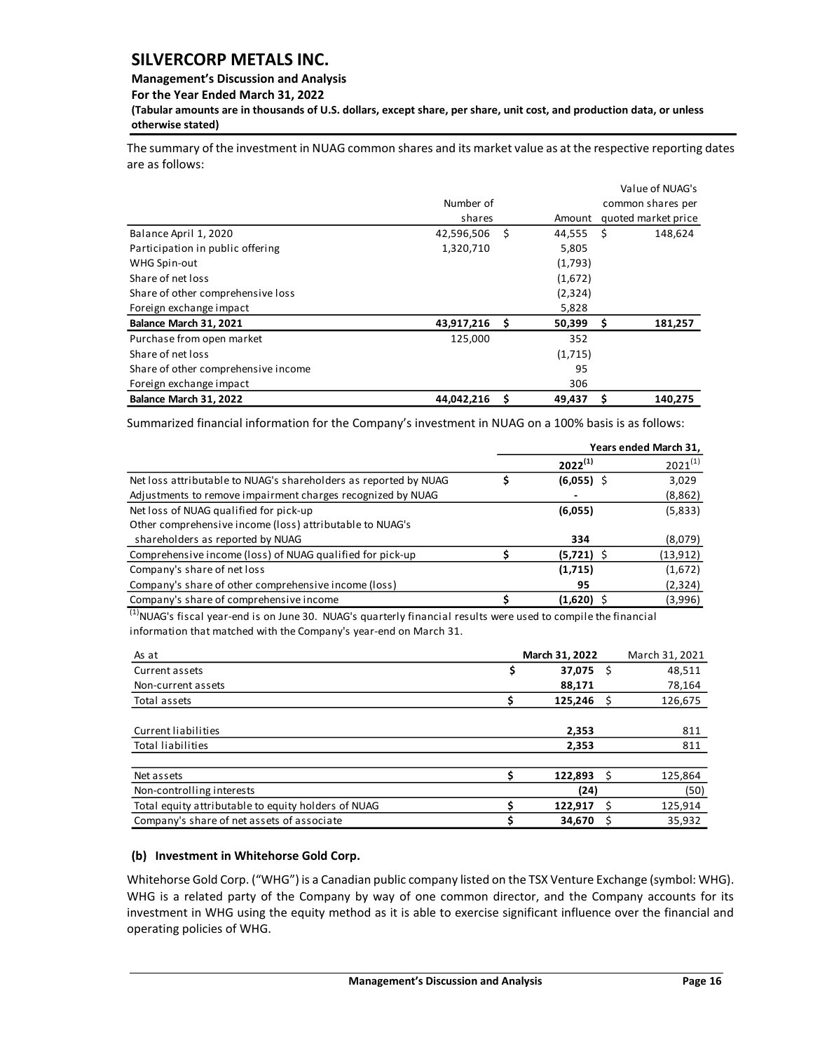### **Management's Discussion and Analysis**

**For the Year Ended March 31, 2022**

**(Tabular amounts are in thousands of U.S. dollars, except share, per share, unit cost, and production data, or unless otherwise stated)** 

The summary of the investment in NUAG common shares and its market value as at the respective reporting dates are as follows:

|                                     |            |   |         |      | Value of NUAG's     |
|-------------------------------------|------------|---|---------|------|---------------------|
|                                     | Number of  |   |         |      | common shares per   |
|                                     | shares     |   | Amount  |      | quoted market price |
| Balance April 1, 2020               | 42,596,506 | Ŝ | 44,555  | - \$ | 148,624             |
| Participation in public offering    | 1,320,710  |   | 5,805   |      |                     |
| WHG Spin-out                        |            |   | (1,793) |      |                     |
| Share of net loss                   |            |   | (1,672) |      |                     |
| Share of other comprehensive loss   |            |   | (2,324) |      |                     |
| Foreign exchange impact             |            |   | 5,828   |      |                     |
| Balance March 31, 2021              | 43,917,216 | S | 50,399  | - \$ | 181,257             |
| Purchase from open market           | 125,000    |   | 352     |      |                     |
| Share of net loss                   |            |   | (1,715) |      |                     |
| Share of other comprehensive income |            |   | 95      |      |                     |
| Foreign exchange impact             |            |   | 306     |      |                     |
| Balance March 31, 2022              | 44,042,216 | Ś | 49,437  | \$   | 140.275             |

Summarized financial information for the Company's investment in NUAG on a 100% basis is as follows:

|                                                                  | Years ended March 31, |              |              |  |  |  |
|------------------------------------------------------------------|-----------------------|--------------|--------------|--|--|--|
|                                                                  |                       | $2022^{(1)}$ | $2021^{(1)}$ |  |  |  |
| Net loss attributable to NUAG's shareholders as reported by NUAG |                       | $(6,055)$ \$ | 3,029        |  |  |  |
| Adjustments to remove impairment charges recognized by NUAG      |                       |              | (8,862)      |  |  |  |
| Net loss of NUAG qualified for pick-up                           |                       | (6,055)      | (5,833)      |  |  |  |
| Other comprehensive income (loss) attributable to NUAG's         |                       |              |              |  |  |  |
| shareholders as reported by NUAG                                 |                       | 334          | (8,079)      |  |  |  |
| Comprehensive income (loss) of NUAG qualified for pick-up        |                       | $(5,721)$ \$ | (13, 912)    |  |  |  |
| Company's share of net loss                                      |                       | (1,715)      | (1,672)      |  |  |  |
| Company's share of other comprehensive income (loss)             |                       | 95           | (2,324)      |  |  |  |
| Company's share of comprehensive income                          |                       | $(1,620)$ \$ | (3,996)      |  |  |  |

 $<sup>(1)</sup>$ NUAG's fiscal year-end is on June 30. NUAG's quarterly financial results were used to compile the financial</sup> information that matched with the Company's year-end on March 31.

| As at                                               | March 31, 2022 |      | March 31, 2021 |
|-----------------------------------------------------|----------------|------|----------------|
| Current assets                                      | \$<br>37,075   | - \$ | 48,511         |
| Non-current assets                                  | 88,171         |      | 78,164         |
| Total assets                                        | 125,246        |      | 126,675        |
|                                                     |                |      |                |
| Current liabilities                                 | 2,353          |      | 811            |
| Total liabilities                                   | 2,353          |      | 811            |
|                                                     |                |      |                |
| Net assets                                          | 122,893        |      | 125,864        |
| Non-controlling interests                           | (24)           |      | (50)           |
| Total equity attributable to equity holders of NUAG | 122,917        | - S  | 125,914        |
| Company's share of net assets of associate          | 34,670         |      | 35,932         |

## **(b) Investment in Whitehorse Gold Corp.**

Whitehorse Gold Corp. ("WHG") is a Canadian public company listed on the TSX Venture Exchange (symbol: WHG). WHG is a related party of the Company by way of one common director, and the Company accounts for its investment in WHG using the equity method as it is able to exercise significant influence over the financial and operating policies of WHG.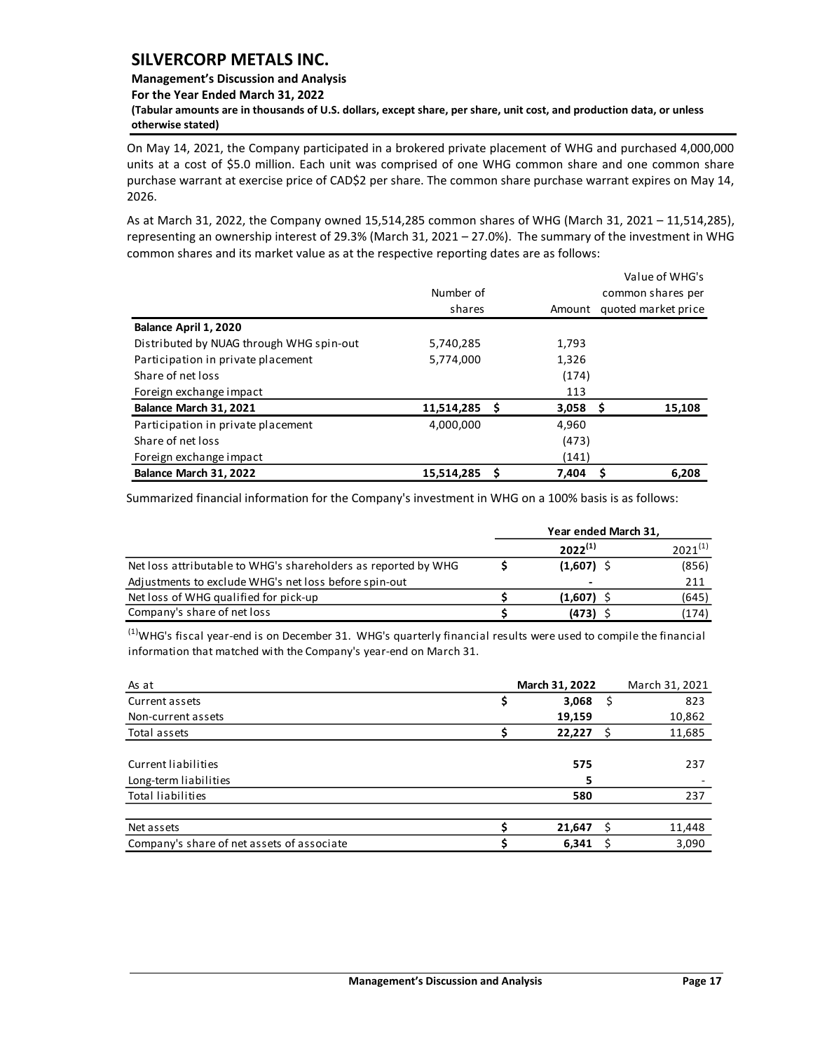#### **Management's Discussion and Analysis**

**For the Year Ended March 31, 2022**

**(Tabular amounts are in thousands of U.S. dollars, except share, per share, unit cost, and production data, or unless otherwise stated)** 

On May 14, 2021, the Company participated in a brokered private placement of WHG and purchased 4,000,000 units at a cost of \$5.0 million. Each unit was comprised of one WHG common share and one common share purchase warrant at exercise price of CAD\$2 per share. The common share purchase warrant expires on May 14, 2026.

As at March 31, 2022, the Company owned 15,514,285 common shares of WHG (March 31, 2021 – 11,514,285), representing an ownership interest of 29.3% (March 31, 2021 – 27.0%). The summary of the investment in WHG common shares and its market value as at the respective reporting dates are as follows:

|                                          |            |   |                     |                   | Value of WHG's |  |  |  |
|------------------------------------------|------------|---|---------------------|-------------------|----------------|--|--|--|
|                                          | Number of  |   |                     | common shares per |                |  |  |  |
|                                          | shares     |   | quoted market price |                   |                |  |  |  |
| Balance April 1, 2020                    |            |   |                     |                   |                |  |  |  |
| Distributed by NUAG through WHG spin-out | 5,740,285  |   | 1,793               |                   |                |  |  |  |
| Participation in private placement       | 5,774,000  |   | 1,326               |                   |                |  |  |  |
| Share of net loss                        |            |   | (174)               |                   |                |  |  |  |
| Foreign exchange impact                  |            |   | 113                 |                   |                |  |  |  |
| Balance March 31, 2021                   | 11,514,285 | S | $3,058$ \$          |                   | 15,108         |  |  |  |
| Participation in private placement       | 4,000,000  |   | 4,960               |                   |                |  |  |  |
| Share of net loss                        |            |   | (473)               |                   |                |  |  |  |
| Foreign exchange impact                  |            |   | (141)               |                   |                |  |  |  |
| Balance March 31, 2022                   | 15,514,285 | Ś | 7.404               |                   | 6.208          |  |  |  |

Summarized financial information for the Company's investment in WHG on a 100% basis is as follows:

|                                                                | Year ended March 31, |              |
|----------------------------------------------------------------|----------------------|--------------|
|                                                                | $2022^{(1)}$         | $2021^{(1)}$ |
| Net loss attributable to WHG's shareholders as reported by WHG | $(1,607)$ \$         | (856)        |
| Adjustments to exclude WHG's net loss before spin-out          | -                    | 211          |
| Net loss of WHG qualified for pick-up                          | (1.607)              | (645)        |
| Company's share of net loss                                    | (473)                | (174)        |

 $<sup>(1)</sup>$ WHG's fiscal year-end is on December 31. WHG's quarterly financial results were used to compile the financial</sup> information that matched with the Company's year-end on March 31.

| As at                                      | March 31, 2022 |    | March 31, 2021 |
|--------------------------------------------|----------------|----|----------------|
| Current assets                             | 3,068          | -S | 823            |
| Non-current assets                         | 19,159         |    | 10,862         |
| Total assets                               | 22,227         | S  | 11,685         |
|                                            |                |    |                |
| Current liabilities                        | 575            |    | 237            |
| Long-term liabilities                      |                |    |                |
| Total liabilities                          | 580            |    | 237            |
|                                            |                |    |                |
| Net assets                                 | 21,647         |    | 11,448         |
| Company's share of net assets of associate | 6,341          |    | 3,090          |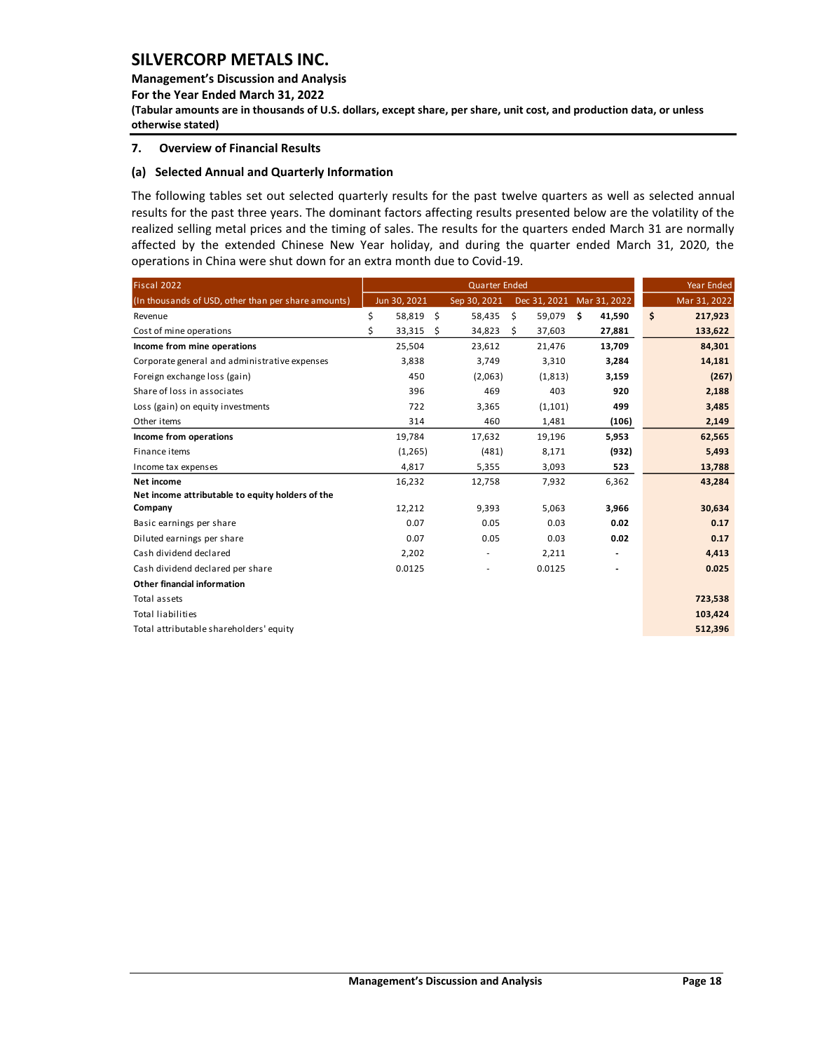**Management's Discussion and Analysis** 

**For the Year Ended March 31, 2022**

**(Tabular amounts are in thousands of U.S. dollars, except share, per share, unit cost, and production data, or unless otherwise stated)** 

### <span id="page-18-0"></span>**7. Overview of Financial Results**

#### **(a) Selected Annual and Quarterly Information**

The following tables set out selected quarterly results for the past twelve quarters as well as selected annual results for the past three years. The dominant factors affecting results presented below are the volatility of the realized selling metal prices and the timing of sales. The results for the quarters ended March 31 are normally affected by the extended Chinese New Year holiday, and during the quarter ended March 31, 2020, the operations in China were shut down for an extra month due to Covid-19.

| Fiscal 2022                                         |              |      | <b>Year Ended</b> |              |     |              |               |
|-----------------------------------------------------|--------------|------|-------------------|--------------|-----|--------------|---------------|
| (In thousands of USD, other than per share amounts) | Jun 30, 2021 |      | Sep 30, 2021      | Dec 31, 2021 |     | Mar 31, 2022 | Mar 31, 2022  |
| Revenue                                             | \$<br>58,819 | - \$ | 58,435            | \$<br>59,079 | \$. | 41,590       | \$<br>217,923 |
| Cost of mine operations                             | \$<br>33,315 | \$   | 34,823            | \$<br>37,603 |     | 27,881       | 133,622       |
| Income from mine operations                         | 25,504       |      | 23,612            | 21,476       |     | 13,709       | 84,301        |
| Corporate general and administrative expenses       | 3,838        |      | 3,749             | 3,310        |     | 3,284        | 14,181        |
| Foreign exchange loss (gain)                        | 450          |      | (2,063)           | (1, 813)     |     | 3,159        | (267)         |
| Share of loss in associates                         | 396          |      | 469               | 403          |     | 920          | 2,188         |
| Loss (gain) on equity investments                   | 722          |      | 3,365             | (1,101)      |     | 499          | 3,485         |
| Other items                                         | 314          |      | 460               | 1,481        |     | (106)        | 2,149         |
| Income from operations                              | 19,784       |      | 17,632            | 19,196       |     | 5,953        | 62,565        |
| Finance items                                       | (1,265)      |      | (481)             | 8,171        |     | (932)        | 5,493         |
| Income tax expenses                                 | 4,817        |      | 5,355             | 3,093        |     | 523          | 13,788        |
| Net income                                          | 16,232       |      | 12,758            | 7,932        |     | 6,362        | 43,284        |
| Net income attributable to equity holders of the    |              |      |                   |              |     |              |               |
| Company                                             | 12,212       |      | 9,393             | 5,063        |     | 3,966        | 30,634        |
| Basic earnings per share                            | 0.07         |      | 0.05              | 0.03         |     | 0.02         | 0.17          |
| Diluted earnings per share                          | 0.07         |      | 0.05              | 0.03         |     | 0.02         | 0.17          |
| Cash dividend declared                              | 2,202        |      |                   | 2,211        |     |              | 4,413         |
| Cash dividend declared per share                    | 0.0125       |      |                   | 0.0125       |     |              | 0.025         |
| Other financial information                         |              |      |                   |              |     |              |               |
| Total assets                                        |              |      |                   |              |     |              | 723,538       |
| <b>Total liabilities</b>                            |              |      |                   |              |     |              | 103,424       |
| Total attributable shareholders' equity             |              |      |                   |              |     |              | 512,396       |
|                                                     |              |      |                   |              |     |              |               |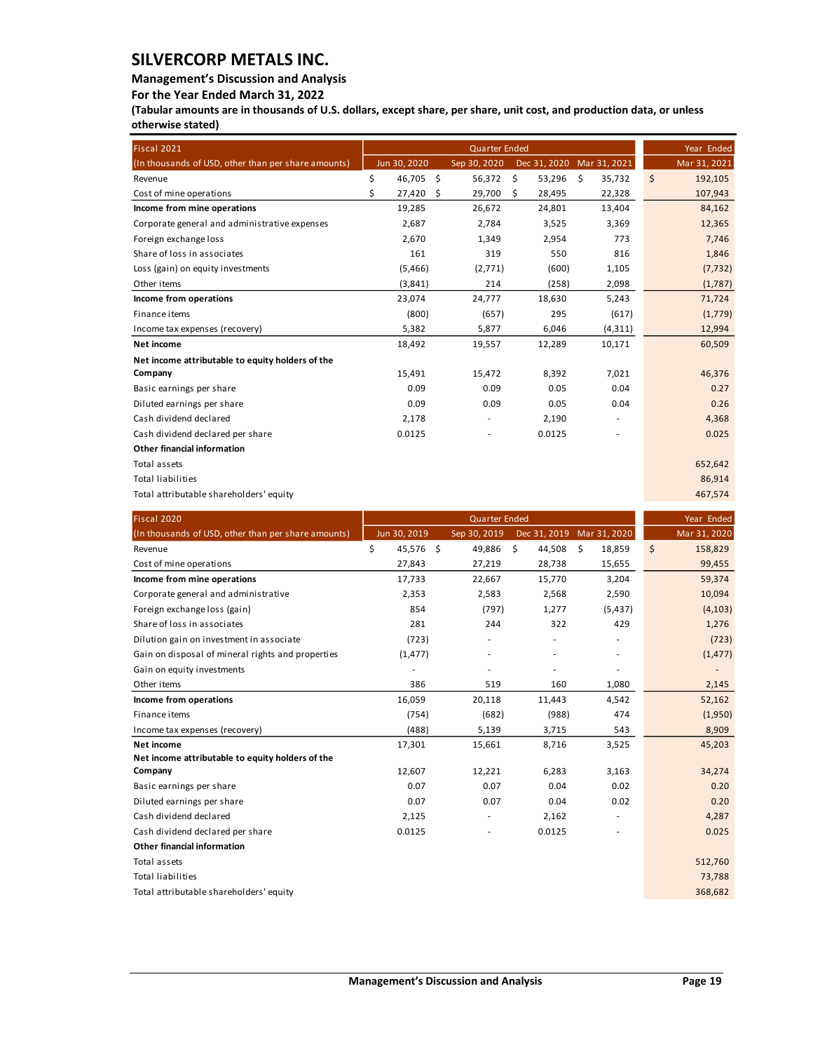## **Management's Discussion and Analysis**

**For the Year Ended March 31, 2022**

**(Tabular amounts are in thousands of U.S. dollars, except share, per share, unit cost, and production data, or unless otherwise stated)** 

| Fiscal 2021                                         |    |              |      | Year Ended     |    |                           |                          |         |              |
|-----------------------------------------------------|----|--------------|------|----------------|----|---------------------------|--------------------------|---------|--------------|
| (In thousands of USD, other than per share amounts) |    | Jun 30, 2020 |      | Sep 30, 2020   |    | Dec 31, 2020 Mar 31, 2021 |                          |         | Mar 31, 2021 |
| Revenue                                             | \$ | 46,705       | - \$ | 56,372         | \$ | 53,296                    | \$<br>35,732             | $\zeta$ | 192,105      |
| Cost of mine operations                             | Ś  | 27,420       | \$   | 29,700         | Ŝ. | 28,495                    | 22,328                   |         | 107,943      |
| Income from mine operations                         |    | 19,285       |      | 26,672         |    | 24,801                    | 13,404                   |         | 84,162       |
| Corporate general and administrative expenses       |    | 2,687        |      | 2,784          |    | 3,525                     | 3,369                    |         | 12,365       |
| Foreign exchange loss                               |    | 2,670        |      | 1,349          |    | 2,954                     | 773                      |         | 7,746        |
| Share of loss in associates                         |    | 161          |      | 319            |    | 550                       | 816                      |         | 1,846        |
| Loss (gain) on equity investments                   |    | (5,466)      |      | (2,771)        |    | (600)                     | 1,105                    |         | (7, 732)     |
| Other items                                         |    | (3,841)      |      | 214            |    | (258)                     | 2,098                    |         | (1,787)      |
| Income from operations                              |    | 23,074       |      | 24,777         |    | 18,630                    | 5,243                    |         | 71,724       |
| Finance items                                       |    | (800)        |      | (657)          |    | 295                       | (617)                    |         | (1,779)      |
| Income tax expenses (recovery)                      |    | 5,382        |      | 5,877          |    | 6,046                     | (4, 311)                 |         | 12,994       |
| Net income                                          |    | 18,492       |      | 19,557         |    | 12,289                    | 10,171                   |         | 60,509       |
| Net income attributable to equity holders of the    |    |              |      |                |    |                           |                          |         |              |
| Company                                             |    | 15,491       |      | 15,472         |    | 8,392                     | 7,021                    |         | 46,376       |
| Basic earnings per share                            |    | 0.09         |      | 0.09           |    | 0.05                      | 0.04                     |         | 0.27         |
| Diluted earnings per share                          |    | 0.09         |      | 0.09           |    | 0.05                      | 0.04                     |         | 0.26         |
| Cash dividend declared                              |    | 2,178        |      | $\overline{a}$ |    | 2,190                     | $\overline{\phantom{a}}$ |         | 4,368        |
| Cash dividend declared per share                    |    | 0.0125       |      |                |    | 0.0125                    |                          |         | 0.025        |
| <b>Other financial information</b>                  |    |              |      |                |    |                           |                          |         |              |
| Total assets                                        |    |              |      |                |    |                           |                          |         | 652,642      |
| <b>Total liabilities</b>                            |    |              |      |                |    |                           |                          |         | 86,914       |
| Total attributable shareholders' equity             |    |              |      |                |    |                           |                          |         | 467,574      |

| Fiscal 2020                                         |                 | Year Ended   |              |                          |               |
|-----------------------------------------------------|-----------------|--------------|--------------|--------------------------|---------------|
| (In thousands of USD, other than per share amounts) | Jun 30, 2019    | Sep 30, 2019 | Dec 31, 2019 | Mar 31, 2020             | Mar 31, 2020  |
| Revenue                                             | \$<br>45,576 \$ | 49,886       | \$<br>44,508 | \$<br>18,859             | \$<br>158,829 |
| Cost of mine operations                             | 27,843          | 27,219       | 28,738       | 15,655                   | 99,455        |
| Income from mine operations                         | 17,733          | 22,667       | 15,770       | 3,204                    | 59,374        |
| Corporate general and administrative                | 2,353           | 2,583        | 2,568        | 2,590                    | 10,094        |
| Foreign exchange loss (gain)                        | 854             | (797)        | 1,277        | (5, 437)                 | (4, 103)      |
| Share of loss in associates                         | 281             | 244          | 322          | 429                      | 1,276         |
| Dilution gain on investment in associate            | (723)           |              |              | ٠                        | (723)         |
| Gain on disposal of mineral rights and properties   | (1, 477)        |              |              | $\overline{\phantom{a}}$ | (1, 477)      |
| Gain on equity investments                          | ٠               |              | ٠            | $\overline{\phantom{a}}$ |               |
| Other items                                         | 386             | 519          | 160          | 1,080                    | 2,145         |
| Income from operations                              | 16,059          | 20,118       | 11,443       | 4,542                    | 52,162        |
| Finance items                                       | (754)           | (682)        | (988)        | 474                      | (1,950)       |
| Income tax expenses (recovery)                      | (488)           | 5,139        | 3,715        | 543                      | 8,909         |
| Net income                                          | 17,301          | 15,661       | 8,716        | 3,525                    | 45,203        |
| Net income attributable to equity holders of the    |                 |              |              |                          |               |
| Company                                             | 12,607          | 12,221       | 6,283        | 3,163                    | 34,274        |
| Basic earnings per share                            | 0.07            | 0.07         | 0.04         | 0.02                     | 0.20          |
| Diluted earnings per share                          | 0.07            | 0.07         | 0.04         | 0.02                     | 0.20          |
| Cash dividend declared                              | 2,125           |              | 2,162        | ÷,                       | 4,287         |
| Cash dividend declared per share                    | 0.0125          |              | 0.0125       |                          | 0.025         |
| <b>Other financial information</b>                  |                 |              |              |                          |               |
| Total assets                                        |                 |              |              |                          | 512,760       |
| <b>Total liabilities</b>                            |                 |              |              |                          | 73,788        |
| Total attributable shareholders' equity             |                 |              |              |                          | 368,682       |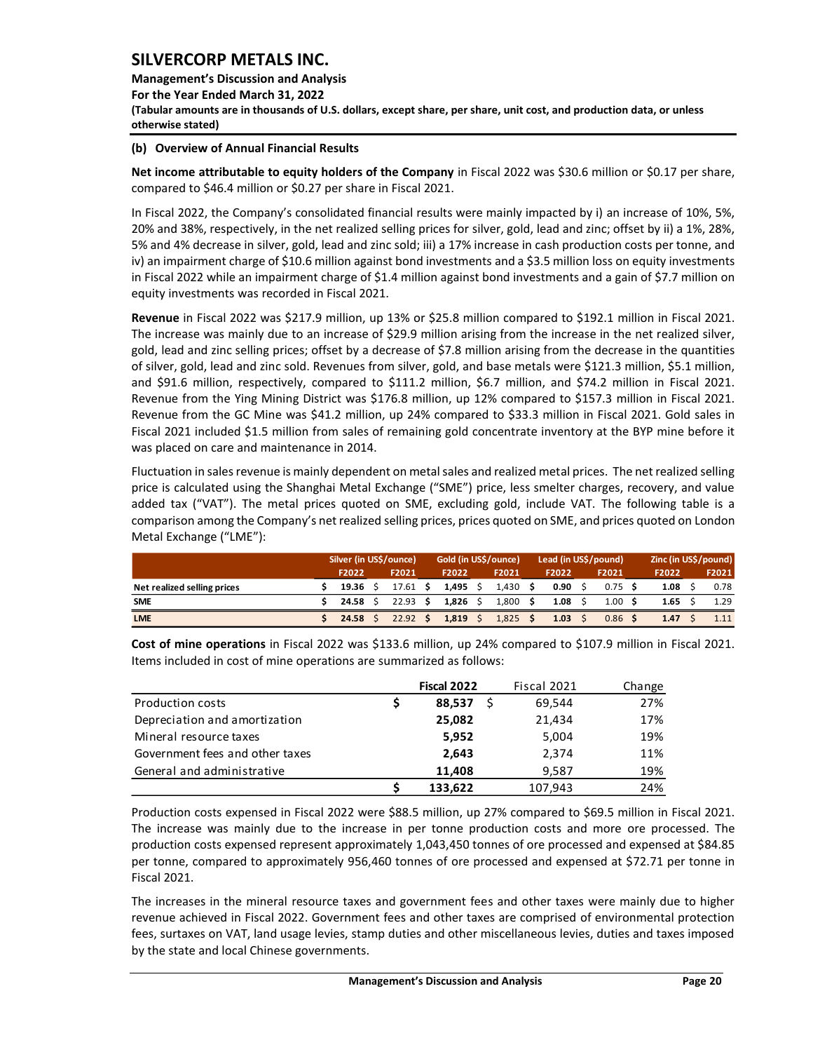**Management's Discussion and Analysis For the Year Ended March 31, 2022 (Tabular amounts are in thousands of U.S. dollars, except share, per share, unit cost, and production data, or unless otherwise stated)** 

### **(b) Overview of Annual Financial Results**

**Net income attributable to equity holders of the Company** in Fiscal 2022 was \$30.6 million or \$0.17 per share, compared to \$46.4 million or \$0.27 per share in Fiscal 2021.

In Fiscal 2022, the Company's consolidated financial results were mainly impacted by i) an increase of 10%, 5%, 20% and 38%, respectively, in the net realized selling prices for silver, gold, lead and zinc; offset by ii) a 1%, 28%, 5% and 4% decrease in silver, gold, lead and zinc sold; iii) a 17% increase in cash production costs per tonne, and iv) an impairment charge of \$10.6 million against bond investments and a \$3.5 million loss on equity investments in Fiscal 2022 while an impairment charge of \$1.4 million against bond investments and a gain of \$7.7 million on equity investments was recorded in Fiscal 2021.

**Revenue** in Fiscal 2022 was \$217.9 million, up 13% or \$25.8 million compared to \$192.1 million in Fiscal 2021. The increase was mainly due to an increase of \$29.9 million arising from the increase in the net realized silver, gold, lead and zinc selling prices; offset by a decrease of \$7.8 million arising from the decrease in the quantities of silver, gold, lead and zinc sold. Revenues from silver, gold, and base metals were \$121.3 million, \$5.1 million, and \$91.6 million, respectively, compared to \$111.2 million, \$6.7 million, and \$74.2 million in Fiscal 2021. Revenue from the Ying Mining District was \$176.8 million, up 12% compared to \$157.3 million in Fiscal 2021. Revenue from the GC Mine was \$41.2 million, up 24% compared to \$33.3 million in Fiscal 2021. Gold sales in Fiscal 2021 included \$1.5 million from sales of remaining gold concentrate inventory at the BYP mine before it was placed on care and maintenance in 2014.

Fluctuation in sales revenue is mainly dependent on metal sales and realized metal prices. The net realized selling price is calculated using the Shanghai Metal Exchange ("SME") price, less smelter charges, recovery, and value added tax ("VAT"). The metal prices quoted on SME, excluding gold, include VAT. The following table is a comparison among the Company's net realized selling prices, prices quoted on SME, and prices quoted on London Metal Exchange ("LME"):

|                             | Silver (in US\$/ounce) |            | Gold (in US\$/ounce) |  |       |      | Lead (in US\$/pound) |  |                   |  | Zinc (in US\$/pound) |  |       |  |
|-----------------------------|------------------------|------------|----------------------|--|-------|------|----------------------|--|-------------------|--|----------------------|--|-------|--|
|                             | F2022                  | F2021      | F2022                |  | F2021 |      | F2022                |  | F2021             |  | F2022                |  | F2021 |  |
| Net realized selling prices | 19.36                  | 17.61 S    | 1.495                |  | 1,430 | - \$ | 0.90                 |  | $0.75$ \$         |  | 1.08                 |  | 0.78  |  |
| <b>SME</b>                  | 24.58                  | $22.93$ \$ | 1,826                |  | 1,800 | - \$ | 1.08                 |  | 1.00              |  | 1.65                 |  | 1.29  |  |
| <b>LME</b>                  | 24.58                  | 22.92S     | 1.819                |  | 1.825 |      | 1.03                 |  | 0.86 <sup>5</sup> |  | 1.47                 |  |       |  |

|                                 | Fiscal 2022 | Fiscal 2021 | Change |
|---------------------------------|-------------|-------------|--------|
| <b>Production costs</b>         | 88,537      | 69,544      | 27%    |
| Depreciation and amortization   | 25,082      | 21,434      | 17%    |
| Mineral resource taxes          | 5,952       | 5,004       | 19%    |
| Government fees and other taxes | 2,643       | 2.374       | 11%    |
| General and administrative      | 11.408      | 9,587       | 19%    |
|                                 | 133,622     | 107,943     | 24%    |

**Cost of mine operations** in Fiscal 2022 was \$133.6 million, up 24% compared to \$107.9 million in Fiscal 2021. Items included in cost of mine operations are summarized as follows:

Production costs expensed in Fiscal 2022 were \$88.5 million, up 27% compared to \$69.5 million in Fiscal 2021. The increase was mainly due to the increase in per tonne production costs and more ore processed. The production costs expensed represent approximately 1,043,450 tonnes of ore processed and expensed at \$84.85 per tonne, compared to approximately 956,460 tonnes of ore processed and expensed at \$72.71 per tonne in Fiscal 2021.

The increases in the mineral resource taxes and government fees and other taxes were mainly due to higher revenue achieved in Fiscal 2022. Government fees and other taxes are comprised of environmental protection fees, surtaxes on VAT, land usage levies, stamp duties and other miscellaneous levies, duties and taxes imposed by the state and local Chinese governments.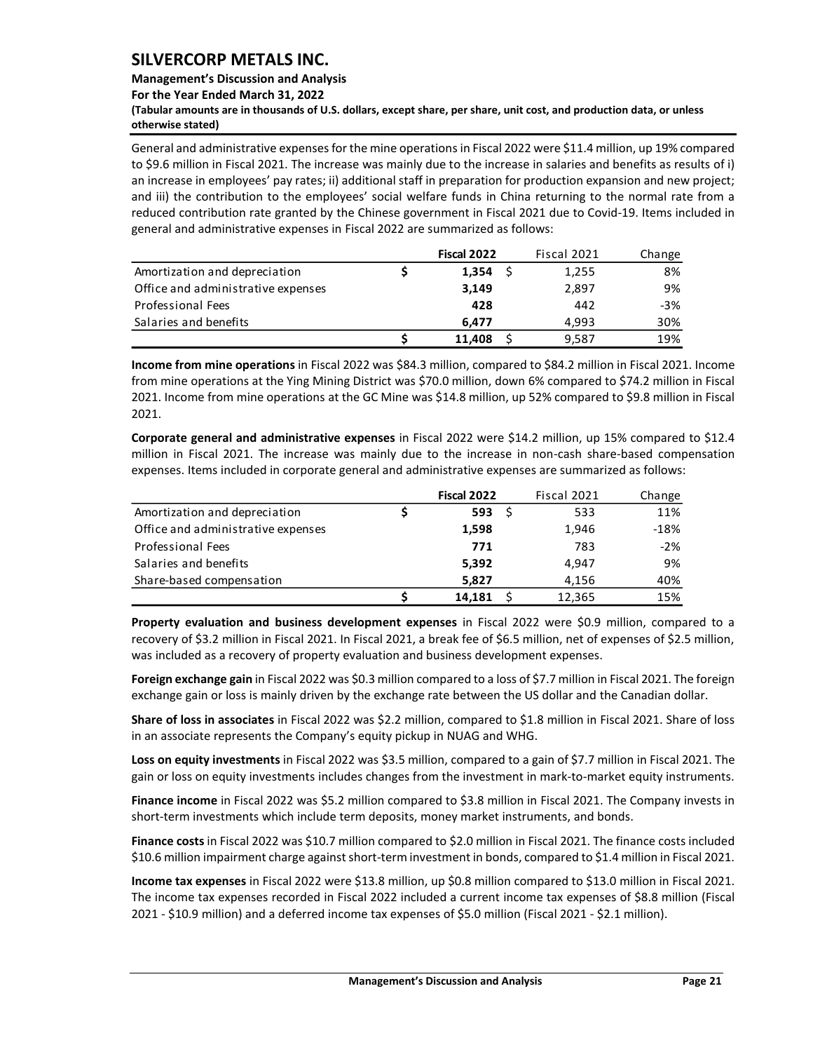### **Management's Discussion and Analysis**

**For the Year Ended March 31, 2022**

**(Tabular amounts are in thousands of U.S. dollars, except share, per share, unit cost, and production data, or unless otherwise stated)** 

General and administrative expensesfor the mine operations in Fiscal 2022 were \$11.4 million, up 19% compared to \$9.6 million in Fiscal 2021. The increase was mainly due to the increase in salaries and benefits as results of i) an increase in employees' pay rates; ii) additional staff in preparation for production expansion and new project; and iii) the contribution to the employees' social welfare funds in China returning to the normal rate from a reduced contribution rate granted by the Chinese government in Fiscal 2021 due to Covid-19. Items included in general and administrative expenses in Fiscal 2022 are summarized as follows:

|                                    | Fiscal 2022 | Fiscal 2021 | Change |
|------------------------------------|-------------|-------------|--------|
| Amortization and depreciation      | 1.354       | 1,255       | 8%     |
| Office and administrative expenses | 3,149       | 2.897       | 9%     |
| Professional Fees                  | 428         | 442         | $-3%$  |
| Salaries and benefits              | 6.477       | 4.993       | 30%    |
|                                    | 11.408      | 9.587       | 19%    |

**Income from mine operations** in Fiscal 2022 was \$84.3 million, compared to \$84.2 million in Fiscal 2021. Income from mine operations at the Ying Mining District was \$70.0 million, down 6% compared to \$74.2 million in Fiscal 2021. Income from mine operations at the GC Mine was \$14.8 million, up 52% compared to \$9.8 million in Fiscal 2021.

**Corporate general and administrative expenses** in Fiscal 2022 were \$14.2 million, up 15% compared to \$12.4 million in Fiscal 2021. The increase was mainly due to the increase in non-cash share-based compensation expenses. Items included in corporate general and administrative expenses are summarized as follows:

|                                    | Fiscal 2022 | Fiscal 2021 | Change |
|------------------------------------|-------------|-------------|--------|
| Amortization and depreciation      | 593         | 533         | 11%    |
| Office and administrative expenses | 1,598       | 1,946       | $-18%$ |
| Professional Fees                  | 771         | 783         | $-2%$  |
| Salaries and benefits              | 5,392       | 4.947       | 9%     |
| Share-based compensation           | 5,827       | 4.156       | 40%    |
|                                    | 14.181      | 12,365      | 15%    |

**Property evaluation and business development expenses** in Fiscal 2022 were \$0.9 million, compared to a recovery of \$3.2 million in Fiscal 2021. In Fiscal 2021, a break fee of \$6.5 million, net of expenses of \$2.5 million, was included as a recovery of property evaluation and business development expenses.

**Foreign exchange gain** in Fiscal 2022 was \$0.3 million compared to a loss of \$7.7 million in Fiscal 2021. The foreign exchange gain or loss is mainly driven by the exchange rate between the US dollar and the Canadian dollar.

**Share of loss in associates** in Fiscal 2022 was \$2.2 million, compared to \$1.8 million in Fiscal 2021. Share of loss in an associate represents the Company's equity pickup in NUAG and WHG.

**Loss on equity investments** in Fiscal 2022 was \$3.5 million, compared to a gain of \$7.7 million in Fiscal 2021. The gain or loss on equity investments includes changes from the investment in mark-to-market equity instruments.

**Finance income** in Fiscal 2022 was \$5.2 million compared to \$3.8 million in Fiscal 2021. The Company invests in short-term investments which include term deposits, money market instruments, and bonds.

**Finance costs** in Fiscal 2022 was \$10.7 million compared to \$2.0 million in Fiscal 2021. The finance costs included \$10.6 million impairment charge against short-term investment in bonds, compared to \$1.4 million in Fiscal 2021.

**Income tax expenses** in Fiscal 2022 were \$13.8 million, up \$0.8 million compared to \$13.0 million in Fiscal 2021. The income tax expenses recorded in Fiscal 2022 included a current income tax expenses of \$8.8 million (Fiscal 2021 - \$10.9 million) and a deferred income tax expenses of \$5.0 million (Fiscal 2021 - \$2.1 million).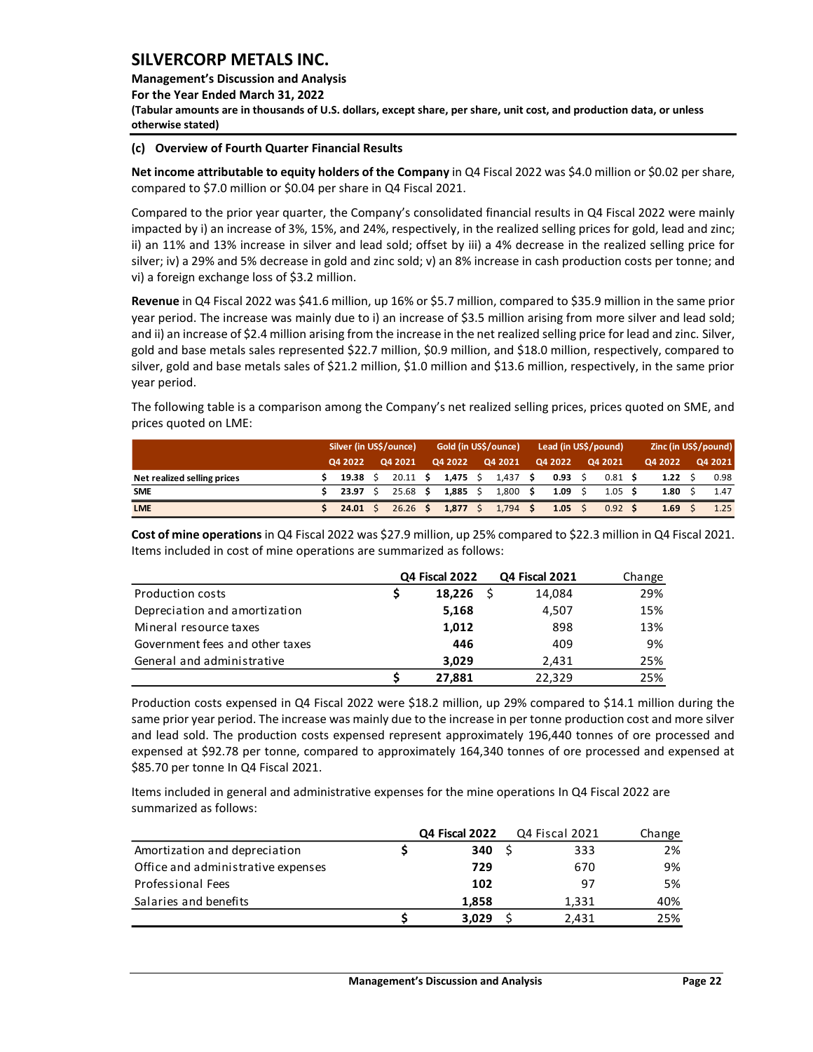**Management's Discussion and Analysis For the Year Ended March 31, 2022 (Tabular amounts are in thousands of U.S. dollars, except share, per share, unit cost, and production data, or unless otherwise stated)** 

#### **(c) Overview of Fourth Quarter Financial Results**

**Net income attributable to equity holders of the Company** in Q4 Fiscal 2022 was \$4.0 million or \$0.02 per share, compared to \$7.0 million or \$0.04 per share in Q4 Fiscal 2021.

Compared to the prior year quarter, the Company's consolidated financial results in Q4 Fiscal 2022 were mainly impacted by i) an increase of 3%, 15%, and 24%, respectively, in the realized selling prices for gold, lead and zinc; ii) an 11% and 13% increase in silver and lead sold; offset by iii) a 4% decrease in the realized selling price for silver; iv) a 29% and 5% decrease in gold and zinc sold; v) an 8% increase in cash production costs per tonne; and vi) a foreign exchange loss of \$3.2 million.

**Revenue** in Q4 Fiscal 2022 was \$41.6 million, up 16% or \$5.7 million, compared to \$35.9 million in the same prior year period. The increase was mainly due to i) an increase of \$3.5 million arising from more silver and lead sold; and ii) an increase of \$2.4 million arising from the increase in the net realized selling price for lead and zinc. Silver, gold and base metals sales represented \$22.7 million, \$0.9 million, and \$18.0 million, respectively, compared to silver, gold and base metals sales of \$21.2 million, \$1.0 million and \$13.6 million, respectively, in the same prior year period.

The following table is a comparison among the Company's net realized selling prices, prices quoted on SME, and prices quoted on LME:

|                             | Silver (in US\$/ounce) |  |            |  | Gold (in US\$/ounce) |  | Lead (in US\$/pound) |      |         |  |                 | Zinc (in US\$/pound) |         |  |         |
|-----------------------------|------------------------|--|------------|--|----------------------|--|----------------------|------|---------|--|-----------------|----------------------|---------|--|---------|
|                             | 04 2022                |  | Q4 2021    |  | Q4 2022              |  | Q4 2021              |      | Q4 2022 |  | Q4 2021         |                      | Q4 2022 |  | Q4 2021 |
| Net realized selling prices | 19.38                  |  |            |  | $20.11$ \$ 1,475 \$  |  | $1,437$ \$           |      | 0.93    |  | 0.81            |                      | 1.22    |  | 0.98    |
| <b>SME</b>                  | 23.97                  |  | $25.68$ \$ |  | 1,885                |  | 1,800                | - \$ | 1.09    |  | $1.05 \quad$ \$ |                      | 1.80    |  | 1.47    |
| <b>LME</b>                  | $24.01 \quad$          |  | $26.26$ \$ |  | 1.877                |  | $1,794$ \$           |      | 1.05    |  | $0.92 \quad$ \$ |                      | 1.69    |  | 1.25    |

**Cost of mine operations** in Q4 Fiscal 2022 was \$27.9 million, up 25% compared to \$22.3 million in Q4 Fiscal 2021. Items included in cost of mine operations are summarized as follows:

|                                 | <b>Q4 Fiscal 2022</b> | <b>Q4 Fiscal 2021</b> | Change |
|---------------------------------|-----------------------|-----------------------|--------|
| <b>Production costs</b>         | 18.226                | 14,084                | 29%    |
| Depreciation and amortization   | 5,168                 | 4.507                 | 15%    |
| Mineral resource taxes          | 1,012                 | 898                   | 13%    |
| Government fees and other taxes | 446                   | 409                   | 9%     |
| General and administrative      | 3.029                 | 2,431                 | 25%    |
|                                 | 27,881                | 22,329                | 25%    |

Production costs expensed in Q4 Fiscal 2022 were \$18.2 million, up 29% compared to \$14.1 million during the same prior year period. The increase was mainly due to the increase in per tonne production cost and more silver and lead sold. The production costs expensed represent approximately 196,440 tonnes of ore processed and expensed at \$92.78 per tonne, compared to approximately 164,340 tonnes of ore processed and expensed at \$85.70 per tonne In Q4 Fiscal 2021.

Items included in general and administrative expenses for the mine operations In Q4 Fiscal 2022 are summarized as follows:

|                                    | Q4 Fiscal 2022 | Q4 Fiscal 2021 | Change |
|------------------------------------|----------------|----------------|--------|
| Amortization and depreciation      | 340            | 333            | 2%     |
| Office and administrative expenses | 729            | 670            | 9%     |
| Professional Fees                  | 102            | 97             | 5%     |
| Salaries and benefits              | 1.858          | 1.331          | 40%    |
|                                    | 3.029          | 2.431          | 25%    |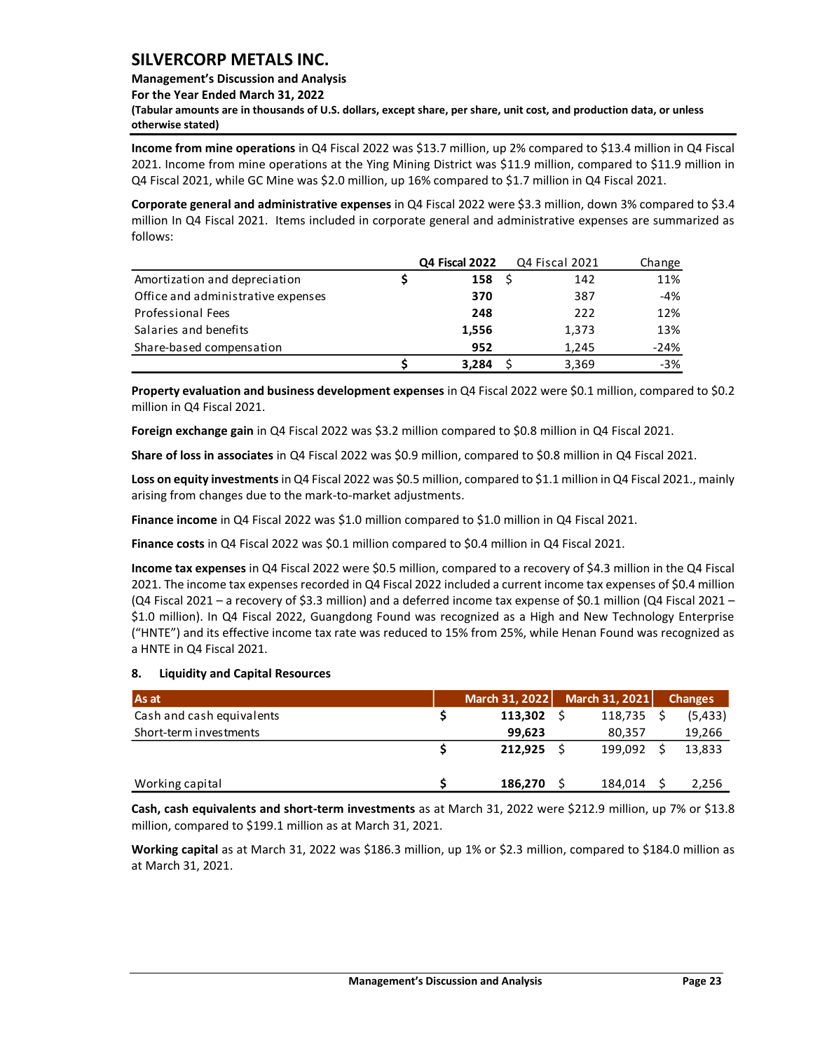## **Management's Discussion and Analysis**

**For the Year Ended March 31, 2022**

**(Tabular amounts are in thousands of U.S. dollars, except share, per share, unit cost, and production data, or unless otherwise stated)** 

**Income from mine operations** in Q4 Fiscal 2022 was \$13.7 million, up 2% compared to \$13.4 million in Q4 Fiscal 2021. Income from mine operations at the Ying Mining District was \$11.9 million, compared to \$11.9 million in Q4 Fiscal 2021, while GC Mine was \$2.0 million, up 16% compared to \$1.7 million in Q4 Fiscal 2021.

**Corporate general and administrative expenses** in Q4 Fiscal 2022 were \$3.3 million, down 3% compared to \$3.4 million In Q4 Fiscal 2021. Items included in corporate general and administrative expenses are summarized as follows:

|                                    | <b>Q4 Fiscal 2022</b> | Q4 Fiscal 2021 | Change |
|------------------------------------|-----------------------|----------------|--------|
| Amortization and depreciation      | 158                   | 142            | 11%    |
| Office and administrative expenses | 370                   | 387            | $-4%$  |
| <b>Professional Fees</b>           | 248                   | 222            | 12%    |
| Salaries and benefits              | 1,556                 | 1,373          | 13%    |
| Share-based compensation           | 952                   | 1.245          | $-24%$ |
|                                    | 3,284                 | 3,369          | $-3%$  |

**Property evaluation and business development expenses** in Q4 Fiscal 2022 were \$0.1 million, compared to \$0.2 million in Q4 Fiscal 2021.

**Foreign exchange gain** in Q4 Fiscal 2022 was \$3.2 million compared to \$0.8 million in Q4 Fiscal 2021.

**Share of loss in associates** in Q4 Fiscal 2022 was \$0.9 million, compared to \$0.8 million in Q4 Fiscal 2021.

**Loss on equity investments** in Q4 Fiscal 2022 was \$0.5 million, compared to \$1.1 million in Q4 Fiscal 2021., mainly arising from changes due to the mark-to-market adjustments.

**Finance income** in Q4 Fiscal 2022 was \$1.0 million compared to \$1.0 million in Q4 Fiscal 2021.

**Finance costs** in Q4 Fiscal 2022 was \$0.1 million compared to \$0.4 million in Q4 Fiscal 2021.

**Income tax expenses** in Q4 Fiscal 2022 were \$0.5 million, compared to a recovery of \$4.3 million in the Q4 Fiscal 2021. The income tax expenses recorded in Q4 Fiscal 2022 included a current income tax expenses of \$0.4 million (Q4 Fiscal 2021 – a recovery of \$3.3 million) and a deferred income tax expense of \$0.1 million (Q4 Fiscal 2021 – \$1.0 million). In Q4 Fiscal 2022, Guangdong Found was recognized as a High and New Technology Enterprise ("HNTE") and its effective income tax rate was reduced to 15% from 25%, while Henan Found was recognized as a HNTE in Q4 Fiscal 2021.

## <span id="page-23-0"></span>**8. Liquidity and Capital Resources**

| As at                     | March 31, 2022 | March 31, 2021 | <b>Changes</b> |
|---------------------------|----------------|----------------|----------------|
| Cash and cash equivalents | 113,302        | 118,735        | (5, 433)       |
| Short-term investments    | 99.623         | 80,357         | 19,266         |
|                           | 212.925        | 199.092        | 13,833         |
| Working capital           | 186,270        | 184,014        | 2,256          |

**Cash, cash equivalents and short-term investments** as at March 31, 2022 were \$212.9 million, up 7% or \$13.8 million, compared to \$199.1 million as at March 31, 2021.

**Working capital** as at March 31, 2022 was \$186.3 million, up 1% or \$2.3 million, compared to \$184.0 million as at March 31, 2021.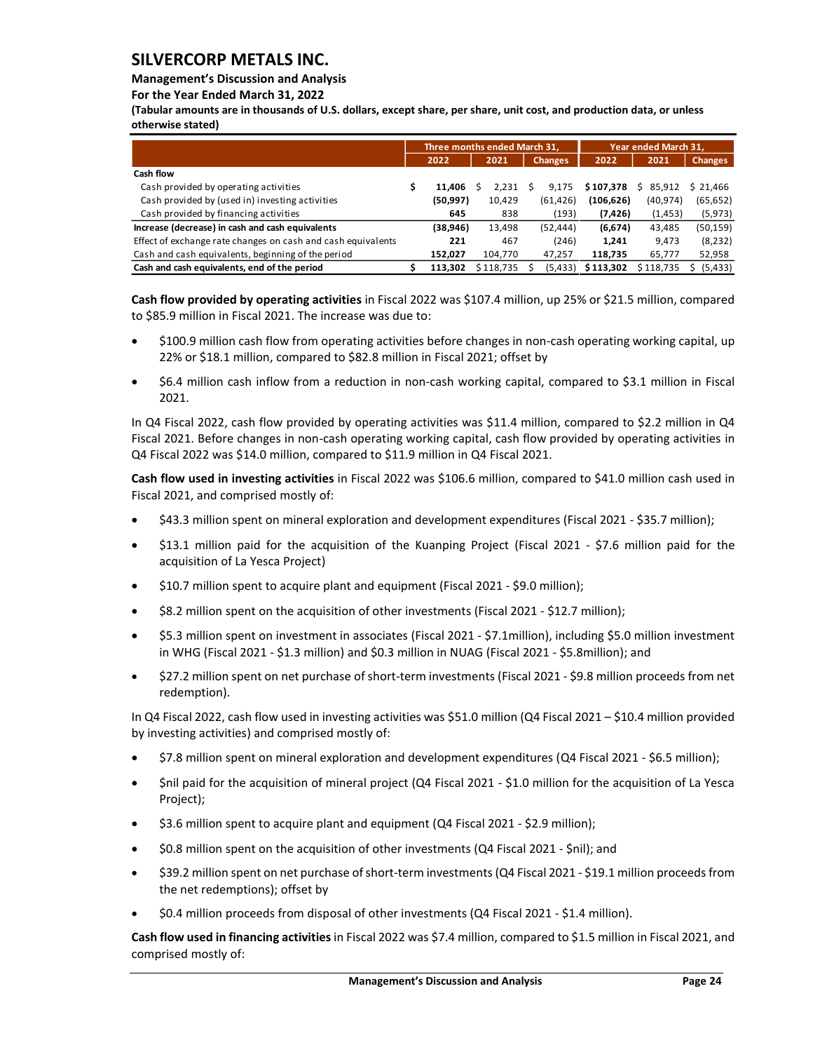## **Management's Discussion and Analysis**

#### **For the Year Ended March 31, 2022**

**(Tabular amounts are in thousands of U.S. dollars, except share, per share, unit cost, and production data, or unless otherwise stated)** 

|                                                              | Three months ended March 31, |           |   |                | Year ended March 31, |              |                |
|--------------------------------------------------------------|------------------------------|-----------|---|----------------|----------------------|--------------|----------------|
|                                                              | 2022                         | 2021      |   | <b>Changes</b> | 2022                 | 2021         | <b>Changes</b> |
| Cash flow                                                    |                              |           |   |                |                      |              |                |
| Cash provided by operating activities                        | 11,406                       | 2,231     | S | 9.175          | \$107,378            | 85.912<br>S. | \$21,466       |
| Cash provided by (used in) investing activities              | (50, 997)                    | 10,429    |   | (61, 426)      | (106, 626)           | (40, 974)    | (65, 652)      |
| Cash provided by financing activities                        | 645                          | 838       |   | (193)          | (7, 426)             | (1, 453)     | (5, 973)       |
| Increase (decrease) in cash and cash equivalents             | (38,946)                     | 13,498    |   | (52, 444)      | (6, 674)             | 43,485       | (50, 159)      |
| Effect of exchange rate changes on cash and cash equivalents | 221                          | 467       |   | (246)          | 1.241                | 9.473        | (8, 232)       |
| Cash and cash equivalents, beginning of the period           | 152,027                      | 104,770   |   | 47,257         | 118,735              | 65,777       | 52,958         |
| Cash and cash equivalents, end of the period                 | 113.302                      | \$118.735 |   | (5, 433)       | \$113,302            | \$118.735    | (5, 433)       |

**Cash flow provided by operating activities** in Fiscal 2022 was \$107.4 million, up 25% or \$21.5 million, compared to \$85.9 million in Fiscal 2021. The increase was due to:

- \$100.9 million cash flow from operating activities before changes in non-cash operating working capital, up 22% or \$18.1 million, compared to \$82.8 million in Fiscal 2021; offset by
- \$6.4 million cash inflow from a reduction in non-cash working capital, compared to \$3.1 million in Fiscal 2021.

In Q4 Fiscal 2022, cash flow provided by operating activities was \$11.4 million, compared to \$2.2 million in Q4 Fiscal 2021. Before changes in non-cash operating working capital, cash flow provided by operating activities in Q4 Fiscal 2022 was \$14.0 million, compared to \$11.9 million in Q4 Fiscal 2021.

**Cash flow used in investing activities** in Fiscal 2022 was \$106.6 million, compared to \$41.0 million cash used in Fiscal 2021, and comprised mostly of:

- \$43.3 million spent on mineral exploration and development expenditures (Fiscal 2021 \$35.7 million);
- \$13.1 million paid for the acquisition of the Kuanping Project (Fiscal 2021 \$7.6 million paid for the acquisition of La Yesca Project)
- \$10.7 million spent to acquire plant and equipment (Fiscal 2021 \$9.0 million);
- \$8.2 million spent on the acquisition of other investments (Fiscal 2021 \$12.7 million);
- \$5.3 million spent on investment in associates (Fiscal 2021 \$7.1million), including \$5.0 million investment in WHG (Fiscal 2021 - \$1.3 million) and \$0.3 million in NUAG (Fiscal 2021 - \$5.8million); and
- \$27.2 million spent on net purchase of short-term investments (Fiscal 2021 \$9.8 million proceeds from net redemption).

In Q4 Fiscal 2022, cash flow used in investing activities was \$51.0 million (Q4 Fiscal 2021 – \$10.4 million provided by investing activities) and comprised mostly of:

- \$7.8 million spent on mineral exploration and development expenditures (Q4 Fiscal 2021 \$6.5 million);
- \$nil paid for the acquisition of mineral project (Q4 Fiscal 2021 \$1.0 million for the acquisition of La Yesca Project);
- \$3.6 million spent to acquire plant and equipment (Q4 Fiscal 2021 \$2.9 million);
- \$0.8 million spent on the acquisition of other investments (Q4 Fiscal 2021 \$nil); and
- \$39.2 million spent on net purchase of short-term investments (Q4 Fiscal 2021 \$19.1 million proceeds from the net redemptions); offset by
- \$0.4 million proceeds from disposal of other investments (Q4 Fiscal 2021 \$1.4 million).

**Cash flow used in financing activities** in Fiscal 2022 was \$7.4 million, compared to \$1.5 million in Fiscal 2021, and comprised mostly of: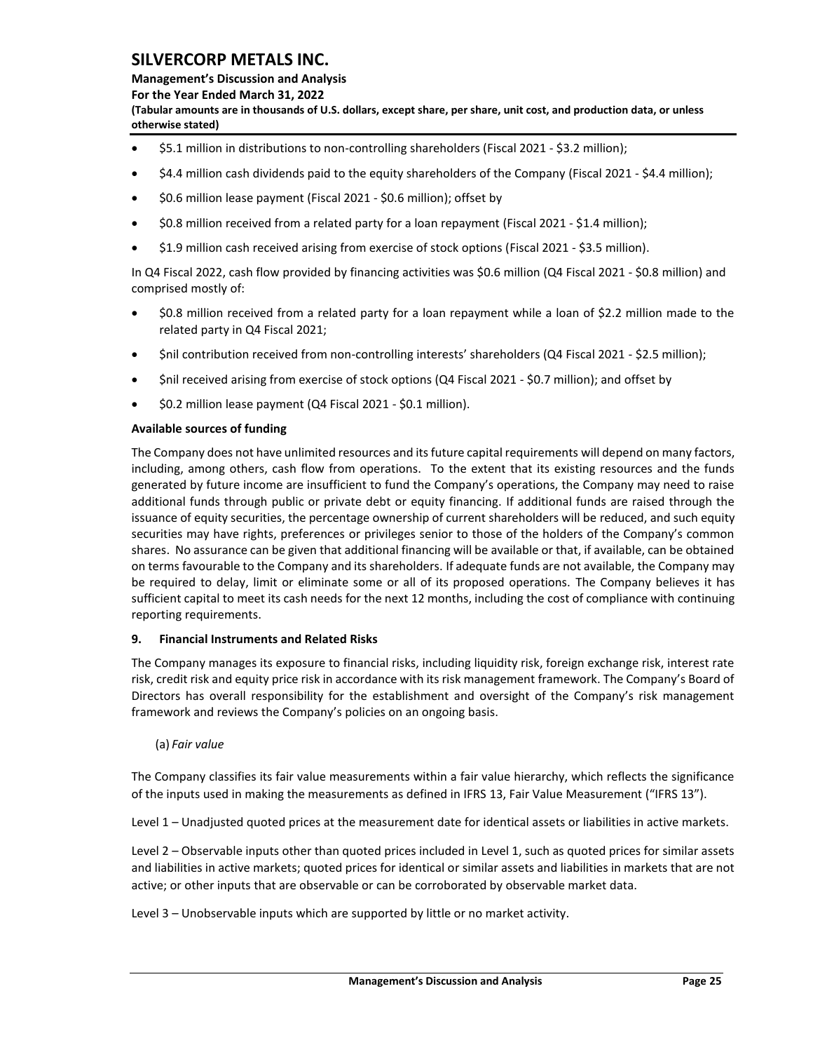**Management's Discussion and Analysis** 

**For the Year Ended March 31, 2022**

**(Tabular amounts are in thousands of U.S. dollars, except share, per share, unit cost, and production data, or unless otherwise stated)** 

- \$5.1 million in distributions to non-controlling shareholders (Fiscal 2021 \$3.2 million);
- \$4.4 million cash dividends paid to the equity shareholders of the Company (Fiscal 2021 \$4.4 million);
- \$0.6 million lease payment (Fiscal 2021 \$0.6 million); offset by
- \$0.8 million received from a related party for a loan repayment (Fiscal 2021 \$1.4 million);
- \$1.9 million cash received arising from exercise of stock options (Fiscal 2021 \$3.5 million).

In Q4 Fiscal 2022, cash flow provided by financing activities was \$0.6 million (Q4 Fiscal 2021 - \$0.8 million) and comprised mostly of:

- \$0.8 million received from a related party for a loan repayment while a loan of \$2.2 million made to the related party in Q4 Fiscal 2021;
- \$nil contribution received from non-controlling interests' shareholders (Q4 Fiscal 2021 \$2.5 million);
- \$nil received arising from exercise of stock options (Q4 Fiscal 2021 \$0.7 million); and offset by
- \$0.2 million lease payment (Q4 Fiscal 2021 \$0.1 million).

## **Available sources of funding**

The Company does not have unlimited resources and its future capital requirements will depend on many factors, including, among others, cash flow from operations. To the extent that its existing resources and the funds generated by future income are insufficient to fund the Company's operations, the Company may need to raise additional funds through public or private debt or equity financing. If additional funds are raised through the issuance of equity securities, the percentage ownership of current shareholders will be reduced, and such equity securities may have rights, preferences or privileges senior to those of the holders of the Company's common shares. No assurance can be given that additional financing will be available or that, if available, can be obtained on terms favourable to the Company and its shareholders. If adequate funds are not available, the Company may be required to delay, limit or eliminate some or all of its proposed operations. The Company believes it has sufficient capital to meet its cash needs for the next 12 months, including the cost of compliance with continuing reporting requirements.

## <span id="page-25-0"></span>**9. Financial Instruments and Related Risks**

The Company manages its exposure to financial risks, including liquidity risk, foreign exchange risk, interest rate risk, credit risk and equity price risk in accordance with its risk management framework. The Company's Board of Directors has overall responsibility for the establishment and oversight of the Company's risk management framework and reviews the Company's policies on an ongoing basis.

## (a) *Fair value*

The Company classifies its fair value measurements within a fair value hierarchy, which reflects the significance of the inputs used in making the measurements as defined in IFRS 13, Fair Value Measurement ("IFRS 13").

Level 1 – Unadjusted quoted prices at the measurement date for identical assets or liabilities in active markets.

Level 2 – Observable inputs other than quoted prices included in Level 1, such as quoted prices for similar assets and liabilities in active markets; quoted prices for identical or similar assets and liabilities in markets that are not active; or other inputs that are observable or can be corroborated by observable market data.

Level 3 – Unobservable inputs which are supported by little or no market activity.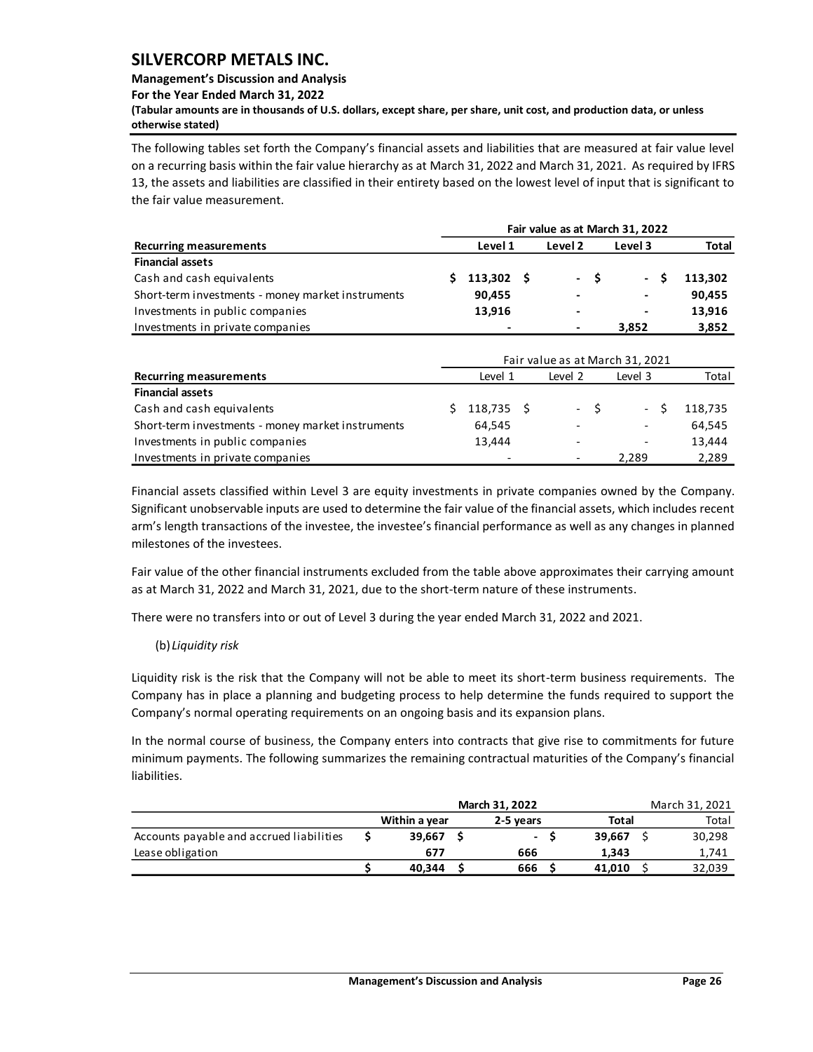## **Management's Discussion and Analysis**

**For the Year Ended March 31, 2022**

**(Tabular amounts are in thousands of U.S. dollars, except share, per share, unit cost, and production data, or unless otherwise stated)** 

The following tables set forth the Company's financial assets and liabilities that are measured at fair value level on a recurring basis within the fair value hierarchy as at March 31, 2022 and March 31, 2021. As required by IFRS 13, the assets and liabilities are classified in their entirety based on the lowest level of input that is significant to the fair value measurement.

|                                                   |    | Fair value as at March 31, 2022 |  |                          |      |                                 |              |  |  |  |  |  |  |  |
|---------------------------------------------------|----|---------------------------------|--|--------------------------|------|---------------------------------|--------------|--|--|--|--|--|--|--|
| <b>Recurring measurements</b>                     |    | Level 1                         |  | Level 2                  |      | Level 3                         | <b>Total</b> |  |  |  |  |  |  |  |
| <b>Financial assets</b>                           |    |                                 |  |                          |      |                                 |              |  |  |  |  |  |  |  |
| Cash and cash equivalents                         | Ś. | $113,302 \quad $$               |  | $\overline{\phantom{0}}$ | - \$ | - \$                            | 113,302      |  |  |  |  |  |  |  |
| Short-term investments - money market instruments |    | 90,455                          |  |                          |      |                                 | 90,455       |  |  |  |  |  |  |  |
| Investments in public companies                   |    | 13,916                          |  |                          |      |                                 | 13,916       |  |  |  |  |  |  |  |
| Investments in private companies                  |    |                                 |  |                          |      | 3,852                           | 3,852        |  |  |  |  |  |  |  |
|                                                   |    |                                 |  |                          |      |                                 |              |  |  |  |  |  |  |  |
|                                                   |    |                                 |  |                          |      | Fair value as at March 31, 2021 |              |  |  |  |  |  |  |  |
| <b>Recurring measurements</b>                     |    | Level 1                         |  | Level 2                  |      | Level 3                         | Total        |  |  |  |  |  |  |  |
| <b>Financial assets</b>                           |    |                                 |  |                          |      |                                 |              |  |  |  |  |  |  |  |
| Cash and cash equivalents                         | Ś. | $118,735$ \$                    |  | $\overline{\phantom{0}}$ | - \$ | - \$                            | 118,735      |  |  |  |  |  |  |  |
| Short-term investments - money market instruments |    | 64,545                          |  |                          |      |                                 | 64,545       |  |  |  |  |  |  |  |
| Investments in public companies                   |    | 13,444                          |  |                          |      |                                 | 13,444       |  |  |  |  |  |  |  |
| Investments in private companies                  |    |                                 |  |                          |      | 2,289                           | 2,289        |  |  |  |  |  |  |  |

Financial assets classified within Level 3 are equity investments in private companies owned by the Company. Significant unobservable inputs are used to determine the fair value of the financial assets, which includes recent arm's length transactions of the investee, the investee's financial performance as well as any changes in planned milestones of the investees.

Fair value of the other financial instruments excluded from the table above approximates their carrying amount as at March 31, 2022 and March 31, 2021, due to the short-term nature of these instruments.

There were no transfers into or out of Level 3 during the year ended March 31, 2022 and 2021.

(b) *Liquidity risk*

Liquidity risk is the risk that the Company will not be able to meet its short-term business requirements. The Company has in place a planning and budgeting process to help determine the funds required to support the Company's normal operating requirements on an ongoing basis and its expansion plans.

In the normal course of business, the Company enters into contracts that give rise to commitments for future minimum payments. The following summarizes the remaining contractual maturities of the Company's financial liabilities.

|                                          |               | March 31, 2021 |        |        |  |  |
|------------------------------------------|---------------|----------------|--------|--------|--|--|
|                                          | Within a year | 2-5 years      | Total  | Total  |  |  |
| Accounts payable and accrued liabilities | 39.667        | $\sim$         | 39.667 | 30,298 |  |  |
| Lease obligation                         | 677           | 666            | 1.343  | 1,741  |  |  |
|                                          | 40.344        | 666            | 41.010 | 32.039 |  |  |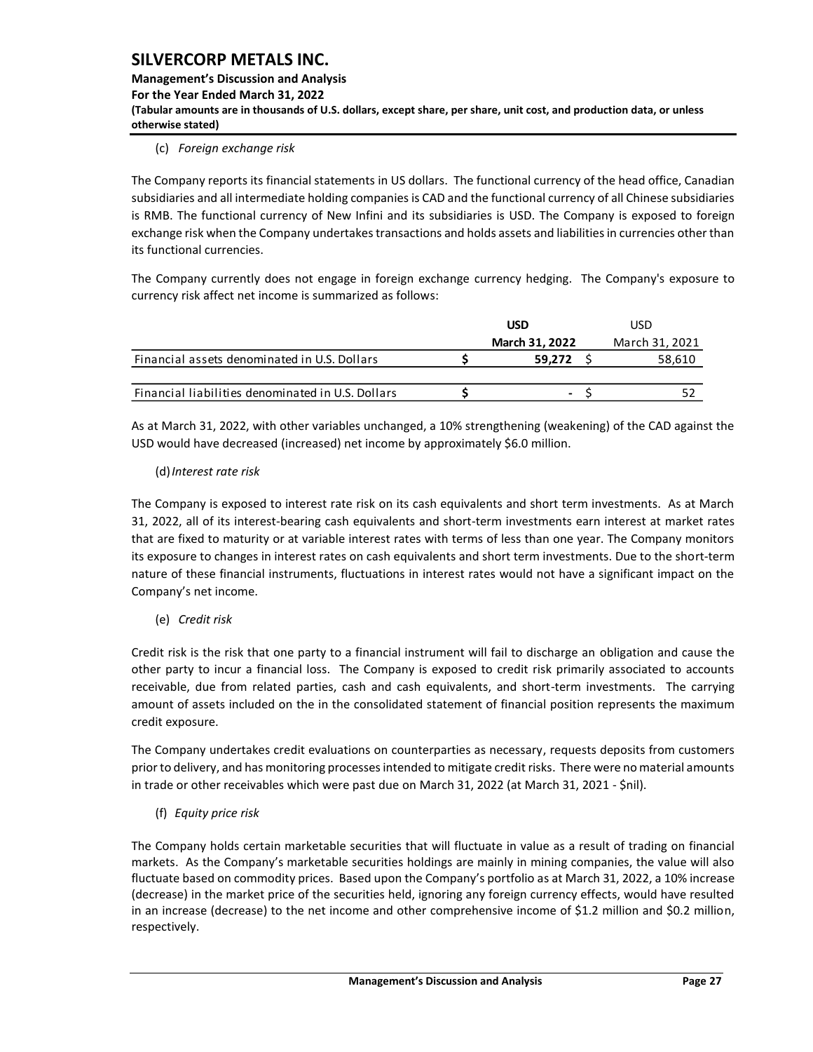**Management's Discussion and Analysis For the Year Ended March 31, 2022 (Tabular amounts are in thousands of U.S. dollars, except share, per share, unit cost, and production data, or unless otherwise stated)** 

## (c) *Foreign exchange risk*

The Company reports its financial statements in US dollars. The functional currency of the head office, Canadian subsidiaries and all intermediate holding companies is CAD and the functional currency of all Chinese subsidiaries is RMB. The functional currency of New Infini and its subsidiaries is USD. The Company is exposed to foreign exchange risk when the Company undertakes transactions and holds assets and liabilities in currencies other than its functional currencies.

The Company currently does not engage in foreign exchange currency hedging. The Company's exposure to currency risk affect net income is summarized as follows:

|                                                   | <b>USD</b>               | USD            |
|---------------------------------------------------|--------------------------|----------------|
|                                                   | <b>March 31, 2022</b>    | March 31, 2021 |
| Financial assets denominated in U.S. Dollars      | 59.272                   | 58,610         |
|                                                   |                          |                |
| Financial liabilities denominated in U.S. Dollars | $\overline{\phantom{0}}$ |                |

As at March 31, 2022, with other variables unchanged, a 10% strengthening (weakening) of the CAD against the USD would have decreased (increased) net income by approximately \$6.0 million.

#### (d)*Interest rate risk*

The Company is exposed to interest rate risk on its cash equivalents and short term investments. As at March 31, 2022, all of its interest-bearing cash equivalents and short-term investments earn interest at market rates that are fixed to maturity or at variable interest rates with terms of less than one year. The Company monitors its exposure to changes in interest rates on cash equivalents and short term investments. Due to the short-term nature of these financial instruments, fluctuations in interest rates would not have a significant impact on the Company's net income.

(e) *Credit risk*

Credit risk is the risk that one party to a financial instrument will fail to discharge an obligation and cause the other party to incur a financial loss. The Company is exposed to credit risk primarily associated to accounts receivable, due from related parties, cash and cash equivalents, and short-term investments. The carrying amount of assets included on the in the consolidated statement of financial position represents the maximum credit exposure.

The Company undertakes credit evaluations on counterparties as necessary, requests deposits from customers prior to delivery, and has monitoring processes intended to mitigate credit risks. There were no material amounts in trade or other receivables which were past due on March 31, 2022 (at March 31, 2021 - \$nil).

(f) *Equity price risk*

The Company holds certain marketable securities that will fluctuate in value as a result of trading on financial markets. As the Company's marketable securities holdings are mainly in mining companies, the value will also fluctuate based on commodity prices. Based upon the Company's portfolio as at March 31, 2022, a 10% increase (decrease) in the market price of the securities held, ignoring any foreign currency effects, would have resulted in an increase (decrease) to the net income and other comprehensive income of \$1.2 million and \$0.2 million, respectively.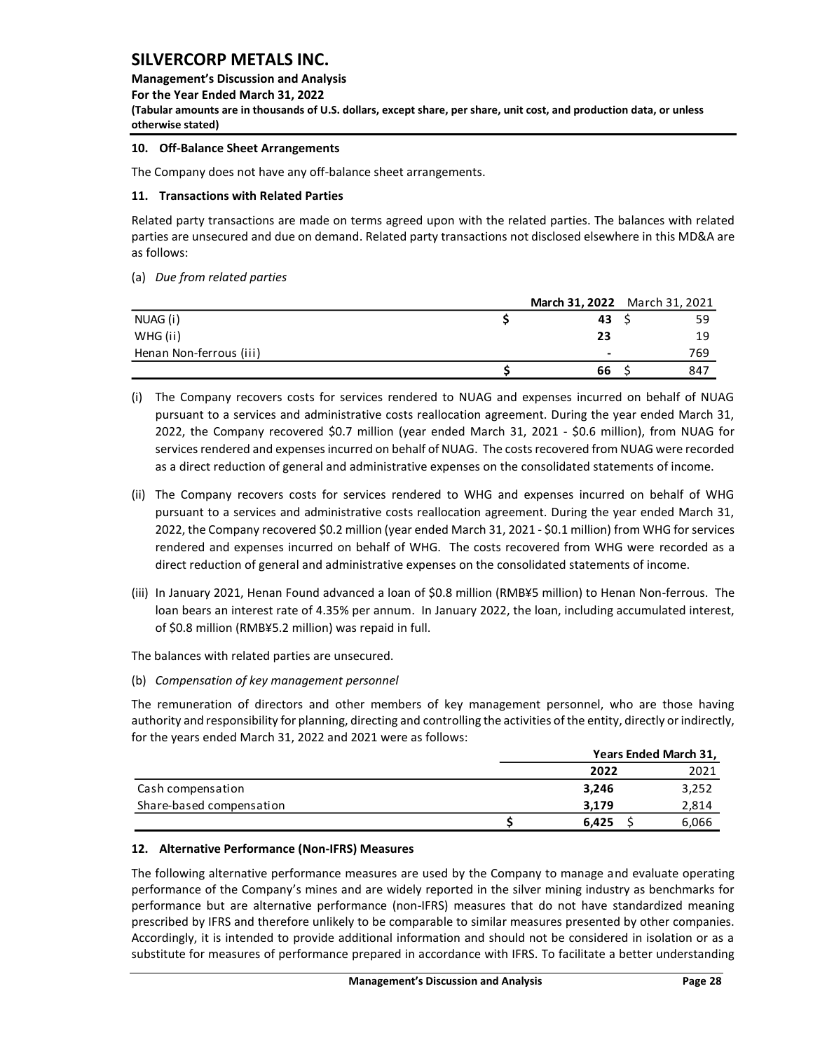**Management's Discussion and Analysis** 

**For the Year Ended March 31, 2022**

**(Tabular amounts are in thousands of U.S. dollars, except share, per share, unit cost, and production data, or unless otherwise stated)** 

## <span id="page-28-0"></span>**10. Off-Balance Sheet Arrangements**

The Company does not have any off-balance sheet arrangements.

### <span id="page-28-1"></span>**11. Transactions with Related Parties**

Related party transactions are made on terms agreed upon with the related parties. The balances with related parties are unsecured and due on demand. Related party transactions not disclosed elsewhere in this MD&A are as follows:

(a) *Due from related parties*

|                         | March 31, 2022 March 31, 2021 |     |
|-------------------------|-------------------------------|-----|
| NUAG (i)                | 43                            | 59  |
| WHG (ii)                | 23                            | 19  |
| Henan Non-ferrous (iii) | $\overline{\phantom{0}}$      | 769 |
|                         | 66                            | 847 |

- (i) The Company recovers costs for services rendered to NUAG and expenses incurred on behalf of NUAG pursuant to a services and administrative costs reallocation agreement. During the year ended March 31, 2022, the Company recovered \$0.7 million (year ended March 31, 2021 - \$0.6 million), from NUAG for services rendered and expenses incurred on behalf of NUAG. The costs recovered from NUAG were recorded as a direct reduction of general and administrative expenses on the consolidated statements of income.
- (ii) The Company recovers costs for services rendered to WHG and expenses incurred on behalf of WHG pursuant to a services and administrative costs reallocation agreement. During the year ended March 31, 2022, the Company recovered \$0.2 million (year ended March 31, 2021 - \$0.1 million) from WHG for services rendered and expenses incurred on behalf of WHG. The costs recovered from WHG were recorded as a direct reduction of general and administrative expenses on the consolidated statements of income.
- (iii) In January 2021, Henan Found advanced a loan of \$0.8 million (RMB¥5 million) to Henan Non-ferrous. The loan bears an interest rate of 4.35% per annum. In January 2022, the loan, including accumulated interest, of \$0.8 million (RMB¥5.2 million) was repaid in full.

The balances with related parties are unsecured.

(b) *Compensation of key management personnel*

The remuneration of directors and other members of key management personnel, who are those having authority and responsibility for planning, directing and controlling the activities of the entity, directly or indirectly, for the years ended March 31, 2022 and 2021 were as follows:

|                          |       | Years Ended March 31, |
|--------------------------|-------|-----------------------|
|                          | 2022  | 2021                  |
| Cash compensation        | 3.246 | 3,252                 |
| Share-based compensation | 3.179 | 2,814                 |
|                          | 6.425 | 6,066                 |

## <span id="page-28-2"></span>**12. Alternative Performance (Non-IFRS) Measures**

The following alternative performance measures are used by the Company to manage and evaluate operating performance of the Company's mines and are widely reported in the silver mining industry as benchmarks for performance but are alternative performance (non-IFRS) measures that do not have standardized meaning prescribed by IFRS and therefore unlikely to be comparable to similar measures presented by other companies. Accordingly, it is intended to provide additional information and should not be considered in isolation or as a substitute for measures of performance prepared in accordance with IFRS. To facilitate a better understanding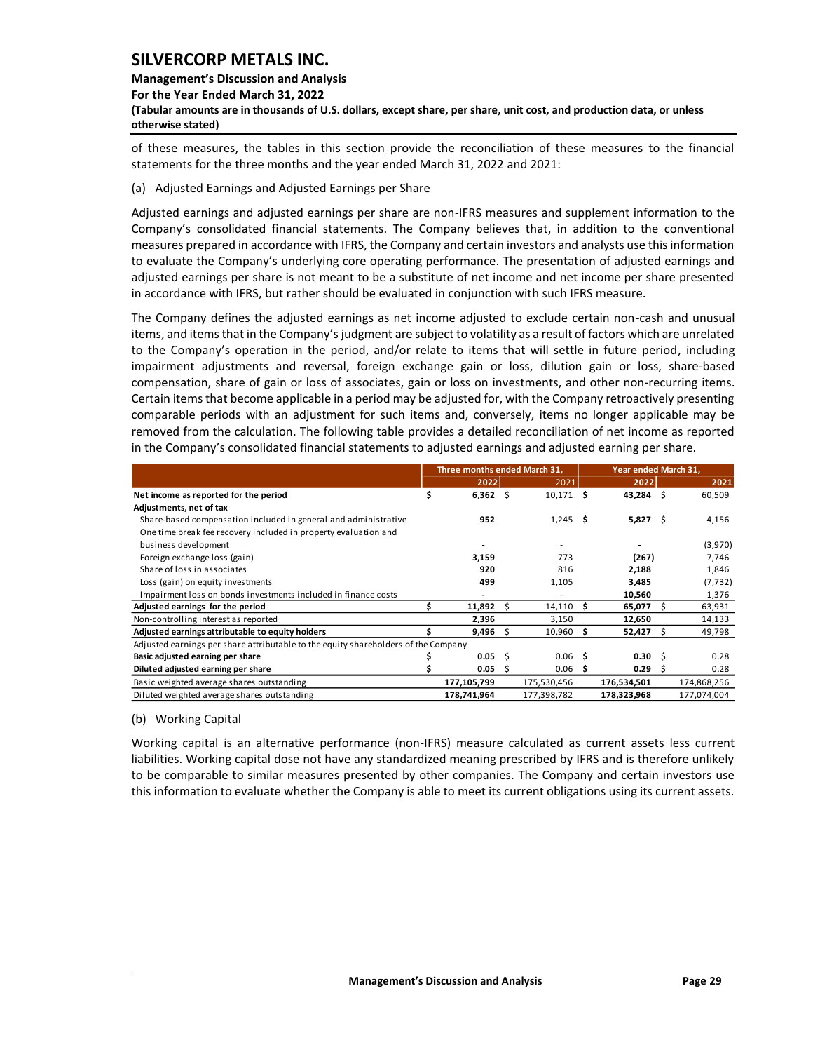#### **Management's Discussion and Analysis**

**For the Year Ended March 31, 2022**

**(Tabular amounts are in thousands of U.S. dollars, except share, per share, unit cost, and production data, or unless otherwise stated)** 

of these measures, the tables in this section provide the reconciliation of these measures to the financial statements for the three months and the year ended March 31, 2022 and 2021:

(a) Adjusted Earnings and Adjusted Earnings per Share

Adjusted earnings and adjusted earnings per share are non-IFRS measures and supplement information to the Company's consolidated financial statements. The Company believes that, in addition to the conventional measures prepared in accordance with IFRS, the Company and certain investors and analysts use this information to evaluate the Company's underlying core operating performance. The presentation of adjusted earnings and adjusted earnings per share is not meant to be a substitute of net income and net income per share presented in accordance with IFRS, but rather should be evaluated in conjunction with such IFRS measure.

The Company defines the adjusted earnings as net income adjusted to exclude certain non-cash and unusual items, and items that in the Company's judgment are subject to volatility as a result of factors which are unrelated to the Company's operation in the period, and/or relate to items that will settle in future period, including impairment adjustments and reversal, foreign exchange gain or loss, dilution gain or loss, share-based compensation, share of gain or loss of associates, gain or loss on investments, and other non-recurring items. Certain items that become applicable in a period may be adjusted for, with the Company retroactively presenting comparable periods with an adjustment for such items and, conversely, items no longer applicable may be removed from the calculation. The following table provides a detailed reconciliation of net income as reported in the Company's consolidated financial statements to adjusted earnings and adjusted earning per share.

|                                                                                    |   | Three months ended March 31, |    |                   |   |              | Year ended March 31, |             |  |  |  |
|------------------------------------------------------------------------------------|---|------------------------------|----|-------------------|---|--------------|----------------------|-------------|--|--|--|
|                                                                                    |   | 2022                         |    | 2021              |   | 2022         |                      | 2021        |  |  |  |
| Net income as reported for the period                                              | S | $6,362$ \$                   |    | $10,171$ \$       |   | 43,284 \$    |                      | 60,509      |  |  |  |
| Adjustments, net of tax                                                            |   |                              |    |                   |   |              |                      |             |  |  |  |
| Share-based compensation included in general and administrative                    |   | 952                          |    | $1,245$ \$        |   | $5,827$ \$   |                      | 4,156       |  |  |  |
| One time break fee recovery included in property evaluation and                    |   |                              |    |                   |   |              |                      |             |  |  |  |
| business development                                                               |   |                              |    |                   |   |              |                      | (3,970)     |  |  |  |
| Foreign exchange loss (gain)                                                       |   | 3,159                        |    | 773               |   | (267)        |                      | 7,746       |  |  |  |
| Share of loss in associates                                                        |   | 920                          |    | 816               |   | 2,188        |                      | 1,846       |  |  |  |
| Loss (gain) on equity investments                                                  |   | 499                          |    | 1,105             |   | 3,485        |                      | (7, 732)    |  |  |  |
| Impairment loss on bonds investments included in finance costs                     |   |                              |    |                   |   | 10,560       |                      | 1,376       |  |  |  |
| Adjusted earnings for the period                                                   |   | 11,892                       | S  | 14,110            | s | 65,077       | Ŝ.                   | 63,931      |  |  |  |
| Non-controlling interest as reported                                               |   | 2,396                        |    | 3,150             |   | 12,650       |                      | 14,133      |  |  |  |
| Adjusted earnings attributable to equity holders                                   |   | $9,496$ \$                   |    | 10,960            | S | 52,427 \$    |                      | 49,798      |  |  |  |
| Adjusted earnings per share attributable to the equity shareholders of the Company |   |                              |    |                   |   |              |                      |             |  |  |  |
| Basic adjusted earning per share                                                   |   | 0.05                         | -Ś | 0.06 <sub>5</sub> |   | $0.30 \quad$ |                      | 0.28        |  |  |  |
| Diluted adjusted earning per share                                                 |   | 0.05                         | S  | 0.06              | S | 0.29         | - S                  | 0.28        |  |  |  |
| Basic weighted average shares outstanding                                          |   | 177,105,799                  |    | 175,530,456       |   | 176,534,501  |                      | 174,868,256 |  |  |  |
| Diluted weighted average shares outstanding                                        |   | 178,741,964                  |    | 177,398,782       |   | 178,323,968  |                      | 177,074,004 |  |  |  |

## (b) Working Capital

Working capital is an alternative performance (non-IFRS) measure calculated as current assets less current liabilities. Working capital dose not have any standardized meaning prescribed by IFRS and is therefore unlikely to be comparable to similar measures presented by other companies. The Company and certain investors use this information to evaluate whether the Company is able to meet its current obligations using its current assets.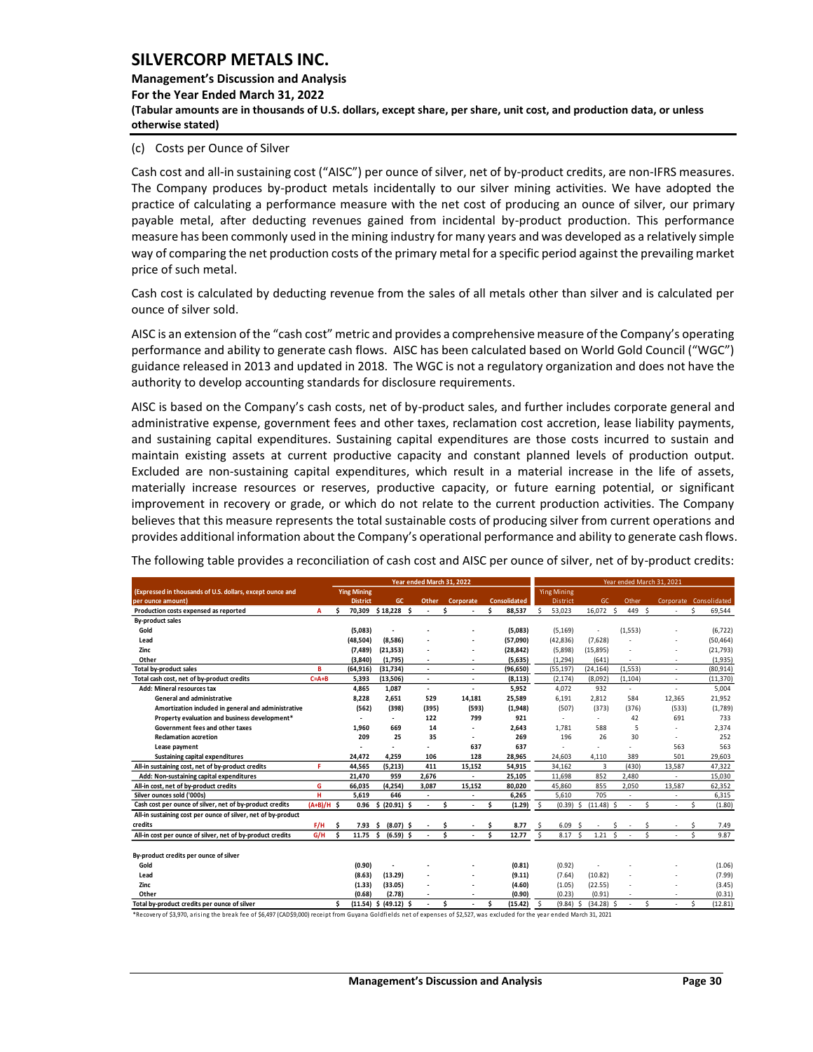**Management's Discussion and Analysis For the Year Ended March 31, 2022 (Tabular amounts are in thousands of U.S. dollars, except share, per share, unit cost, and production data, or unless otherwise stated)** 

#### (c) Costs per Ounce of Silver

Cash cost and all-in sustaining cost ("AISC") per ounce of silver, net of by-product credits, are non-IFRS measures. The Company produces by-product metals incidentally to our silver mining activities. We have adopted the practice of calculating a performance measure with the net cost of producing an ounce of silver, our primary payable metal, after deducting revenues gained from incidental by-product production. This performance measure has been commonly used in the mining industry for many years and was developed as a relatively simple way of comparing the net production costs of the primary metal for a specific period against the prevailing market price of such metal.

Cash cost is calculated by deducting revenue from the sales of all metals other than silver and is calculated per ounce of silver sold.

AISC is an extension of the "cash cost" metric and provides a comprehensive measure of the Company's operating performance and ability to generate cash flows. AISC has been calculated based on World Gold Council ("WGC") guidance released in 2013 and updated in 2018. The WGC is not a regulatory organization and does not have the authority to develop accounting standards for disclosure requirements.

AISC is based on the Company's cash costs, net of by-product sales, and further includes corporate general and administrative expense, government fees and other taxes, reclamation cost accretion, lease liability payments, and sustaining capital expenditures. Sustaining capital expenditures are those costs incurred to sustain and maintain existing assets at current productive capacity and constant planned levels of production output. Excluded are non-sustaining capital expenditures, which result in a material increase in the life of assets, materially increase resources or reserves, productive capacity, or future earning potential, or significant improvement in recovery or grade, or which do not relate to the current production activities. The Company believes that this measure represents the total sustainable costs of producing silver from current operations and provides additional information about the Company's operational performance and ability to generate cash flows.

| The following table provides a reconciliation of cash cost and AISC per ounce of silver, net of by-product credits: |  |
|---------------------------------------------------------------------------------------------------------------------|--|
|---------------------------------------------------------------------------------------------------------------------|--|

|                                                               |              | Year ended March 31, 2022 |                           |                          |             |                          |    |                          |   |                     |     |                    | Year ended March 31, 2021 |                          |   |          |                         |                        |    |           |  |  |
|---------------------------------------------------------------|--------------|---------------------------|---------------------------|--------------------------|-------------|--------------------------|----|--------------------------|---|---------------------|-----|--------------------|---------------------------|--------------------------|---|----------|-------------------------|------------------------|----|-----------|--|--|
| (Expressed in thousands of U.S. dollars, except ounce and     |              |                           | <b>Ying Mining</b>        |                          |             |                          |    |                          |   |                     |     | <b>Ying Mining</b> |                           |                          |   |          |                         |                        |    |           |  |  |
| per ounce amount)                                             |              |                           | <b>District</b>           |                          | GC          | <b>Other</b>             |    | Corporate                |   | <b>Consolidated</b> |     | District           |                           | GC.                      |   | Other    |                         | Corporate Consolidated |    |           |  |  |
| Production costs expensed as reported                         | A            | ¢                         | 70.309                    | \$18,228\$               |             |                          | Ś  |                          | Ś | 88,537              | Š.  | 53,023             |                           | 16,072 \$                |   | 449 \$   |                         |                        | Š. | 69,544    |  |  |
| By-product sales                                              |              |                           |                           |                          |             |                          |    |                          |   |                     |     |                    |                           |                          |   |          |                         |                        |    |           |  |  |
| Gold                                                          |              |                           | (5,083)                   | $\overline{\phantom{a}}$ |             |                          |    |                          |   | (5.083)             |     | (5, 169)           |                           | ÷                        |   | (1, 553) |                         |                        |    | (6, 722)  |  |  |
| Lead                                                          |              |                           | (48, 504)                 | (8,586)                  |             |                          |    |                          |   | (57,090)            |     | (42, 836)          |                           | (7,628)                  |   |          |                         |                        |    | (50, 464) |  |  |
| Zinc                                                          |              |                           | (7, 489)                  | (21, 353)                |             |                          |    |                          |   | (28, 842)           |     | (5,898)            |                           | (15,895)                 |   |          |                         |                        |    | (21, 793) |  |  |
| Other                                                         |              |                           | (3,840)                   | (1,795)                  |             |                          |    |                          |   | (5,635)             |     | (1, 294)           |                           | (641)                    |   |          |                         |                        |    | (1,935)   |  |  |
| <b>Total by-product sales</b>                                 | в            |                           | (64, 916)                 | (31.734)                 |             | ٠                        |    | $\overline{\phantom{a}}$ |   | (96.650)            |     | (55.197)           |                           | (24.164)                 |   | (1.553)  |                         | ٠                      |    | (80.914)  |  |  |
| Total cash cost, net of by-product credits                    | $C = A + B$  |                           | 5,393                     | (13,506)                 |             | $\overline{\phantom{a}}$ |    | $\overline{\phantom{a}}$ |   | (8, 113)            |     | (2, 174)           |                           | (8,092)                  |   | (1, 104) |                         | ٠                      |    | (11, 370) |  |  |
| Add: Mineral resources tax                                    |              |                           | 4,865                     | 1,087                    |             | $\overline{\phantom{a}}$ |    | $\overline{a}$           |   | 5,952               |     | 4,072              |                           | 932                      |   |          |                         | ٠                      |    | 5,004     |  |  |
| <b>General and administrative</b>                             |              |                           | 8.228                     | 2.651                    |             | 529                      |    | 14.181                   |   | 25,589              |     | 6.191              |                           | 2.812                    |   | 584      |                         | 12,365                 |    | 21,952    |  |  |
| Amortization included in general and administrative           |              |                           | (562)                     | (398)                    |             | (395)                    |    | (593)                    |   | (1,948)             |     | (507)              |                           | (373)                    |   | (376)    |                         | (533)                  |    | (1,789)   |  |  |
| Property evaluation and business development*                 |              |                           |                           | $\overline{\phantom{a}}$ |             | 122                      |    | 799                      |   | 921                 |     |                    |                           | $\overline{\phantom{a}}$ |   | 42       |                         | 691                    |    | 733       |  |  |
| Government fees and other taxes                               |              |                           | 1,960                     | 669                      |             | 14                       |    |                          |   | 2.643               |     | 1.781              |                           | 588                      |   | 5        |                         |                        |    | 2,374     |  |  |
| <b>Reclamation accretion</b>                                  |              |                           | 209                       |                          | 25          | 35                       |    | $\overline{\phantom{a}}$ |   | 269                 |     | 196                |                           | 26                       |   | 30       |                         |                        |    | 252       |  |  |
| Lease payment                                                 |              |                           |                           | $\overline{a}$           |             |                          |    | 637                      |   | 637                 |     | $\overline{a}$     |                           | ٠                        |   |          |                         | 563                    |    | 563       |  |  |
| Sustaining capital expenditures                               |              |                           | 24,472                    | 4,259                    |             | 106                      |    | 128                      |   | 28,965              |     | 24,603             |                           | 4,110                    |   | 389      |                         | 501                    |    | 29,603    |  |  |
| All-in sustaining cost, net of by-product credits             | F            |                           | 44,565                    | (5,213)                  |             | 411                      |    | 15,152                   |   | 54,915              |     | 34,162             |                           | 3                        |   | (430)    |                         | 13,587                 |    | 47,322    |  |  |
| Add: Non-sustaining capital expenditures                      |              |                           | 21.470                    | 959                      |             | 2.676                    |    | $\overline{\phantom{a}}$ |   | 25.105              |     | 11.698             |                           | 852                      |   | 2.480    |                         |                        |    | 15.030    |  |  |
| All-in cost, net of by-product credits                        | G            |                           | 66,035                    | (4, 254)                 |             | 3.087                    |    | 15,152                   |   | 80,020              |     | 45,860             |                           | 855                      |   | 2,050    |                         | 13,587                 |    | 62,352    |  |  |
| Silver ounces sold ('000s)                                    | н            |                           | 5.619                     | 646                      |             |                          |    |                          |   | 6,265               |     | 5.610              |                           | 705                      |   |          |                         |                        |    | 6,315     |  |  |
| Cash cost per ounce of silver, net of by-product credits      | $(A+B)/H$ \$ |                           |                           | $0.96$ \$ (20.91) \$     |             |                          | \$ | $\overline{\phantom{a}}$ | Ś | (1.29)              | -\$ | $(0.39)$ \$        |                           | $(11.48)$ \$             |   |          | \$                      |                        | Š. | (1.80)    |  |  |
| All-in sustaining cost per ounce of silver, net of by-product |              |                           |                           |                          |             |                          |    |                          |   |                     |     |                    |                           |                          |   |          |                         |                        |    |           |  |  |
| credits                                                       | F/H          | Ś.                        | $7.93 \quad S$            |                          | $(8.07)$ \$ |                          | Ś  |                          | Ś | 8.77                | Ś   | 6.09               | - \$                      |                          | Ś |          | Ś                       |                        |    | 7.49      |  |  |
| All-in cost per ounce of silver, net of by-product credits    | G/H          | Ŝ.                        | 11.75                     | Ŝ.                       | $(6.59)$ \$ |                          | Ś  |                          | Ś | 12.77               | Š.  | 8.17               | - Ś                       | $1.21 \quad S$           |   |          | $\overline{\mathsf{S}}$ |                        |    | 9.87      |  |  |
|                                                               |              |                           |                           |                          |             |                          |    |                          |   |                     |     |                    |                           |                          |   |          |                         |                        |    |           |  |  |
| By-product credits per ounce of silver                        |              |                           |                           |                          |             |                          |    |                          |   |                     |     |                    |                           |                          |   |          |                         |                        |    |           |  |  |
| Gold                                                          |              |                           | (0.90)                    |                          |             |                          |    |                          |   | (0.81)              |     | (0.92)             |                           |                          |   |          |                         |                        |    | (1.06)    |  |  |
| Lead                                                          |              |                           | (8.63)                    | (13.29)                  |             |                          |    |                          |   | (9.11)              |     | (7.64)             |                           | (10.82)                  |   |          |                         |                        |    | (7.99)    |  |  |
| Zinc                                                          |              |                           | (1.33)                    | (33.05)                  |             |                          |    |                          |   | (4.60)              |     | (1.05)             |                           | (22.55)                  |   |          |                         |                        |    | (3.45)    |  |  |
| Other                                                         |              |                           | (0.68)                    | (2.78)                   |             |                          |    |                          |   | (0.90)              |     | (0.23)             |                           | (0.91)                   |   |          |                         |                        |    | (0.31)    |  |  |
| Total by-product credits per ounce of silver                  |              | ¢                         | $(11.54)$ \$ $(49.12)$ \$ |                          |             |                          | Ś  |                          | Ś | (15.42)             | Ŝ.  | $(9.84)$ \$        |                           | $(34.28)$ \$             |   |          | Ś                       |                        | Š. | (12.81)   |  |  |

\*Recovery of \$3,970, arising the break fee of \$6,497 (CAD\$9,000) receipt from Guyana Goldfields net of expenses of \$2,527, was excluded for the year ended March 31, 2021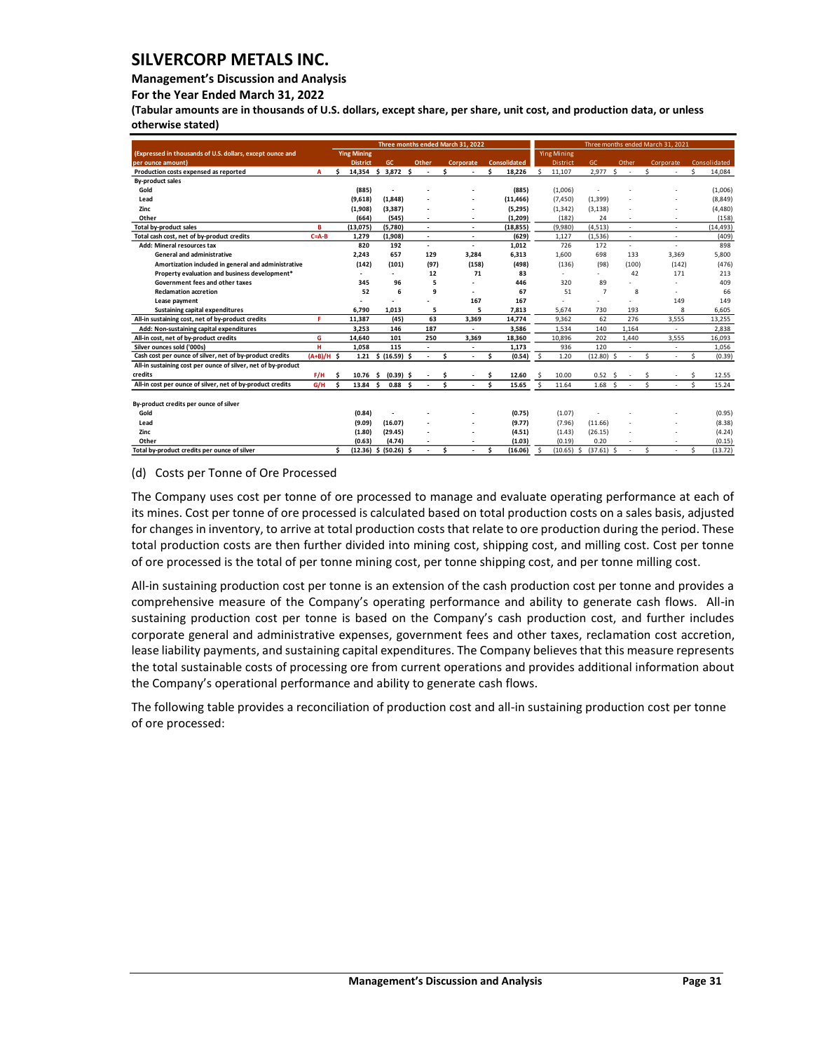## **Management's Discussion and Analysis**

**For the Year Ended March 31, 2022**

**(Tabular amounts are in thousands of U.S. dollars, except share, per share, unit cost, and production data, or unless otherwise stated)** 

|                                                               |              |    | Three months ended March 31, 2022 |    |               |     |        |    |                          |     |                     | Three months ended March 31, 2021 |                    |  |                |    |        |   |    |           |    |              |
|---------------------------------------------------------------|--------------|----|-----------------------------------|----|---------------|-----|--------|----|--------------------------|-----|---------------------|-----------------------------------|--------------------|--|----------------|----|--------|---|----|-----------|----|--------------|
| (Expressed in thousands of U.S. dollars, except ounce and     |              |    | <b>Ying Mining</b>                |    |               |     |        |    |                          |     |                     |                                   | <b>Ying Mining</b> |  |                |    |        |   |    |           |    |              |
| per ounce amount)                                             |              |    | <b>District</b>                   |    | GC            |     | Other  |    | Corporate                |     | <b>Consolidated</b> |                                   | District           |  | GC.            |    | Other  |   |    | Corporate |    | Consolidated |
| Production costs expensed as reported                         | A            | Ś  | 14,354                            | \$ | 3,872 \$      |     |        | Ś  | ٠                        | \$. | 18,226              | <b>S</b>                          | 11,107             |  | 2,977          | Ŝ. | $\sim$ |   | \$ | ÷,        | Ś  | 14,084       |
| <b>By-product sales</b>                                       |              |    |                                   |    |               |     |        |    |                          |     |                     |                                   |                    |  |                |    |        |   |    |           |    |              |
| Gold                                                          |              |    | (885)                             |    |               |     |        |    |                          |     | (885)               |                                   | (1,006)            |  |                |    |        |   |    |           |    | (1,006)      |
| Lead                                                          |              |    | (9,618)                           |    | (1,848)       |     |        |    |                          |     | (11, 466)           |                                   | (7, 450)           |  | (1, 399)       |    |        |   |    |           |    | (8, 849)     |
| Zinc                                                          |              |    | (1,908)                           |    | (3, 387)      |     |        |    |                          |     | (5,295)             |                                   | (1, 342)           |  | (3, 138)       |    |        |   |    |           |    | (4, 480)     |
| Other                                                         |              |    | (664)                             |    | (545)         |     |        |    | ٠                        |     | (1, 209)            |                                   | (182)              |  | 24             |    |        |   |    |           |    | (158)        |
| <b>Total by-product sales</b>                                 | B            |    | (13, 075)                         |    | (5,780)       |     | $\sim$ |    | ٠                        |     | (18, 855)           |                                   | (9,980)            |  | (4, 513)       |    |        |   |    | ٠         |    | (14, 493)    |
| Total cash cost, net of by-product credits                    | $C = A - B$  |    | 1.279                             |    | (1,908)       |     | $\sim$ |    | ٠                        |     | (629)               |                                   | 1,127              |  | (1,536)        |    | ٠      |   |    | ÷,        |    | (409)        |
| Add: Mineral resources tax                                    |              |    | 820                               |    | 192           |     |        |    | ä,                       |     | 1,012               |                                   | 726                |  | 172            |    |        |   |    | ÷         |    | 898          |
| <b>General and administrative</b>                             |              |    | 2,243                             |    | 657           |     | 129    |    | 3,284                    |     | 6,313               |                                   | 1.600              |  | 698            |    | 133    |   |    | 3,369     |    | 5,800        |
| Amortization included in general and administrative           |              |    | (142)                             |    | (101)         |     | (97)   |    | (158)                    |     | (498)               |                                   | (136)              |  | (98)           |    | (100)  |   |    | (142)     |    | (476)        |
| Property evaluation and business development*                 |              |    |                                   |    |               |     | 12     |    | 71                       |     | 83                  |                                   | ÷                  |  | $\sim$ .       |    | 42     |   |    | 171       |    | 213          |
| Government fees and other taxes                               |              |    | 345                               |    | 96            |     | 5      |    |                          |     | 446                 |                                   | 320                |  | 89             |    |        |   |    |           |    | 409          |
| <b>Reclamation accretion</b>                                  |              |    | 52                                |    | 6             |     | 9      |    |                          |     | 67                  |                                   | 51                 |  | $\overline{7}$ |    |        | 8 |    |           |    | 66           |
| Lease payment                                                 |              |    |                                   |    |               |     |        |    | 167                      |     | 167                 |                                   |                    |  |                |    |        |   |    | 149       |    | 149          |
| Sustaining capital expenditures                               |              |    | 6,790                             |    | 1,013         |     | 5      |    | 5                        |     | 7,813               |                                   | 5,674              |  | 730            |    | 193    |   |    | 8         |    | 6,605        |
| All-in sustaining cost, net of by-product credits             | F.           |    | 11,387                            |    | (45)          |     | 63     |    | 3,369                    |     | 14.774              |                                   | 9,362              |  | 62             |    | 276    |   |    | 3,555     |    | 13,255       |
| Add: Non-sustaining capital expenditures                      |              |    | 3.253                             |    | 146           |     | 187    |    | ä,                       |     | 3,586               |                                   | 1,534              |  | 140            |    | 1,164  |   |    | ä,        |    | 2,838        |
| All-in cost, net of by-product credits                        | G            |    | 14,640                            |    | 101           |     | 250    |    | 3,369                    |     | 18,360              |                                   | 10,896             |  | 202            |    | 1,440  |   |    | 3,555     |    | 16,093       |
| Silver ounces sold ('000s)                                    | н            |    | 1.058                             |    | 115           |     |        |    | ٠                        |     | 1,173               |                                   | 936                |  | 120            |    |        |   |    | ÷         |    | 1,056        |
| Cash cost per ounce of silver, net of by-product credits      | $(A+B)/H$ \$ |    | 1.21                              |    | \$ (16.59) \$ |     |        | \$ | $\overline{\phantom{a}}$ | \$. | (0.54)              | -\$                               | 1.20               |  | $(12.80)$ \$   |    |        |   | Ś  | Î,        | Ś. | (0.39)       |
| All-in sustaining cost per ounce of silver, net of by-product |              |    |                                   |    |               |     |        |    |                          |     |                     |                                   |                    |  |                |    |        |   |    |           |    |              |
| credits                                                       | F/H          | .s | 10.76                             | Ŝ. | $(0.39)$ \$   |     |        |    |                          |     | 12.60               |                                   | 10.00              |  | 0.52           |    |        |   |    |           |    | 12.55        |
| All-in cost per ounce of silver, net of by-product credits    | G/H          | Ŝ  | 13.84                             | Ŝ. | 0.88          | - S |        | Ś. |                          | Ŝ.  | 15.65               | <b>S</b>                          | 11.64              |  | 1.68           |    |        |   | ¢  |           | ¢  | 15.24        |
|                                                               |              |    |                                   |    |               |     |        |    |                          |     |                     |                                   |                    |  |                |    |        |   |    |           |    |              |
| By-product credits per ounce of silver                        |              |    |                                   |    |               |     |        |    |                          |     |                     |                                   |                    |  |                |    |        |   |    |           |    |              |
| Gold                                                          |              |    | (0.84)                            |    |               |     |        |    |                          |     | (0.75)              |                                   | (1.07)             |  |                |    |        |   |    |           |    | (0.95)       |
| Lead                                                          |              |    | (9.09)                            |    | (16.07)       |     |        |    | ٠                        |     | (9.77)              |                                   | (7.96)             |  | (11.66)        |    |        |   |    |           |    | (8.38)       |
| Zinc                                                          |              |    | (1.80)                            |    | (29.45)       |     |        |    |                          |     | (4.51)              |                                   | (1.43)             |  | (26.15)        |    |        |   |    |           |    | (4.24)       |
| Other                                                         |              |    | (0.63)                            |    | (4.74)        |     |        |    | $\sim$                   |     | (1.03)              |                                   | (0.19)             |  | 0.20           |    |        |   |    | ÷         |    | (0.15)       |
| Total by-product credits per ounce of silver                  |              | Ś  | (12.36)                           |    | \$ (50.26) \$ |     |        | \$ | ٠                        | \$  | (16.06)             | <b>S</b>                          | $(10.65)$ \$       |  | $(37.61)$ \$   |    |        |   | Ś  |           | Ś  | (13.72)      |

#### (d) Costs per Tonne of Ore Processed

The Company uses cost per tonne of ore processed to manage and evaluate operating performance at each of its mines. Cost per tonne of ore processed is calculated based on total production costs on a sales basis, adjusted for changes in inventory, to arrive at total production costs that relate to ore production during the period. These total production costs are then further divided into mining cost, shipping cost, and milling cost. Cost per tonne of ore processed is the total of per tonne mining cost, per tonne shipping cost, and per tonne milling cost.

All-in sustaining production cost per tonne is an extension of the cash production cost per tonne and provides a comprehensive measure of the Company's operating performance and ability to generate cash flows. All-in sustaining production cost per tonne is based on the Company's cash production cost, and further includes corporate general and administrative expenses, government fees and other taxes, reclamation cost accretion, lease liability payments, and sustaining capital expenditures. The Company believes that this measure represents the total sustainable costs of processing ore from current operations and provides additional information about the Company's operational performance and ability to generate cash flows.

The following table provides a reconciliation of production cost and all-in sustaining production cost per tonne of ore processed: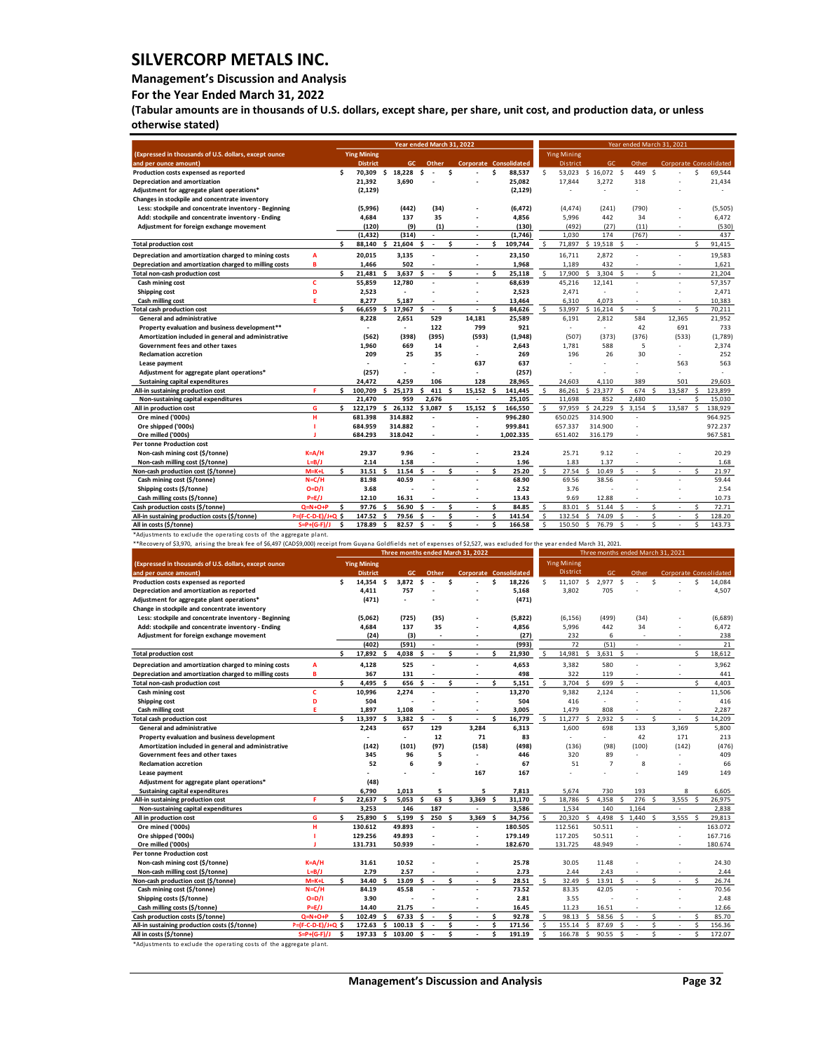#### **Management's Discussion and Analysis**

**For the Year Ended March 31, 2022**

**(Tabular amounts are in thousands of U.S. dollars, except share, per share, unit cost, and production data, or unless otherwise stated)** 

|                                                        | Year ended March 31, 2022 |     |                          |     |                  |                                 |      | Year ended March 31, 2021 |    |                        |    |                    |              |           |                          |          |                               |    |         |
|--------------------------------------------------------|---------------------------|-----|--------------------------|-----|------------------|---------------------------------|------|---------------------------|----|------------------------|----|--------------------|--------------|-----------|--------------------------|----------|-------------------------------|----|---------|
| (Expressed in thousands of U.S. dollars, except ounce  |                           |     | <b>Ying Mining</b>       |     |                  |                                 |      |                           |    |                        |    | <b>Ying Mining</b> |              |           |                          |          |                               |    |         |
| and per ounce amount)                                  |                           |     | <b>District</b>          |     | GC.              | Other                           |      |                           |    | Corporate Consolidated |    | <b>District</b>    |              | <b>GC</b> | Other                    |          | <b>Corporate Consolidated</b> |    |         |
| Production costs expensed as reported                  |                           | \$  |                          |     | 70.309 \$ 18.228 | \$.<br>$\overline{\phantom{a}}$ |      | \$                        | Ś  | 88.537                 | \$ | 53.023             | \$16.072\$   |           | 449                      | s.       |                               | Ŝ. | 69.544  |
| Depreciation and amortization                          |                           |     | 21,392                   |     | 3.690            |                                 |      |                           |    | 25,082                 |    | 17,844             | 3,272        |           | 318                      |          |                               |    | 21,434  |
| Adjustment for aggregate plant operations*             |                           |     | (2, 129)                 |     |                  |                                 |      |                           |    | (2, 129)               |    |                    | ٠            |           |                          |          |                               |    |         |
| Changes in stockpile and concentrate inventory         |                           |     |                          |     |                  |                                 |      |                           |    |                        |    |                    |              |           |                          |          |                               |    |         |
| Less: stockpile and concentrate inventory - Beginning  |                           |     | (5,996)                  |     | (442)            |                                 | (34) |                           |    | (6, 472)               |    | (4,474)            | (241)        |           | (790)                    |          |                               |    | (5,505) |
| Add: stockpile and concentrate inventory - Ending      |                           |     | 4,684                    |     | 137              |                                 | 35   | ä,                        |    | 4,856                  |    | 5,996              | 442          |           | 34                       |          |                               |    | 6,472   |
| Adjustment for foreign exchange movement               |                           |     | (120)                    |     | (9)              |                                 | (1)  | ٠                         |    | (130)                  |    | (492)              | (27)         |           | (11)                     |          | $\sim$                        |    | (530)   |
|                                                        |                           |     | (1, 432)                 |     | (314)            |                                 |      | ÷,                        |    | (1,746)                |    | 1,030              | 174          |           | (767)                    |          |                               |    | 437     |
| <b>Total production cost</b>                           |                           | \$  | 88.140                   | \$  | 21.604           | \$<br>$\sim$                    |      | \$                        | \$ | 109,744                | Ŝ. | 71,897             | 19.518<br>Ŝ. | Ŝ         | ٠                        |          |                               | Ś  | 91,415  |
| Depreciation and amortization charged to mining costs  | A                         |     | 20,015                   |     | 3,135            |                                 |      |                           |    | 23,150                 |    | 16,711             | 2,872        |           |                          |          |                               |    | 19,583  |
| Depreciation and amortization charged to milling costs | B                         |     | 1,466                    |     | 502              |                                 |      |                           |    | 1,968                  |    | 1,189              | 432          |           |                          |          |                               |    | 1,621   |
| Total non-cash production cost                         |                           | Ś   | 21,481                   | \$. | 3,637            | Ś<br>$\overline{\phantom{a}}$   |      | Ś<br>٠                    | Ś  | 25,118                 | \$ | 17,900             | 3.304<br><   | ς         | ٠                        | Ś        | $\sim$                        |    | 21.204  |
| Cash mining cost                                       | c                         |     | 55,859                   |     | 12,780           |                                 |      | ä,                        |    | 68,639                 |    | 45,216             | 12,141       |           |                          |          | ÷,                            |    | 57,357  |
| Shipping cost                                          | D                         |     | 2,523                    |     |                  |                                 |      | L.                        |    | 2,523                  |    | 2,471              | ÷,           |           |                          |          |                               |    | 2,471   |
| Cash milling cost                                      | E.                        |     | 8.277                    |     | 5.187            |                                 |      | ÷                         |    | 13,464                 |    | 6.310              | 4.073        |           |                          |          |                               |    | 10.383  |
| <b>Total cash production cost</b>                      |                           | \$. | 66.659                   | Ŝ.  | 17,967           | ¢<br>٠                          |      | \$                        | \$ | 84,626                 | \$ | 53,997             | 16.214<br>Ŝ. | ŝ         |                          | \$       |                               | Ŝ. | 70,211  |
| General and administrative                             |                           |     | 8,228                    |     | 2,651            | 529                             |      | 14,181                    |    | 25,589                 |    | 6,191              | 2,812        |           | 584                      |          | 12,365                        |    | 21,952  |
| Property evaluation and business development**         |                           |     | $\overline{\phantom{a}}$ |     | $\sim$           | 122                             |      | 799                       |    | 921                    |    | $\overline{a}$     | ÷.           |           | 42                       |          | 691                           |    | 733     |
| Amortization included in general and administrative    |                           |     | (562)                    |     | (398)            | (395)                           |      | (593)                     |    | (1,948)                |    | (507)              | (373)        |           | (376)                    |          | (533)                         |    | (1,789) |
| Government fees and other taxes                        |                           |     | 1,960                    |     | 669              |                                 | 14   | ٠                         |    | 2,643                  |    | 1,781              | 588          |           | 5                        |          | ٠                             |    | 2,374   |
| <b>Reclamation accretion</b>                           |                           |     | 209                      |     | 25               |                                 | 35   | ٠                         |    | 269                    |    | 196                | 26           |           | 30                       |          | ٠                             |    | 252     |
| Lease payment                                          |                           |     |                          |     |                  |                                 |      | 637                       |    | 637                    |    |                    |              |           |                          |          | 563                           |    | 563     |
| Adjustment for aggregate plant operations*             |                           |     | (257)                    |     |                  |                                 |      | $\overline{a}$            |    | (257)                  |    |                    |              |           |                          |          |                               |    |         |
| <b>Sustaining capital expenditures</b>                 |                           |     | 24.472                   |     | 4,259            | 106                             |      | 128                       |    | 28,965                 |    | 24.603             | 4.110        |           | 389                      |          | 501                           |    | 29,603  |
| All-in sustaining production cost                      | F.                        | \$  | 100,709                  | \$. | 25,173           | \$                              | 411  | 15,152<br>Ŝ.              | \$ | 141,445                | \$ | 86,261             | \$23,377     | Ś         | 674                      | Ś        | 13,587                        | Ŝ. | 123,899 |
| Non-sustaining capital expenditures                    |                           |     | 21.470                   |     | 959              | 2.676                           |      | ä,                        |    | 25.105                 |    | 11.698             | 852          |           | 2.480                    |          |                               | ¢  | 15.030  |
| All in production cost                                 | G                         | \$. | 122,179                  | Ŝ.  | 26,132           | \$3,087                         |      | 15,152<br>- Ś             | Ŝ. | 166,550                | Ŝ. | 97.959             | \$24.229     | Š.        | 3.154                    | <b>S</b> | 13.587                        |    | 138,929 |
| Ore mined ('000s)                                      | н                         |     | 681.398                  |     | 314.882          |                                 |      | ÷.                        |    | 996.280                |    | 650.025            | 314.900      |           |                          |          |                               |    | 964.925 |
| Ore shipped ('000s)                                    |                           |     | 684.959                  |     | 314.882          |                                 |      | ä,                        |    | 999.841                |    | 657.337            | 314.900      |           |                          |          |                               |    | 972.237 |
| Ore milled ('000s)                                     |                           |     | 684.293                  |     | 318.042          |                                 |      | ٠                         |    | 1,002.335              |    | 651.402            | 316.179      |           |                          |          |                               |    | 967.581 |
| <b>Per tonne Production cost</b>                       |                           |     |                          |     |                  |                                 |      |                           |    |                        |    |                    |              |           |                          |          |                               |    |         |
| Non-cash mining cost (\$/tonne)                        | $K = A/H$                 |     | 29.37                    |     | 9.96             |                                 |      |                           |    | 23.24                  |    | 25.71              | 9.12         |           |                          |          |                               |    | 20.29   |
| Non-cash milling cost (\$/tonne)                       | $L=B/J$                   |     | 2.14                     |     | 1.58             |                                 |      |                           |    | 1.96                   |    | 1.83               | 1.37         |           |                          |          |                               |    | 1.68    |
| Non-cash production cost (\$/tonne)                    | $M=K+1$                   | Ś   | 31.51                    | Ś   | 11.54            | Ś<br>$\sim$                     |      | \$<br>٠                   | Ś  | 25.20                  | Ŝ. | 27.54              | 10.49<br>Ŝ   | Ŝ         | $\sim$                   | Ś        |                               | ¢  | 21.97   |
| Cash mining cost (\$/tonne)                            | N=C/H                     |     | 81.98                    |     | 40.59            |                                 |      | ä,                        |    | 68.90                  |    | 69.56              | 38.56        |           |                          |          |                               |    | 59.44   |
| Shipping costs (\$/tonne)                              | $O=D/I$                   |     | 3.68                     |     |                  |                                 |      | ä,                        |    | 2.52                   |    | 3.76               |              |           |                          |          |                               |    | 2.54    |
| Cash milling costs (\$/tonne)                          | $P=E/J$                   |     | 12.10                    |     | 16.31            |                                 |      |                           |    | 13.43                  |    | 9.69               | 12.88        |           |                          |          |                               |    | 10.73   |
| Cash production costs (\$/tonne)                       | $Q=N+O+P$                 | Ś.  | 97.76                    |     | 56.90            | ¢                               |      | \$                        | Ś  | 84.85                  | \$ | 83.01              | Š.<br>51.44  | Ŝ         |                          | Ś        |                               | Š. | 72.71   |
| All-in sustaining production costs (\$/tonne)          | $P=(F-C-D-E)/J+Q$ \$      |     | 147.52                   | \$  | 79.56            | Ŝ<br>$\overline{\phantom{a}}$   |      | Ś<br>÷.                   | Ś  | 141.54                 | \$ | 132.54             | 74.09<br>Ŝ.  | Ŝ         | $\overline{\phantom{a}}$ | Ś        | $\sim$                        | Ś  | 128.20  |
| All in costs (\$/tonne)                                | $S = P + (G - F)/J$       | \$  | 178.89                   | Ŝ.  | 82.57 \$         |                                 |      | \$                        | Ś  | 166.58                 | Ś  | 150.50             | Ŝ.<br>76.79  | \$        |                          | Ś        |                               | Ś. | 143.73  |

\*Adjustments to exclude the operating costs of the aggregate plant.<br>\*\*Recovery of \$3,970, arising the break fee of \$6,497 (CAD\$9,000) receipt from Guyana Goldfields net of expenses of \$2,527, was excluded for the year ende

|                                                        |                     | Three months ended March 31, 2022 |                    |                 |        |                               |      |                     | Three months ended March 31, 2021 |                               |              |                    |               |                |               |        |               |                               |     |         |
|--------------------------------------------------------|---------------------|-----------------------------------|--------------------|-----------------|--------|-------------------------------|------|---------------------|-----------------------------------|-------------------------------|--------------|--------------------|---------------|----------------|---------------|--------|---------------|-------------------------------|-----|---------|
| (Expressed in thousands of U.S. dollars, except ounce  |                     |                                   | <b>Ying Mining</b> |                 |        |                               |      |                     |                                   |                               |              | <b>Ying Mining</b> |               |                |               |        |               |                               |     |         |
| and per ounce amount)                                  |                     |                                   | <b>District</b>    |                 | GC.    | Other                         |      |                     |                                   | <b>Corporate Consolidated</b> |              | District           |               | GC.            |               | Other  |               | <b>Corporate Consolidated</b> |     |         |
| Production costs expensed as reported                  |                     | \$.                               | 14,354             | - Ś             | 3,872  | \$.                           |      | \$                  | \$                                | 18,226                        | Ś.           | 11,107 \$          |               | 2,977          | \$            |        | Ś             |                               | \$  | 14,084  |
| Depreciation and amortization as reported              |                     |                                   | 4.411              |                 | 757    |                               |      |                     |                                   | 5.168                         |              | 3,802              |               | 705            |               |        |               |                               |     | 4,507   |
| Adjustment for aggregate plant operations*             |                     |                                   | (471)              |                 |        |                               |      |                     |                                   | (471)                         |              |                    |               |                |               |        |               |                               |     |         |
| Change in stockpile and concentrate inventory          |                     |                                   |                    |                 |        |                               |      |                     |                                   |                               |              |                    |               |                |               |        |               |                               |     |         |
| Less: stockpile and concentrate inventory - Beginning  |                     |                                   | (5,062)            |                 | (725)  |                               | (35) |                     |                                   | (5,822)                       |              | (6, 156)           |               | (499)          |               | (34)   |               |                               |     | (6,689) |
| Add: stockpile and concentrate inventory - Ending      |                     |                                   | 4,684              |                 | 137    |                               | 35   |                     |                                   | 4.856                         |              | 5,996              |               | 442            |               | 34     |               |                               |     | 6,472   |
| Adjustment for foreign exchange movement               |                     |                                   | (24)               |                 | (3)    |                               |      |                     |                                   | (27)                          |              | 232                |               | 6              |               |        |               | ٠                             |     | 238     |
|                                                        |                     |                                   | (402)              |                 | (591)  | ٠                             |      |                     |                                   | (993)                         |              | 72                 |               | (51)           |               | $\sim$ |               |                               |     | 21      |
| <b>Total production cost</b>                           |                     | \$.                               | 17,892             | \$              | 4,038  | Ś<br>$\overline{\phantom{a}}$ |      | Ś                   | Ś                                 | 21,930                        | Ŝ            | 14,981             | Ŝ.            | 3,631          | Ŝ             | $\sim$ |               |                               | Ś   | 18,612  |
| Depreciation and amortization charged to mining costs  | A                   |                                   | 4,128              |                 | 525    |                               |      |                     |                                   | 4,653                         |              | 3,382              |               | 580            |               |        |               |                               |     | 3,962   |
| Depreciation and amortization charged to milling costs | в                   |                                   | 367                |                 | 131    |                               |      |                     |                                   | 498                           |              | 322                |               | 119            |               |        |               |                               |     | 441     |
| Total non-cash production cost                         |                     | Ś                                 | 4.495              | Ŝ.              | 656    | Ś<br>÷.                       |      | Ś<br>٠              | \$                                | 5,151                         | \$           | 3.704              | $\mathsf{S}$  | 699            | Ś             | $\sim$ |               |                               | Ś   | 4.403   |
| Cash mining cost                                       | c                   |                                   | 10,996             |                 | 2.274  | ä,                            |      | ٠                   |                                   | 13,270                        |              | 9,382              |               | 2,124          |               | ٠      |               | ٠                             |     | 11,506  |
| <b>Shipping cost</b>                                   | D                   |                                   | 504                |                 |        |                               |      |                     |                                   | 504                           |              | 416                |               | ÷.             |               |        |               |                               |     | 416     |
| Cash milling cost                                      | Е                   |                                   | 1,897              |                 | 1,108  |                               |      |                     |                                   | 3,005                         |              | 1,479              |               | 808            |               |        |               |                               |     | 2,287   |
| <b>Total cash production cost</b>                      |                     | \$.                               | 13,397             | \$              | 3,382  | ۹<br>٠                        |      | Ś<br>$\overline{a}$ | Ś.                                | 16,779                        | \$           | 11,277             | Ŝ.            | 2,932          | S             | $\sim$ | ¢             | ٠                             | Ŝ.  | 14,209  |
| <b>General and administrative</b>                      |                     |                                   | 2,243              |                 | 657    | 129                           |      | 3,284               |                                   | 6,313                         |              | 1,600              |               | 698            |               | 133    |               | 3,369                         |     | 5,800   |
| Property evaluation and business development           |                     |                                   | ä,                 |                 | $\sim$ |                               | 12   | 71                  |                                   | 83                            |              |                    |               | ٠              |               | 42     |               | 171                           |     | 213     |
| Amortization included in general and administrative    |                     |                                   | (142)              |                 | (101)  |                               | (97) | (158)               |                                   | (498)                         |              | (136)              |               | (98)           |               | (100)  |               | (142)                         |     | (476)   |
| Government fees and other taxes                        |                     |                                   | 345                |                 | 96     |                               | 5    |                     |                                   | 446                           |              | 320                |               | 89             |               | ÷      |               |                               |     | 409     |
| <b>Reclamation accretion</b>                           |                     |                                   | 52                 |                 | 6      |                               | 9    | $\sim$              |                                   | 67                            |              | 51                 |               | $\overline{7}$ |               | 8      |               |                               |     | 66      |
| Lease payment                                          |                     |                                   |                    |                 |        |                               |      | 167                 |                                   | 167                           |              |                    |               |                |               |        |               | 149                           |     | 149     |
| Adjustment for aggregate plant operations*             |                     |                                   | (48)               |                 |        |                               |      |                     |                                   |                               |              |                    |               |                |               |        |               |                               |     |         |
| <b>Sustaining capital expenditures</b>                 |                     |                                   | 6.790              |                 | 1.013  |                               | 5    | 5                   |                                   | 7.813                         |              | 5.674              |               | 730            |               | 193    |               | 8                             |     | 6.605   |
| All-in sustaining production cost                      | F                   | \$.                               | 22,637             | Ŝ.              | 5.053  | ¢                             | 63   | Ŝ.<br>3.369         | Ŝ                                 | 31.170                        | Ŝ.           | 18,786             | ¢             | 4.358          |               | 276    | <sup>\$</sup> | 3,555                         | Ŝ.  | 26,975  |
| Non-sustaining capital expenditures                    |                     |                                   | 3,253              |                 | 146    | 187                           |      |                     |                                   | 3,586                         |              | 1,534              |               | 140            |               | 1.164  |               |                               |     | 2,838   |
| All in production cost                                 | G                   | \$                                | 25,890             | \$              | 5,199  | 250                           |      | \$<br>3,369         | Ś                                 | 34,756                        | <sub>S</sub> | 20,320             | ¢             | 4,498          | ¢             | 1.440  | Ŝ.            | 3,555                         | \$. | 29,813  |
| Ore mined ('000s)                                      | н                   |                                   | 130.612            |                 | 49.893 | ä,                            |      |                     |                                   | 180.505                       |              | 112.561            |               | 50.511         |               |        |               |                               |     | 163.072 |
| Ore shipped ('000s)                                    |                     |                                   | 129.256            |                 | 49.893 |                               |      |                     |                                   | 179.149                       |              | 117.205            |               | 50.511         |               |        |               |                               |     | 167.716 |
| Ore milled ('000s)                                     |                     |                                   | 131.731            |                 | 50.939 |                               |      |                     |                                   | 182.670                       |              | 131.725            |               | 48.949         |               |        |               | ÷                             |     | 180.674 |
| <b>Per tonne Production cost</b>                       |                     |                                   |                    |                 |        |                               |      |                     |                                   |                               |              |                    |               |                |               |        |               |                               |     |         |
| Non-cash mining cost (\$/tonne)                        | $K = A/H$           |                                   | 31.61              |                 | 10.52  |                               |      |                     |                                   | 25.78                         |              | 30.05              |               | 11.48          |               |        |               |                               |     | 24.30   |
| Non-cash milling cost (\$/tonne)                       | $L = B/J$           |                                   | 2.79               |                 | 2.57   |                               |      |                     |                                   | 2.73                          |              | 2.44               |               | 2.43           |               |        |               |                               |     | 2.44    |
| Non-cash production cost (\$/tonne)                    | $M=K+1$             | Ś.                                | 34.40              | Ŝ.              | 13.09  | ¢<br>٠                        |      | Ś                   | Ś                                 | 28.51                         | Ŝ.           | 32.49              | <sup>\$</sup> | 13.91          | ¢,            | $\sim$ | \$            | ż.                            | Ŝ.  | 26.74   |
| Cash mining cost (\$/tonne)                            | $N = C/H$           |                                   | 84.19              |                 | 45.58  |                               |      |                     |                                   | 73.52                         |              | 83.35              |               | 42.05          |               | ż.     |               |                               |     | 70.56   |
| Shipping costs (\$/tonne)                              | O=D/I               |                                   | 3.90               |                 |        |                               |      |                     |                                   | 2.81                          |              | 3.55               |               |                |               |        |               |                               |     | 2.48    |
| Cash milling costs (\$/tonne)                          | $P=E/J$             |                                   | 14.40              |                 | 21.75  |                               |      |                     | Ś                                 | 16.45                         |              | 11.23              |               | 16.51          |               | ż.     |               |                               |     | 12.66   |
| Cash production costs (\$/tonne)                       | $Q=N+O+P$           | \$.                               | 102.49             | \$.             | 67.33  | Ŝ<br>÷.                       |      | Ś                   |                                   | 92.78                         | Ŝ            | 98.13              | Ŝ.            | 58.56          | <sup>\$</sup> | $\sim$ | Ś             | ż.                            | Š.  | 85.70   |
| All-in sustaining production costs (\$/tonne)          | P=(F-C-D-E)/J+Q \$  |                                   | 172.63             | Ŝ.              | 100.13 | Ś<br>٠.                       |      | Ś                   | Ś                                 | 171.56                        | \$           | 155.14             | Ŝ.            | 87.69          | Ś             | ч.     | Ś             |                               | Ś   | 156.36  |
| All in costs (\$/tonne)                                | $S = P + (G - F)/J$ | \$                                | 197.33             | $\ddot{\bm{s}}$ | 103.00 | \$<br>$\sim$                  |      | Ś                   | \$                                | 191.19                        | Ś            | 166.78             | Ŝ.            | 90.55          | \$            |        | Ś             |                               | Ś   | 172.07  |

\*Adjustments to exclude the operating costs of the aggregate plant.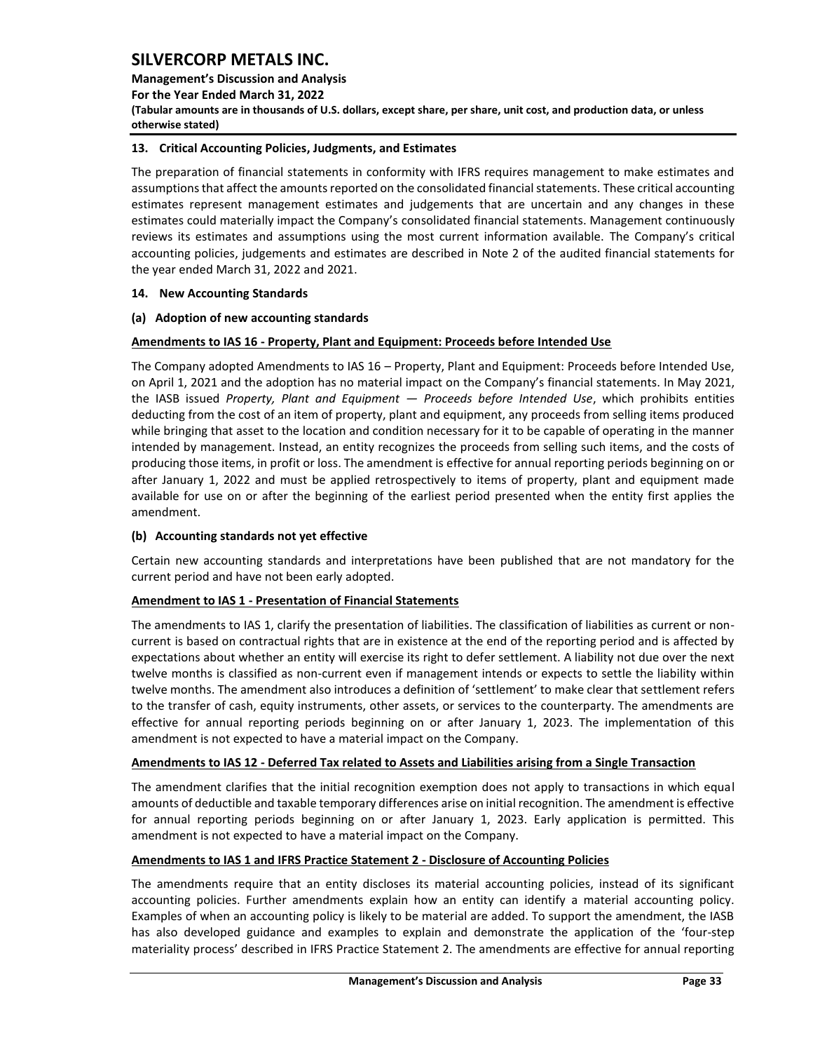**Management's Discussion and Analysis** 

**For the Year Ended March 31, 2022**

**(Tabular amounts are in thousands of U.S. dollars, except share, per share, unit cost, and production data, or unless otherwise stated)** 

## <span id="page-33-0"></span>**13. Critical Accounting Policies, Judgments, and Estimates**

The preparation of financial statements in conformity with IFRS requires management to make estimates and assumptions that affect the amounts reported on the consolidated financial statements. These critical accounting estimates represent management estimates and judgements that are uncertain and any changes in these estimates could materially impact the Company's consolidated financial statements. Management continuously reviews its estimates and assumptions using the most current information available. The Company's critical accounting policies, judgements and estimates are described in Note 2 of the audited financial statements for the year ended March 31, 2022 and 2021.

## <span id="page-33-1"></span>**14. New Accounting Standards**

## **(a) Adoption of new accounting standards**

## **Amendments to IAS 16 - Property, Plant and Equipment: Proceeds before Intended Use**

The Company adopted Amendments to IAS 16 – Property, Plant and Equipment: Proceeds before Intended Use, on April 1, 2021 and the adoption has no material impact on the Company's financial statements. In May 2021, the IASB issued *Property, Plant and Equipment — Proceeds before Intended Use*, which prohibits entities deducting from the cost of an item of property, plant and equipment, any proceeds from selling items produced while bringing that asset to the location and condition necessary for it to be capable of operating in the manner intended by management. Instead, an entity recognizes the proceeds from selling such items, and the costs of producing those items, in profit or loss. The amendment is effective for annual reporting periods beginning on or after January 1, 2022 and must be applied retrospectively to items of property, plant and equipment made available for use on or after the beginning of the earliest period presented when the entity first applies the amendment.

## **(b) Accounting standards not yet effective**

Certain new accounting standards and interpretations have been published that are not mandatory for the current period and have not been early adopted.

## **Amendment to IAS 1 - Presentation of Financial Statements**

The amendments to IAS 1, clarify the presentation of liabilities. The classification of liabilities as current or noncurrent is based on contractual rights that are in existence at the end of the reporting period and is affected by expectations about whether an entity will exercise its right to defer settlement. A liability not due over the next twelve months is classified as non-current even if management intends or expects to settle the liability within twelve months. The amendment also introduces a definition of 'settlement' to make clear that settlement refers to the transfer of cash, equity instruments, other assets, or services to the counterparty. The amendments are effective for annual reporting periods beginning on or after January 1, 2023. The implementation of this amendment is not expected to have a material impact on the Company.

## **Amendments to IAS 12 - Deferred Tax related to Assets and Liabilities arising from a Single Transaction**

The amendment clarifies that the initial recognition exemption does not apply to transactions in which equal amounts of deductible and taxable temporary differences arise on initial recognition. The amendment is effective for annual reporting periods beginning on or after January 1, 2023. Early application is permitted. This amendment is not expected to have a material impact on the Company.

## **Amendments to IAS 1 and IFRS Practice Statement 2 - Disclosure of Accounting Policies**

The amendments require that an entity discloses its material accounting policies, instead of its significant accounting policies. Further amendments explain how an entity can identify a material accounting policy. Examples of when an accounting policy is likely to be material are added. To support the amendment, the IASB has also developed guidance and examples to explain and demonstrate the application of the 'four-step materiality process' described in IFRS Practice Statement 2. The amendments are effective for annual reporting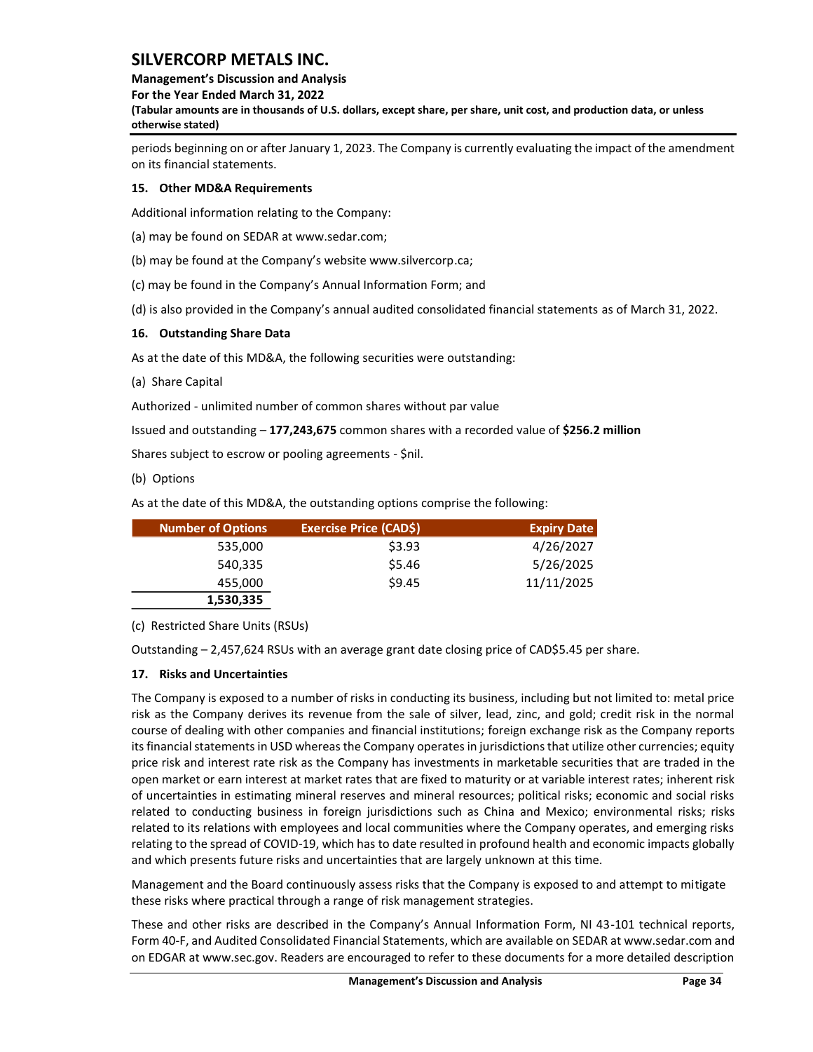## **Management's Discussion and Analysis**

**For the Year Ended March 31, 2022**

**(Tabular amounts are in thousands of U.S. dollars, except share, per share, unit cost, and production data, or unless otherwise stated)** 

periods beginning on or after January 1, 2023. The Company is currently evaluating the impact of the amendment on its financial statements.

## <span id="page-34-0"></span>**15. Other MD&A Requirements**

Additional information relating to the Company:

(a) may be found on SEDAR at www.sedar.com;

(b) may be found at the Company's website www.silvercorp.ca;

(c) may be found in the Company's Annual Information Form; and

(d) is also provided in the Company's annual audited consolidated financial statements as of March 31, 2022.

## <span id="page-34-1"></span>**16. Outstanding Share Data**

As at the date of this MD&A, the following securities were outstanding:

(a) Share Capital

Authorized - unlimited number of common shares without par value

Issued and outstanding – **177,243,675** common shares with a recorded value of **\$256.2 million**

Shares subject to escrow or pooling agreements - \$nil.

(b) Options

As at the date of this MD&A, the outstanding options comprise the following:

| <b>Number of Options</b> | <b>Exercise Price (CAD\$)</b> | <b>Expiry Date</b> |
|--------------------------|-------------------------------|--------------------|
| 535,000                  | \$3.93                        | 4/26/2027          |
| 540,335                  | \$5.46                        | 5/26/2025          |
| 455,000                  | \$9.45                        | 11/11/2025         |
| 1,530,335                |                               |                    |

(c) Restricted Share Units (RSUs)

Outstanding – 2,457,624 RSUs with an average grant date closing price of CAD\$5.45 per share.

## <span id="page-34-2"></span>**17. Risks and Uncertainties**

The Company is exposed to a number of risks in conducting its business, including but not limited to: metal price risk as the Company derives its revenue from the sale of silver, lead, zinc, and gold; credit risk in the normal course of dealing with other companies and financial institutions; foreign exchange risk as the Company reports its financial statements in USD whereas the Company operates in jurisdictions that utilize other currencies; equity price risk and interest rate risk as the Company has investments in marketable securities that are traded in the open market or earn interest at market rates that are fixed to maturity or at variable interest rates; inherent risk of uncertainties in estimating mineral reserves and mineral resources; political risks; economic and social risks related to conducting business in foreign jurisdictions such as China and Mexico; environmental risks; risks related to its relations with employees and local communities where the Company operates, and emerging risks relating to the spread of COVID-19, which has to date resulted in profound health and economic impacts globally and which presents future risks and uncertainties that are largely unknown at this time.

Management and the Board continuously assess risks that the Company is exposed to and attempt to mitigate these risks where practical through a range of risk management strategies.

These and other risks are described in the Company's Annual Information Form, NI 43-101 technical reports, Form 40-F, and Audited Consolidated Financial Statements, which are available on SEDAR at www.sedar.com and on EDGAR at www.sec.gov. Readers are encouraged to refer to these documents for a more detailed description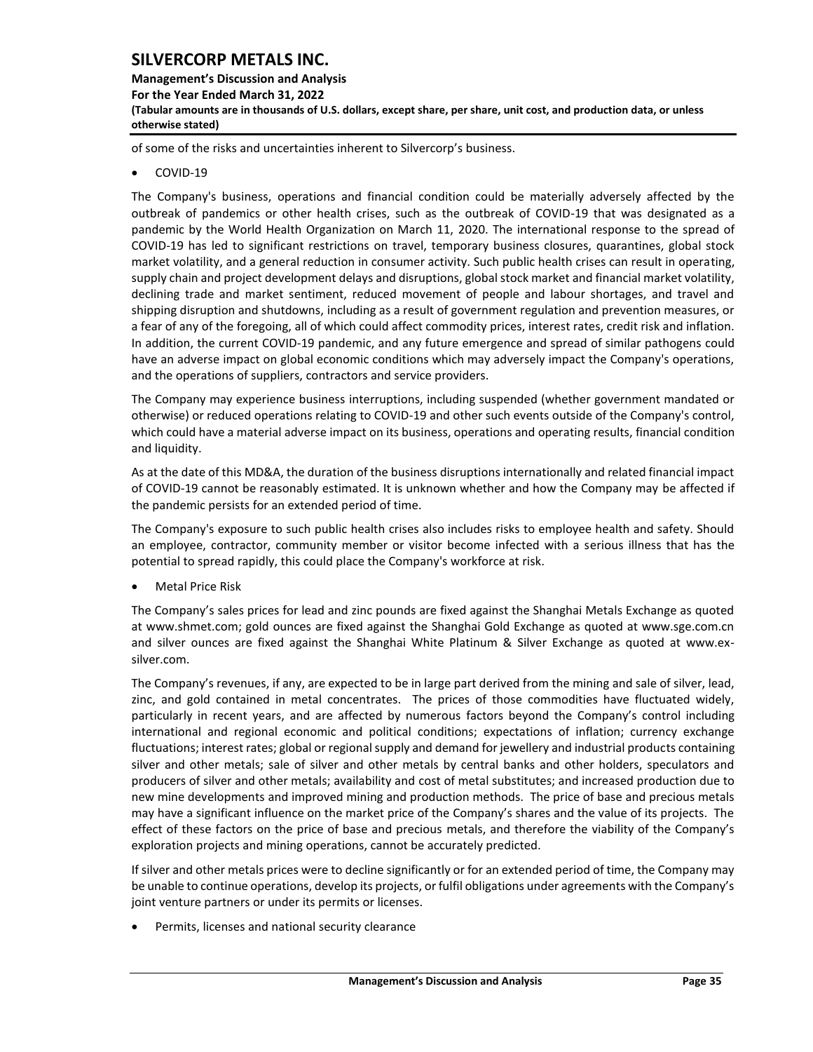## **Management's Discussion and Analysis For the Year Ended March 31, 2022 (Tabular amounts are in thousands of U.S. dollars, except share, per share, unit cost, and production data, or unless otherwise stated)**

of some of the risks and uncertainties inherent to Silvercorp's business.

• COVID-19

The Company's business, operations and financial condition could be materially adversely affected by the outbreak of pandemics or other health crises, such as the outbreak of COVID-19 that was designated as a pandemic by the World Health Organization on March 11, 2020. The international response to the spread of COVID-19 has led to significant restrictions on travel, temporary business closures, quarantines, global stock market volatility, and a general reduction in consumer activity. Such public health crises can result in operating, supply chain and project development delays and disruptions, global stock market and financial market volatility, declining trade and market sentiment, reduced movement of people and labour shortages, and travel and shipping disruption and shutdowns, including as a result of government regulation and prevention measures, or a fear of any of the foregoing, all of which could affect commodity prices, interest rates, credit risk and inflation. In addition, the current COVID-19 pandemic, and any future emergence and spread of similar pathogens could have an adverse impact on global economic conditions which may adversely impact the Company's operations, and the operations of suppliers, contractors and service providers.

The Company may experience business interruptions, including suspended (whether government mandated or otherwise) or reduced operations relating to COVID-19 and other such events outside of the Company's control, which could have a material adverse impact on its business, operations and operating results, financial condition and liquidity.

As at the date of this MD&A, the duration of the business disruptions internationally and related financial impact of COVID-19 cannot be reasonably estimated. It is unknown whether and how the Company may be affected if the pandemic persists for an extended period of time.

The Company's exposure to such public health crises also includes risks to employee health and safety. Should an employee, contractor, community member or visitor become infected with a serious illness that has the potential to spread rapidly, this could place the Company's workforce at risk.

• Metal Price Risk

The Company's sales prices for lead and zinc pounds are fixed against the Shanghai Metals Exchange as quoted at [www.shmet.com;](http://www.shmet.com/) gold ounces are fixed against the Shanghai Gold Exchange as quoted at www.sge.com.cn and silver ounces are fixed against the Shanghai White Platinum & Silver Exchange as quoted at www.exsilver.com.

The Company's revenues, if any, are expected to be in large part derived from the mining and sale of silver, lead, zinc, and gold contained in metal concentrates. The prices of those commodities have fluctuated widely, particularly in recent years, and are affected by numerous factors beyond the Company's control including international and regional economic and political conditions; expectations of inflation; currency exchange fluctuations; interest rates; global or regional supply and demand for jewellery and industrial products containing silver and other metals; sale of silver and other metals by central banks and other holders, speculators and producers of silver and other metals; availability and cost of metal substitutes; and increased production due to new mine developments and improved mining and production methods. The price of base and precious metals may have a significant influence on the market price of the Company's shares and the value of its projects. The effect of these factors on the price of base and precious metals, and therefore the viability of the Company's exploration projects and mining operations, cannot be accurately predicted.

If silver and other metals prices were to decline significantly or for an extended period of time, the Company may be unable to continue operations, develop its projects, or fulfil obligations under agreements with the Company's joint venture partners or under its permits or licenses.

Permits, licenses and national security clearance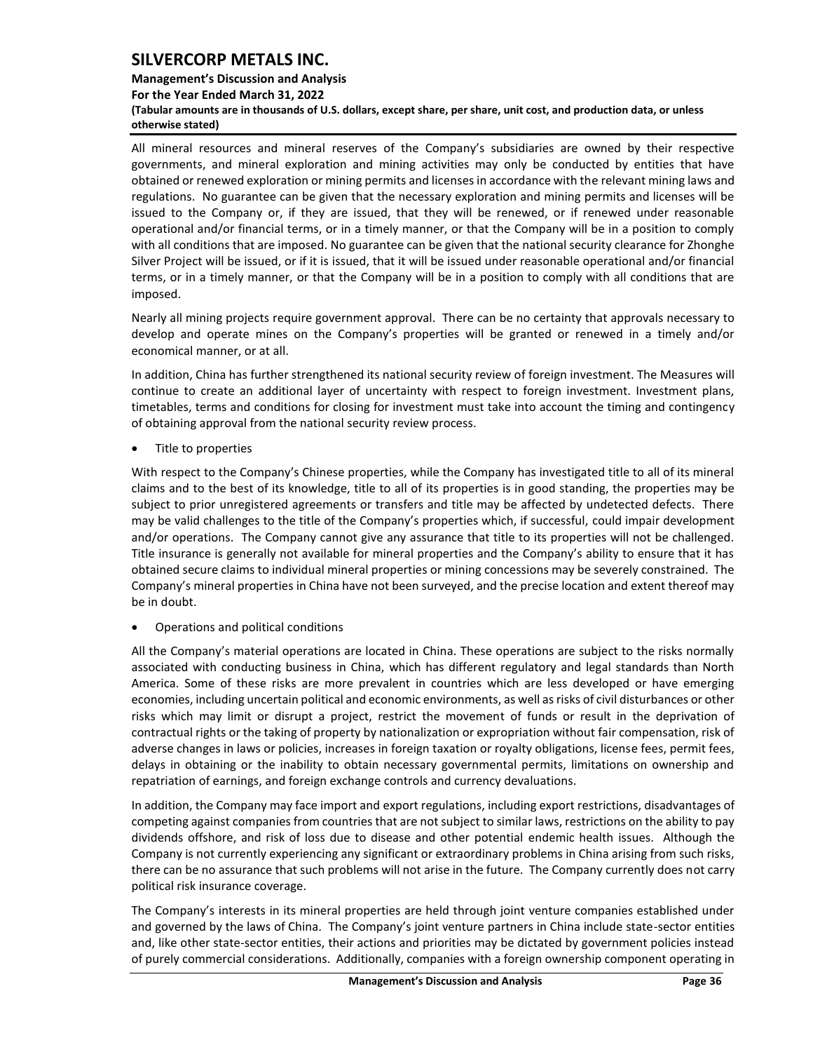### **Management's Discussion and Analysis**

**For the Year Ended March 31, 2022**

**(Tabular amounts are in thousands of U.S. dollars, except share, per share, unit cost, and production data, or unless otherwise stated)** 

All mineral resources and mineral reserves of the Company's subsidiaries are owned by their respective governments, and mineral exploration and mining activities may only be conducted by entities that have obtained or renewed exploration or mining permits and licenses in accordance with the relevant mining laws and regulations. No guarantee can be given that the necessary exploration and mining permits and licenses will be issued to the Company or, if they are issued, that they will be renewed, or if renewed under reasonable operational and/or financial terms, or in a timely manner, or that the Company will be in a position to comply with all conditions that are imposed. No guarantee can be given that the national security clearance for Zhonghe Silver Project will be issued, or if it is issued, that it will be issued under reasonable operational and/or financial terms, or in a timely manner, or that the Company will be in a position to comply with all conditions that are imposed.

Nearly all mining projects require government approval. There can be no certainty that approvals necessary to develop and operate mines on the Company's properties will be granted or renewed in a timely and/or economical manner, or at all.

In addition, China has further strengthened its national security review of foreign investment. The Measures will continue to create an additional layer of uncertainty with respect to foreign investment. Investment plans, timetables, terms and conditions for closing for investment must take into account the timing and contingency of obtaining approval from the national security review process.

• Title to properties

With respect to the Company's Chinese properties, while the Company has investigated title to all of its mineral claims and to the best of its knowledge, title to all of its properties is in good standing, the properties may be subject to prior unregistered agreements or transfers and title may be affected by undetected defects. There may be valid challenges to the title of the Company's properties which, if successful, could impair development and/or operations. The Company cannot give any assurance that title to its properties will not be challenged. Title insurance is generally not available for mineral properties and the Company's ability to ensure that it has obtained secure claims to individual mineral properties or mining concessions may be severely constrained. The Company's mineral properties in China have not been surveyed, and the precise location and extent thereof may be in doubt.

• Operations and political conditions

All the Company's material operations are located in China. These operations are subject to the risks normally associated with conducting business in China, which has different regulatory and legal standards than North America. Some of these risks are more prevalent in countries which are less developed or have emerging economies, including uncertain political and economic environments, as well as risks of civil disturbances or other risks which may limit or disrupt a project, restrict the movement of funds or result in the deprivation of contractual rights or the taking of property by nationalization or expropriation without fair compensation, risk of adverse changes in laws or policies, increases in foreign taxation or royalty obligations, license fees, permit fees, delays in obtaining or the inability to obtain necessary governmental permits, limitations on ownership and repatriation of earnings, and foreign exchange controls and currency devaluations.

In addition, the Company may face import and export regulations, including export restrictions, disadvantages of competing against companies from countries that are not subject to similar laws, restrictions on the ability to pay dividends offshore, and risk of loss due to disease and other potential endemic health issues. Although the Company is not currently experiencing any significant or extraordinary problems in China arising from such risks, there can be no assurance that such problems will not arise in the future. The Company currently does not carry political risk insurance coverage.

The Company's interests in its mineral properties are held through joint venture companies established under and governed by the laws of China. The Company's joint venture partners in China include state-sector entities and, like other state-sector entities, their actions and priorities may be dictated by government policies instead of purely commercial considerations. Additionally, companies with a foreign ownership component operating in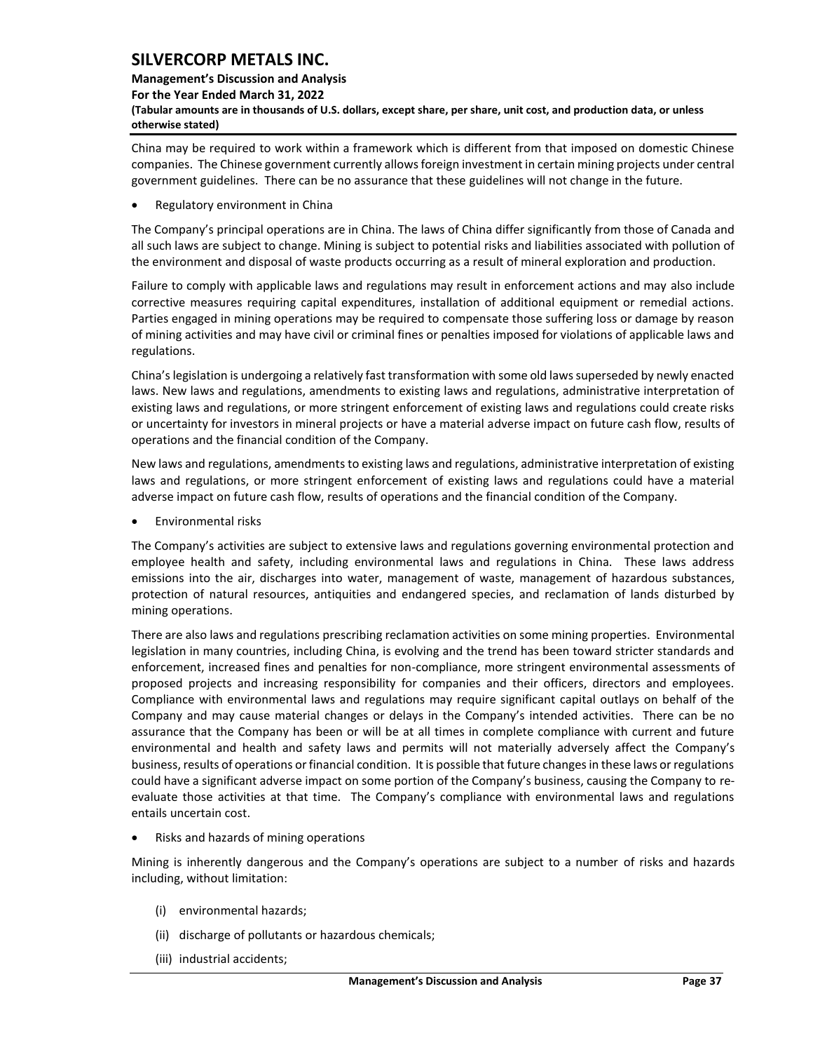## **Management's Discussion and Analysis For the Year Ended March 31, 2022 (Tabular amounts are in thousands of U.S. dollars, except share, per share, unit cost, and production data, or unless otherwise stated)**

China may be required to work within a framework which is different from that imposed on domestic Chinese companies. The Chinese government currently allows foreign investment in certain mining projects under central government guidelines. There can be no assurance that these guidelines will not change in the future.

• Regulatory environment in China

The Company's principal operations are in China. The laws of China differ significantly from those of Canada and all such laws are subject to change. Mining is subject to potential risks and liabilities associated with pollution of the environment and disposal of waste products occurring as a result of mineral exploration and production.

Failure to comply with applicable laws and regulations may result in enforcement actions and may also include corrective measures requiring capital expenditures, installation of additional equipment or remedial actions. Parties engaged in mining operations may be required to compensate those suffering loss or damage by reason of mining activities and may have civil or criminal fines or penalties imposed for violations of applicable laws and regulations.

China's legislation is undergoing a relatively fast transformation with some old laws superseded by newly enacted laws. New laws and regulations, amendments to existing laws and regulations, administrative interpretation of existing laws and regulations, or more stringent enforcement of existing laws and regulations could create risks or uncertainty for investors in mineral projects or have a material adverse impact on future cash flow, results of operations and the financial condition of the Company.

New laws and regulations, amendments to existing laws and regulations, administrative interpretation of existing laws and regulations, or more stringent enforcement of existing laws and regulations could have a material adverse impact on future cash flow, results of operations and the financial condition of the Company.

• Environmental risks

The Company's activities are subject to extensive laws and regulations governing environmental protection and employee health and safety, including environmental laws and regulations in China. These laws address emissions into the air, discharges into water, management of waste, management of hazardous substances, protection of natural resources, antiquities and endangered species, and reclamation of lands disturbed by mining operations.

There are also laws and regulations prescribing reclamation activities on some mining properties. Environmental legislation in many countries, including China, is evolving and the trend has been toward stricter standards and enforcement, increased fines and penalties for non-compliance, more stringent environmental assessments of proposed projects and increasing responsibility for companies and their officers, directors and employees. Compliance with environmental laws and regulations may require significant capital outlays on behalf of the Company and may cause material changes or delays in the Company's intended activities. There can be no assurance that the Company has been or will be at all times in complete compliance with current and future environmental and health and safety laws and permits will not materially adversely affect the Company's business, results of operations or financial condition. It is possible that future changes in these laws or regulations could have a significant adverse impact on some portion of the Company's business, causing the Company to reevaluate those activities at that time. The Company's compliance with environmental laws and regulations entails uncertain cost.

• Risks and hazards of mining operations

Mining is inherently dangerous and the Company's operations are subject to a number of risks and hazards including, without limitation:

- (i) environmental hazards;
- (ii) discharge of pollutants or hazardous chemicals;
- (iii) industrial accidents;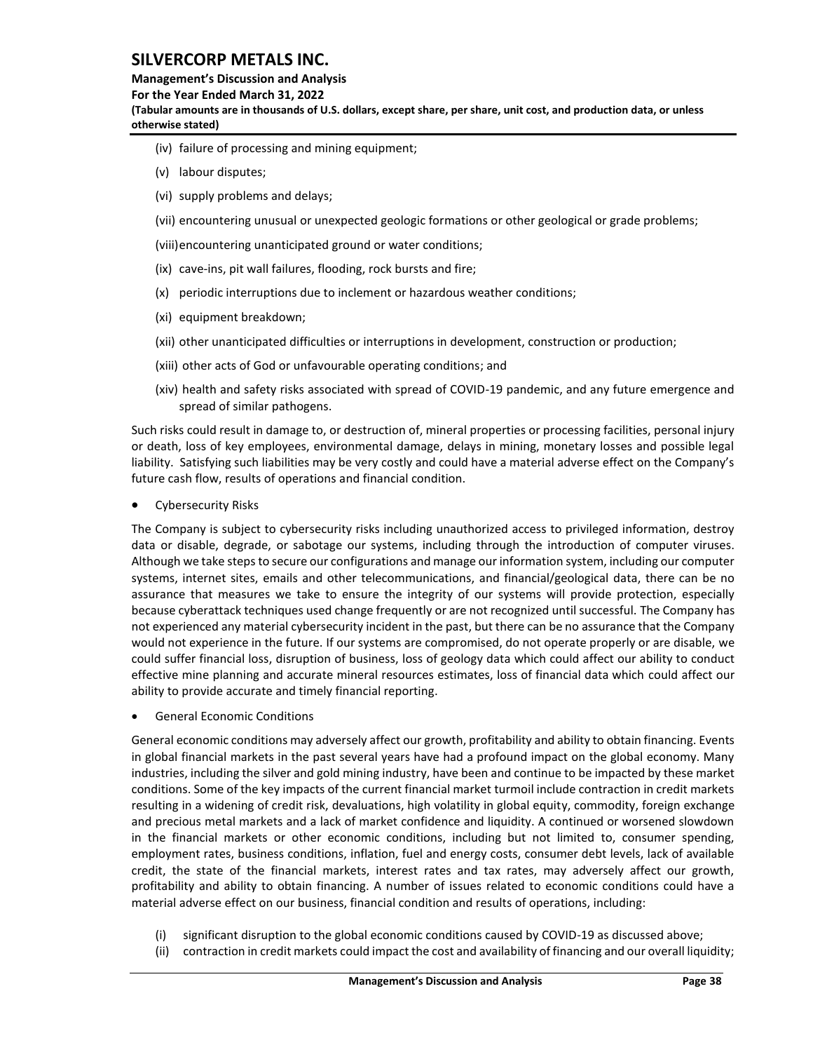#### **Management's Discussion and Analysis**

**For the Year Ended March 31, 2022**

**(Tabular amounts are in thousands of U.S. dollars, except share, per share, unit cost, and production data, or unless otherwise stated)** 

- (iv) failure of processing and mining equipment;
- (v) labour disputes;
- (vi) supply problems and delays;
- (vii) encountering unusual or unexpected geologic formations or other geological or grade problems;
- (viii)encountering unanticipated ground or water conditions;
- (ix) cave-ins, pit wall failures, flooding, rock bursts and fire;
- (x) periodic interruptions due to inclement or hazardous weather conditions;
- (xi) equipment breakdown;
- (xii) other unanticipated difficulties or interruptions in development, construction or production;
- (xiii) other acts of God or unfavourable operating conditions; and
- (xiv) health and safety risks associated with spread of COVID-19 pandemic, and any future emergence and spread of similar pathogens.

Such risks could result in damage to, or destruction of, mineral properties or processing facilities, personal injury or death, loss of key employees, environmental damage, delays in mining, monetary losses and possible legal liability. Satisfying such liabilities may be very costly and could have a material adverse effect on the Company's future cash flow, results of operations and financial condition.

Cybersecurity Risks

The Company is subject to cybersecurity risks including unauthorized access to privileged information, destroy data or disable, degrade, or sabotage our systems, including through the introduction of computer viruses. Although we take steps to secure our configurations and manage our information system, including our computer systems, internet sites, emails and other telecommunications, and financial/geological data, there can be no assurance that measures we take to ensure the integrity of our systems will provide protection, especially because cyberattack techniques used change frequently or are not recognized until successful. The Company has not experienced any material cybersecurity incident in the past, but there can be no assurance that the Company would not experience in the future. If our systems are compromised, do not operate properly or are disable, we could suffer financial loss, disruption of business, loss of geology data which could affect our ability to conduct effective mine planning and accurate mineral resources estimates, loss of financial data which could affect our ability to provide accurate and timely financial reporting.

• General Economic Conditions

General economic conditions may adversely affect our growth, profitability and ability to obtain financing. Events in global financial markets in the past several years have had a profound impact on the global economy. Many industries, including the silver and gold mining industry, have been and continue to be impacted by these market conditions. Some of the key impacts of the current financial market turmoil include contraction in credit markets resulting in a widening of credit risk, devaluations, high volatility in global equity, commodity, foreign exchange and precious metal markets and a lack of market confidence and liquidity. A continued or worsened slowdown in the financial markets or other economic conditions, including but not limited to, consumer spending, employment rates, business conditions, inflation, fuel and energy costs, consumer debt levels, lack of available credit, the state of the financial markets, interest rates and tax rates, may adversely affect our growth, profitability and ability to obtain financing. A number of issues related to economic conditions could have a material adverse effect on our business, financial condition and results of operations, including:

- (i) significant disruption to the global economic conditions caused by COVID-19 as discussed above;
- (ii) contraction in credit markets could impact the cost and availability of financing and our overall liquidity;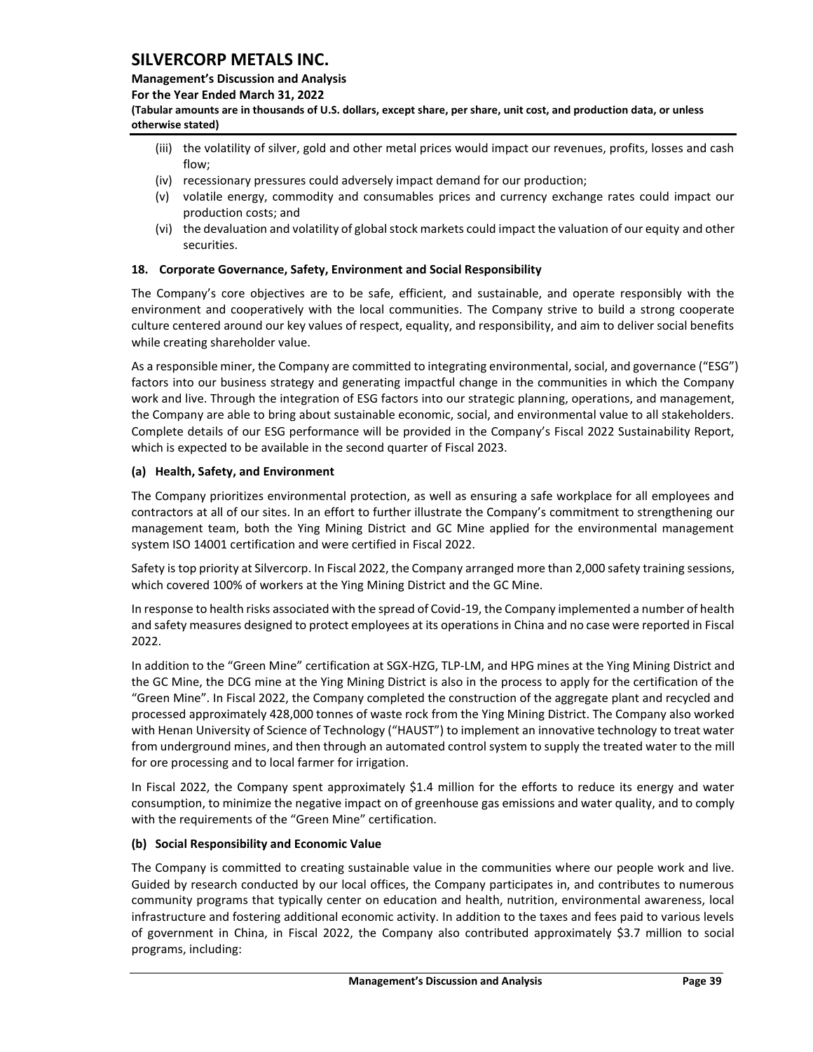### **Management's Discussion and Analysis**

**For the Year Ended March 31, 2022**

**(Tabular amounts are in thousands of U.S. dollars, except share, per share, unit cost, and production data, or unless otherwise stated)** 

- (iii) the volatility of silver, gold and other metal prices would impact our revenues, profits, losses and cash flow;
- (iv) recessionary pressures could adversely impact demand for our production;
- (v) volatile energy, commodity and consumables prices and currency exchange rates could impact our production costs; and
- (vi) the devaluation and volatility of global stock markets could impact the valuation of our equity and other securities.

## <span id="page-39-0"></span>**18. Corporate Governance, Safety, Environment and Social Responsibility**

The Company's core objectives are to be safe, efficient, and sustainable, and operate responsibly with the environment and cooperatively with the local communities. The Company strive to build a strong cooperate culture centered around our key values of respect, equality, and responsibility, and aim to deliver social benefits while creating shareholder value.

As a responsible miner, the Company are committed to integrating environmental, social, and governance ("ESG") factors into our business strategy and generating impactful change in the communities in which the Company work and live. Through the integration of ESG factors into our strategic planning, operations, and management, the Company are able to bring about sustainable economic, social, and environmental value to all stakeholders. Complete details of our ESG performance will be provided in the Company's Fiscal 2022 Sustainability Report, which is expected to be available in the second quarter of Fiscal 2023.

## **(a) Health, Safety, and Environment**

The Company prioritizes environmental protection, as well as ensuring a safe workplace for all employees and contractors at all of our sites. In an effort to further illustrate the Company's commitment to strengthening our management team, both the Ying Mining District and GC Mine applied for the environmental management system ISO 14001 certification and were certified in Fiscal 2022.

Safety is top priority at Silvercorp. In Fiscal 2022, the Company arranged more than 2,000 safety training sessions, which covered 100% of workers at the Ying Mining District and the GC Mine.

In response to health risks associated with the spread of Covid-19, the Company implemented a number of health and safety measures designed to protect employees at its operations in China and no case were reported in Fiscal 2022.

In addition to the "Green Mine" certification at SGX-HZG, TLP-LM, and HPG mines at the Ying Mining District and the GC Mine, the DCG mine at the Ying Mining District is also in the process to apply for the certification of the "Green Mine". In Fiscal 2022, the Company completed the construction of the aggregate plant and recycled and processed approximately 428,000 tonnes of waste rock from the Ying Mining District. The Company also worked with Henan University of Science of Technology ("HAUST") to implement an innovative technology to treat water from underground mines, and then through an automated control system to supply the treated water to the mill for ore processing and to local farmer for irrigation.

In Fiscal 2022, the Company spent approximately \$1.4 million for the efforts to reduce its energy and water consumption, to minimize the negative impact on of greenhouse gas emissions and water quality, and to comply with the requirements of the "Green Mine" certification.

## **(b) Social Responsibility and Economic Value**

The Company is committed to creating sustainable value in the communities where our people work and live. Guided by research conducted by our local offices, the Company participates in, and contributes to numerous community programs that typically center on education and health, nutrition, environmental awareness, local infrastructure and fostering additional economic activity. In addition to the taxes and fees paid to various levels of government in China, in Fiscal 2022, the Company also contributed approximately \$3.7 million to social programs, including: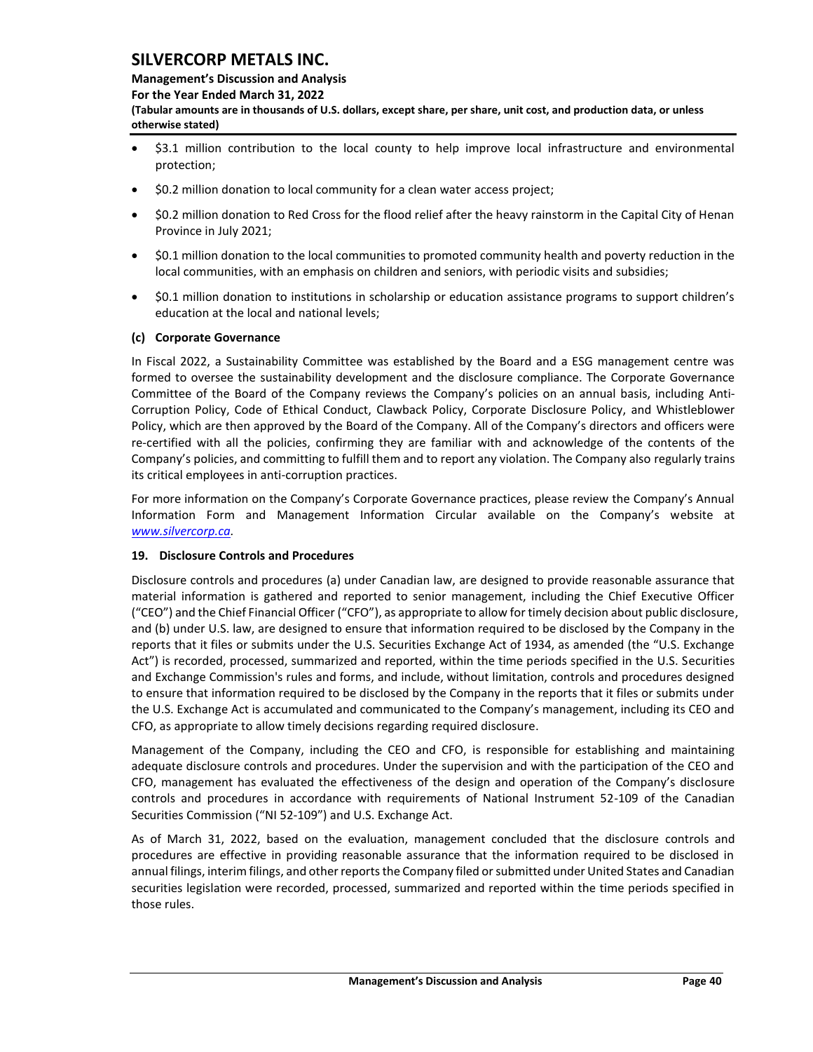#### **Management's Discussion and Analysis**

**For the Year Ended March 31, 2022**

**(Tabular amounts are in thousands of U.S. dollars, except share, per share, unit cost, and production data, or unless otherwise stated)** 

- \$3.1 million contribution to the local county to help improve local infrastructure and environmental protection;
- \$0.2 million donation to local community for a clean water access project;
- \$0.2 million donation to Red Cross for the flood relief after the heavy rainstorm in the Capital City of Henan Province in July 2021;
- \$0.1 million donation to the local communities to promoted community health and poverty reduction in the local communities, with an emphasis on children and seniors, with periodic visits and subsidies;
- \$0.1 million donation to institutions in scholarship or education assistance programs to support children's education at the local and national levels;

## **(c) Corporate Governance**

In Fiscal 2022, a Sustainability Committee was established by the Board and a ESG management centre was formed to oversee the sustainability development and the disclosure compliance. The Corporate Governance Committee of the Board of the Company reviews the Company's policies on an annual basis, including Anti-Corruption Policy, Code of Ethical Conduct, Clawback Policy, Corporate Disclosure Policy, and Whistleblower Policy, which are then approved by the Board of the Company. All of the Company's directors and officers were re-certified with all the policies, confirming they are familiar with and acknowledge of the contents of the Company's policies, and committing to fulfill them and to report any violation. The Company also regularly trains its critical employees in anti-corruption practices.

For more information on the Company's Corporate Governance practices, please review the Company's Annual Information Form and Management Information Circular available on the Company's website at *[www.silvercorp.ca.](http://www.silvercorp.ca/)* 

## <span id="page-40-0"></span>**19. Disclosure Controls and Procedures**

Disclosure controls and procedures (a) under Canadian law, are designed to provide reasonable assurance that material information is gathered and reported to senior management, including the Chief Executive Officer ("CEO") and the Chief Financial Officer ("CFO"), as appropriate to allow for timely decision about public disclosure, and (b) under U.S. law, are designed to ensure that information required to be disclosed by the Company in the reports that it files or submits under the U.S. Securities Exchange Act of 1934, as amended (the "U.S. Exchange Act") is recorded, processed, summarized and reported, within the time periods specified in the U.S. Securities and Exchange Commission's rules and forms, and include, without limitation, controls and procedures designed to ensure that information required to be disclosed by the Company in the reports that it files or submits under the U.S. Exchange Act is accumulated and communicated to the Company's management, including its CEO and CFO, as appropriate to allow timely decisions regarding required disclosure.

Management of the Company, including the CEO and CFO, is responsible for establishing and maintaining adequate disclosure controls and procedures. Under the supervision and with the participation of the CEO and CFO, management has evaluated the effectiveness of the design and operation of the Company's disclosure controls and procedures in accordance with requirements of National Instrument 52-109 of the Canadian Securities Commission ("NI 52-109") and U.S. Exchange Act.

As of March 31, 2022, based on the evaluation, management concluded that the disclosure controls and procedures are effective in providing reasonable assurance that the information required to be disclosed in annual filings, interim filings, and other reports the Company filed or submitted under United States and Canadian securities legislation were recorded, processed, summarized and reported within the time periods specified in those rules.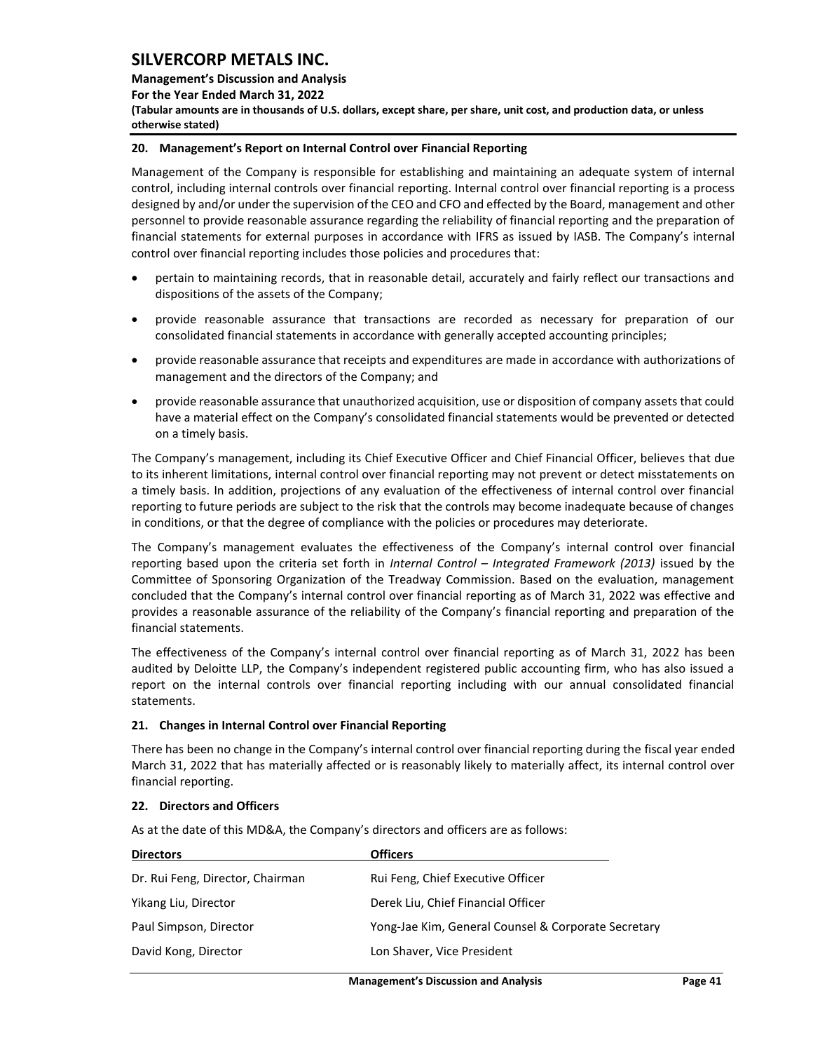**Management's Discussion and Analysis** 

**For the Year Ended March 31, 2022**

**(Tabular amounts are in thousands of U.S. dollars, except share, per share, unit cost, and production data, or unless otherwise stated)** 

## <span id="page-41-0"></span>**20. Management's Report on Internal Control over Financial Reporting**

Management of the Company is responsible for establishing and maintaining an adequate system of internal control, including internal controls over financial reporting. Internal control over financial reporting is a process designed by and/or under the supervision of the CEO and CFO and effected by the Board, management and other personnel to provide reasonable assurance regarding the reliability of financial reporting and the preparation of financial statements for external purposes in accordance with IFRS as issued by IASB. The Company's internal control over financial reporting includes those policies and procedures that:

- pertain to maintaining records, that in reasonable detail, accurately and fairly reflect our transactions and dispositions of the assets of the Company;
- provide reasonable assurance that transactions are recorded as necessary for preparation of our consolidated financial statements in accordance with generally accepted accounting principles;
- provide reasonable assurance that receipts and expenditures are made in accordance with authorizations of management and the directors of the Company; and
- provide reasonable assurance that unauthorized acquisition, use or disposition of company assets that could have a material effect on the Company's consolidated financial statements would be prevented or detected on a timely basis.

The Company's management, including its Chief Executive Officer and Chief Financial Officer, believes that due to its inherent limitations, internal control over financial reporting may not prevent or detect misstatements on a timely basis. In addition, projections of any evaluation of the effectiveness of internal control over financial reporting to future periods are subject to the risk that the controls may become inadequate because of changes in conditions, or that the degree of compliance with the policies or procedures may deteriorate.

The Company's management evaluates the effectiveness of the Company's internal control over financial reporting based upon the criteria set forth in *Internal Control – Integrated Framework (2013)* issued by the Committee of Sponsoring Organization of the Treadway Commission. Based on the evaluation, management concluded that the Company's internal control over financial reporting as of March 31, 2022 was effective and provides a reasonable assurance of the reliability of the Company's financial reporting and preparation of the financial statements.

The effectiveness of the Company's internal control over financial reporting as of March 31, 2022 has been audited by Deloitte LLP, the Company's independent registered public accounting firm, who has also issued a report on the internal controls over financial reporting including with our annual consolidated financial statements.

## <span id="page-41-1"></span>**21. Changes in Internal Control over Financial Reporting**

There has been no change in the Company's internal control over financial reporting during the fiscal year ended March 31, 2022 that has materially affected or is reasonably likely to materially affect, its internal control over financial reporting.

## <span id="page-41-2"></span>**22. Directors and Officers**

As at the date of this MD&A, the Company's directors and officers are as follows:

| <b>Directors</b>                 | <b>Officers</b>                                     |
|----------------------------------|-----------------------------------------------------|
| Dr. Rui Feng, Director, Chairman | Rui Feng, Chief Executive Officer                   |
| Yikang Liu, Director             | Derek Liu, Chief Financial Officer                  |
| Paul Simpson, Director           | Yong-Jae Kim, General Counsel & Corporate Secretary |
| David Kong, Director             | Lon Shaver, Vice President                          |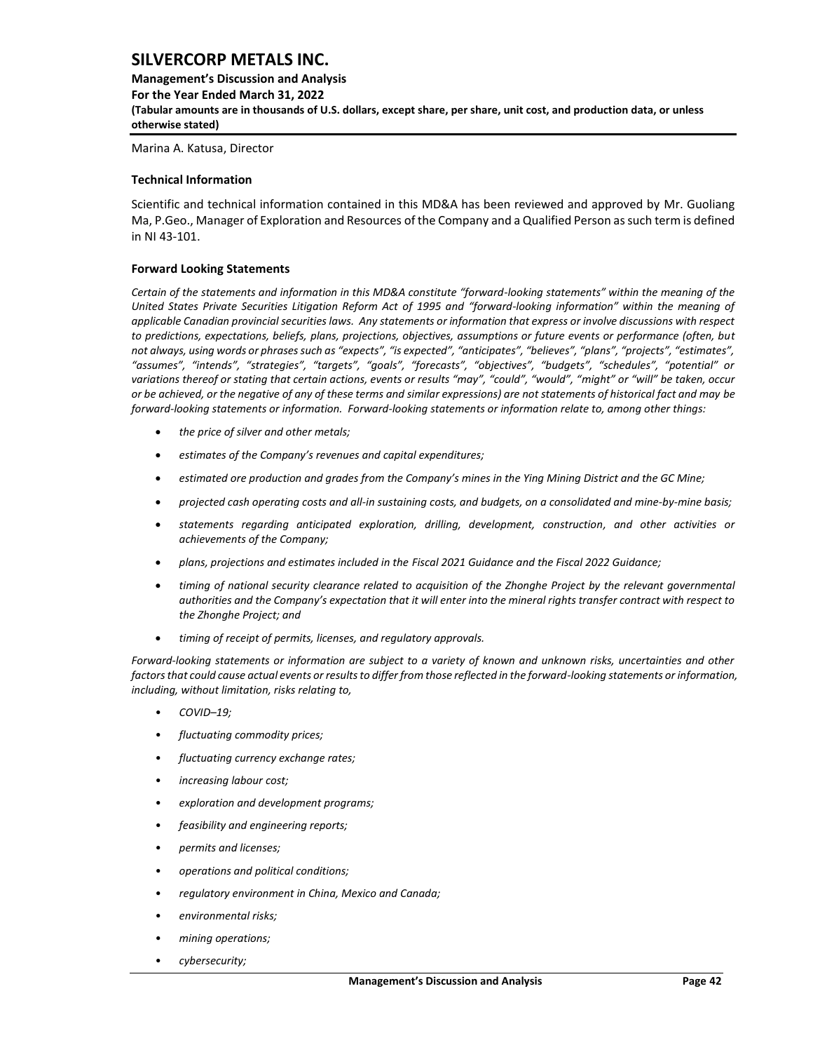**Management's Discussion and Analysis For the Year Ended March 31, 2022 (Tabular amounts are in thousands of U.S. dollars, except share, per share, unit cost, and production data, or unless otherwise stated)** 

Marina A. Katusa, Director

#### <span id="page-42-0"></span>**Technical Information**

Scientific and technical information contained in this MD&A has been reviewed and approved by Mr. Guoliang Ma, P.Geo., Manager of Exploration and Resources of the Company and a Qualified Person assuch term is defined in NI 43-101.

#### <span id="page-42-1"></span>**Forward Looking Statements**

*Certain of the statements and information in this MD&A constitute "forward-looking statements" within the meaning of the United States Private Securities Litigation Reform Act of 1995 and "forward-looking information" within the meaning of applicable Canadian provincial securities laws. Any statements or information that express or involve discussions with respect to predictions, expectations, beliefs, plans, projections, objectives, assumptions or future events or performance (often, but not always, using words or phrases such as "expects", "is expected", "anticipates", "believes", "plans", "projects", "estimates", "assumes", "intends", "strategies", "targets", "goals", "forecasts", "objectives", "budgets", "schedules", "potential" or variations thereof or stating that certain actions, events or results "may", "could", "would", "might" or "will" be taken, occur or be achieved, or the negative of any of these terms and similar expressions) are not statements of historical fact and may be forward-looking statements or information. Forward-looking statements or information relate to, among other things:*

- *the price of silver and other metals;*
- *estimates of the Company's revenues and capital expenditures;*
- *estimated ore production and grades from the Company's mines in the Ying Mining District and the GC Mine;*
- *projected cash operating costs and all-in sustaining costs, and budgets, on a consolidated and mine-by-mine basis;*
- *statements regarding anticipated exploration, drilling, development, construction, and other activities or achievements of the Company;*
- *plans, projections and estimates included in the Fiscal 2021 Guidance and the Fiscal 2022 Guidance;*
- *timing of national security clearance related to acquisition of the Zhonghe Project by the relevant governmental authorities and the Company's expectation that it will enter into the mineral rights transfer contract with respect to the Zhonghe Project; and*
- *timing of receipt of permits, licenses, and regulatory approvals.*

*Forward-looking statements or information are subject to a variety of known and unknown risks, uncertainties and other factors that could cause actual events or results to differ from those reflected in the forward-looking statements or information, including, without limitation, risks relating to,* 

- *COVID–19;*
- *fluctuating commodity prices;*
- *fluctuating currency exchange rates;*
- *increasing labour cost;*
- *exploration and development programs;*
- *feasibility and engineering reports;*
- *permits and licenses;*
- *operations and political conditions;*
- *regulatory environment in China, Mexico and Canada;*
- *environmental risks;*
- *mining operations;*
- *cybersecurity;*